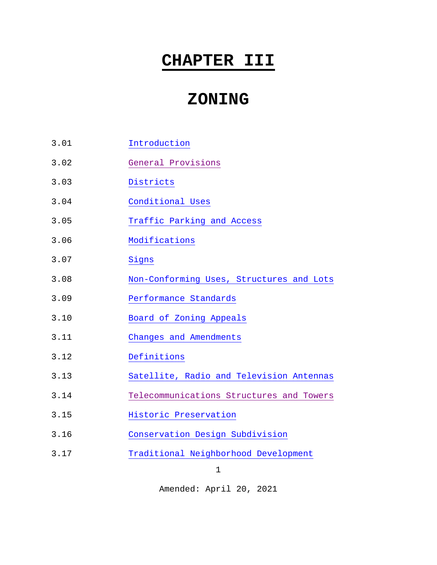# **CHAPTER III**

# **ZONING**

- 3.01 [Introduction](#page-1-0)
- 3.02 [General Provisions](#page-2-0)
- 3.03 [Districts](#page-6-0)
- 3.04 [Conditional Uses](#page-22-0)
- 3.05 [Traffic Parking and Access](#page-28-0)
- 3.06 [Modifications](#page-30-0)
- 3.07 [Signs](#page-34-0)
- 3.08 [Non-Conforming Uses, Structures and](#page-55-0) Lots
- 3.09 [Performance Standards](#page-57-0)
- 3.10 [Board of Zoning Appeals](#page-58-0)
- 3.11 [Changes and Amendments](#page-63-0)
- 3.12 [Definitions](#page-66-0)
- 3.13 [Satellite, Radio and Television](#page-73-0) Antennas
- 3.14 [Telecommunications Structures and Towers](#page-77-0)
- 3.15 [Historic Preservation](#page-89-0)
- 3.16 [Conservation Design Subdivision](#page-95-0)
- 3.17 [Traditional Neighborhood Development](#page-120-0)

1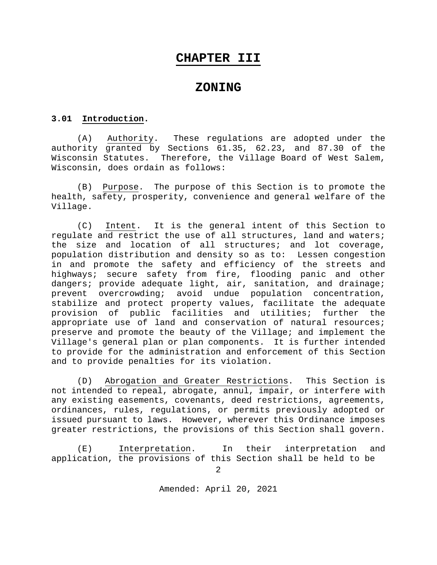# **CHAPTER III**

# **ZONING**

#### <span id="page-1-0"></span>**3.01 Introduction.**

(A) Authority. These regulations are adopted under the authority granted by Sections 61.35, 62.23, and 87.30 of the Wisconsin Statutes. Therefore, the Village Board of West Salem, Wisconsin, does ordain as follows:

(B) Purpose. The purpose of this Section is to promote the health, safety, prosperity, convenience and general welfare of the Village.

(C) Intent. It is the general intent of this Section to regulate and restrict the use of all structures, land and waters; the size and location of all structures; and lot coverage, population distribution and density so as to: Lessen congestion in and promote the safety and efficiency of the streets and highways; secure safety from fire, flooding panic and other dangers; provide adequate light, air, sanitation, and drainage; prevent overcrowding; avoid undue population concentration, stabilize and protect property values, facilitate the adequate<br>provision of public facilities and utilities; further the provision of public facilities and utilities; further appropriate use of land and conservation of natural resources; preserve and promote the beauty of the Village; and implement the Village's general plan or plan components. It is further intended to provide for the administration and enforcement of this Section and to provide penalties for its violation.

(D) Abrogation and Greater Restrictions. This Section is not intended to repeal, abrogate, annul, impair, or interfere with any existing easements, covenants, deed restrictions, agreements, ordinances, rules, regulations, or permits previously adopted or issued pursuant to laws. However, wherever this Ordinance imposes greater restrictions, the provisions of this Section shall govern.

(E) Interpretation. In their interpretation and application, the provisions of this Section shall be held to be

2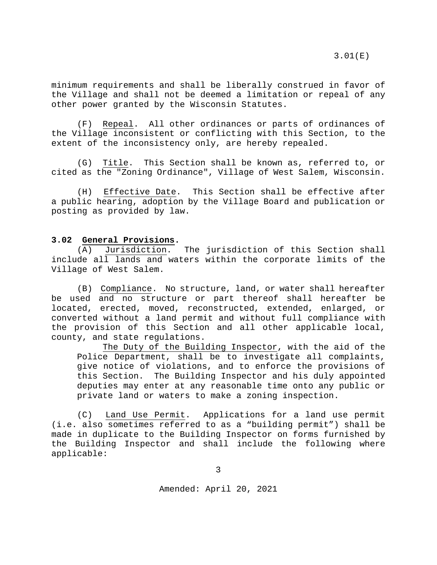minimum requirements and shall be liberally construed in favor of the Village and shall not be deemed a limitation or repeal of any other power granted by the Wisconsin Statutes.

(F) Repeal. All other ordinances or parts of ordinances of the Village inconsistent or conflicting with this Section, to the extent of the inconsistency only, are hereby repealed.

(G) Title. This Section shall be known as, referred to, or cited as the "Zoning Ordinance", Village of West Salem, Wisconsin.

(H) Effective Date. This Section shall be effective after a public hearing, adoption by the Village Board and publication or posting as provided by law.

#### <span id="page-2-0"></span>**3.02 General Provisions.**

(A) Jurisdiction. The jurisdiction of this Section shall include all lands and waters within the corporate limits of the Village of West Salem.

(B) Compliance. No structure, land, or water shall hereafter be used and no structure or part thereof shall hereafter be located, erected, moved, reconstructed, extended, enlarged, or converted without a land permit and without full compliance with the provision of this Section and all other applicable local, county, and state regulations.

The Duty of the Building Inspector, with the aid of the Police Department, shall be to investigate all complaints, give notice of violations, and to enforce the provisions of this Section. The Building Inspector and his duly appointed deputies may enter at any reasonable time onto any public or private land or waters to make a zoning inspection.

(C) Land Use Permit. Applications for a land use permit (i.e. also sometimes referred to as a "building permit") shall be made in duplicate to the Building Inspector on forms furnished by the Building Inspector and shall include the following where applicable:

3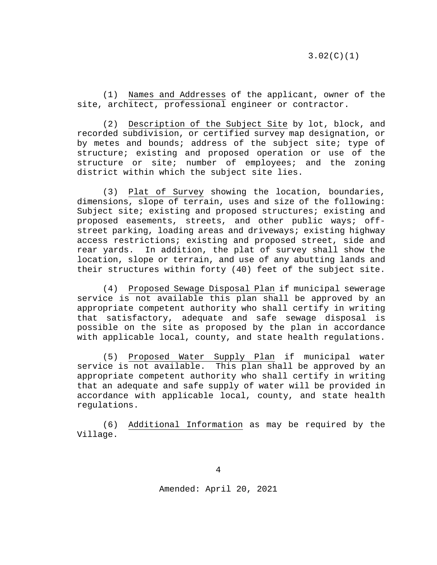(1) Names and Addresses of the applicant, owner of the site, architect, professional engineer or contractor.

(2) Description of the Subject Site by lot, block, and recorded subdivision, or certified survey map designation, or by metes and bounds; address of the subject site; type of structure; existing and proposed operation or use of the structure or site; number of employees; and the zoning district within which the subject site lies.

(3) Plat of Survey showing the location, boundaries, dimensions, slope of terrain, uses and size of the following: Subject site; existing and proposed structures; existing and proposed easements, streets, and other public ways; offstreet parking, loading areas and driveways; existing highway access restrictions; existing and proposed street, side and rear yards. In addition, the plat of survey shall show the location, slope or terrain, and use of any abutting lands and their structures within forty (40) feet of the subject site.

(4) Proposed Sewage Disposal Plan if municipal sewerage service is not available this plan shall be approved by an appropriate competent authority who shall certify in writing that satisfactory, adequate and safe sewage disposal is possible on the site as proposed by the plan in accordance with applicable local, county, and state health regulations.

(5) Proposed Water Supply Plan if municipal water service is not available. This plan shall be approved by an appropriate competent authority who shall certify in writing that an adequate and safe supply of water will be provided in accordance with applicable local, county, and state health regulations.

(6) Additional Information as may be required by the Village.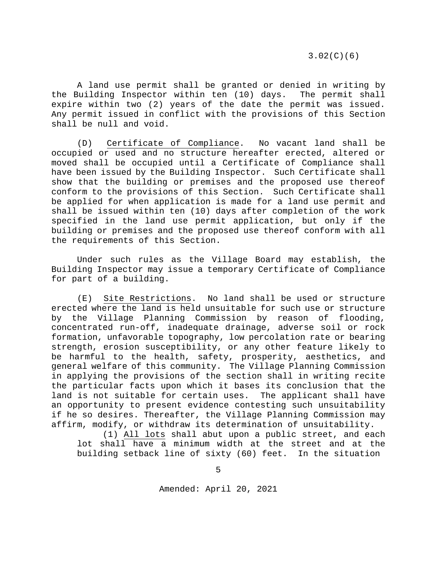3.02(C)(6)

A land use permit shall be granted or denied in writing by the Building Inspector within ten (10) days. The permit shall expire within two (2) years of the date the permit was issued. Any permit issued in conflict with the provisions of this Section shall be null and void.

(D) Certificate of Compliance. No vacant land shall be occupied or used and no structure hereafter erected, altered or moved shall be occupied until a Certificate of Compliance shall have been issued by the Building Inspector. Such Certificate shall show that the building or premises and the proposed use thereof conform to the provisions of this Section. Such Certificate shall be applied for when application is made for a land use permit and shall be issued within ten (10) days after completion of the work specified in the land use permit application, but only if the building or premises and the proposed use thereof conform with all the requirements of this Section.

Under such rules as the Village Board may establish, the Building Inspector may issue a temporary Certificate of Compliance for part of a building.

(E) Site Restrictions. No land shall be used or structure erected where the land is held unsuitable for such use or structure by the Village Planning Commission by reason of flooding, concentrated run-off, inadequate drainage, adverse soil or rock formation, unfavorable topography, low percolation rate or bearing strength, erosion susceptibility, or any other feature likely to be harmful to the health, safety, prosperity, aesthetics, and general welfare of this community. The Village Planning Commission in applying the provisions of the section shall in writing recite the particular facts upon which it bases its conclusion that the land is not suitable for certain uses. The applicant shall have an opportunity to present evidence contesting such unsuitability if he so desires. Thereafter, the Village Planning Commission may affirm, modify, or withdraw its determination of unsuitability.

(1) All lots shall abut upon a public street, and each lot shall have a minimum width at the street and at the building setback line of sixty (60) feet. In the situation

5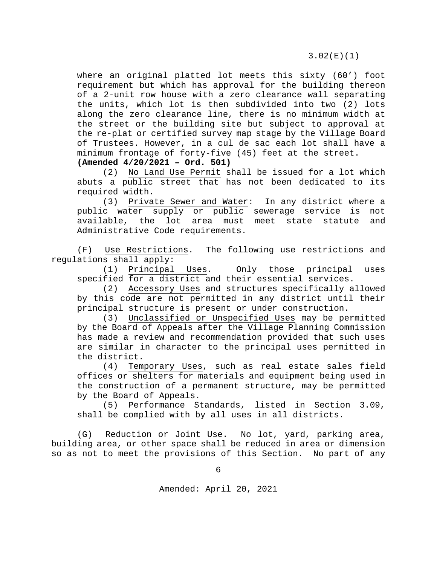3.02(E)(1)

where an original platted lot meets this sixty (60') foot requirement but which has approval for the building thereon of a 2-unit row house with a zero clearance wall separating the units, which lot is then subdivided into two (2) lots along the zero clearance line, there is no minimum width at the street or the building site but subject to approval at the re-plat or certified survey map stage by the Village Board of Trustees. However, in a cul de sac each lot shall have a minimum frontage of forty-five (45) feet at the street. **(Amended 4/20/2021 – Ord. 501)**

(2) No Land Use Permit shall be issued for a lot which abuts a public street that has not been dedicated to its required width.

(3) Private Sewer and Water: In any district where a public water supply or public sewerage service is not available, the lot area must meet state statute and Administrative Code requirements.

(F) Use Restrictions. The following use restrictions and regulations shall apply:

(1) Principal Uses. Only those principal uses specified for a district and their essential services.

(2) Accessory Uses and structures specifically allowed by this code are not permitted in any district until their principal structure is present or under construction.

(3) Unclassified or Unspecified Uses may be permitted by the Board of Appeals after the Village Planning Commission has made a review and recommendation provided that such uses are similar in character to the principal uses permitted in the district.

(4) Temporary Uses, such as real estate sales field offices or shelters for materials and equipment being used in the construction of a permanent structure, may be permitted by the Board of Appeals.

(5) Performance Standards, listed in Section 3.09, shall be complied with by all uses in all districts.

(G) Reduction or Joint Use. No lot, yard, parking area, building area, or other space shall be reduced in area or dimension so as not to meet the provisions of this Section. No part of any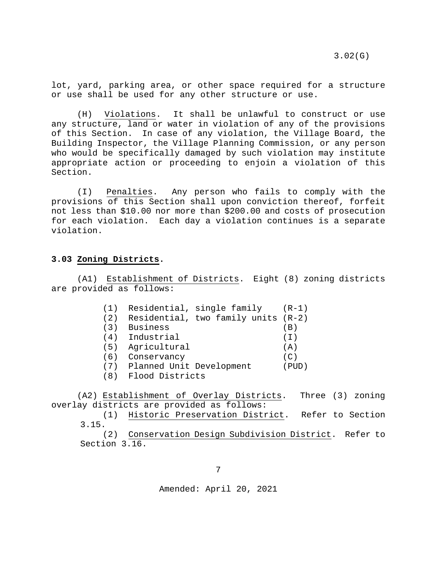3.02(G)

lot, yard, parking area, or other space required for a structure or use shall be used for any other structure or use.

(H) Violations. It shall be unlawful to construct or use any structure, land or water in violation of any of the provisions of this Section. In case of any violation, the Village Board, the Building Inspector, the Village Planning Commission, or any person who would be specifically damaged by such violation may institute appropriate action or proceeding to enjoin a violation of this Section.

(I) Penalties. Any person who fails to comply with the provisions of this Section shall upon conviction thereof, forfeit not less than \$10.00 nor more than \$200.00 and costs of prosecution for each violation. Each day a violation continues is a separate violation.

#### <span id="page-6-0"></span>**3.03 Zoning Districts.**

(A1) Establishment of Districts. Eight (8) zoning districts are provided as follows:

| (1) | Residential, single family            | (R-1)   |
|-----|---------------------------------------|---------|
| (2) | Residential, two family units $(R-2)$ |         |
| (3) | <b>Business</b>                       | (B)     |
| (4) | Industrial                            | (T)     |
| (5) | Agricultural                          | (A)     |
| (6) | Conservancy                           | (C)     |
|     | (7) Planned Unit Development          | ( PUD ) |
|     |                                       |         |

(8) Flood Districts

(A2) Establishment of Overlay Districts. Three (3) zoning overlay districts are provided as follows:

(1) Historic Preservation District. Refer to Section 3.15.

(2) Conservation Design Subdivision District. Refer to Section 3.16.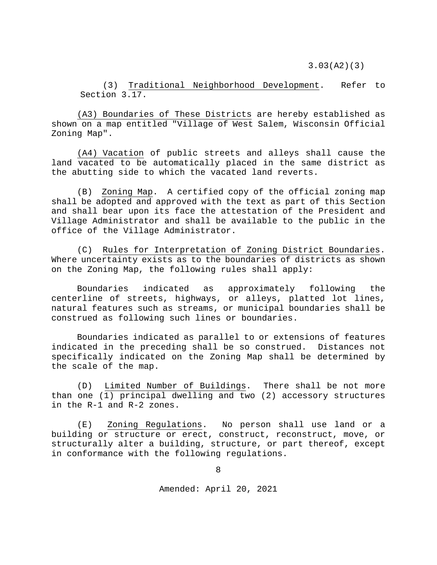3.03(A2)(3)

(3) Traditional Neighborhood Development. Refer to Section 3.17.

(A3) Boundaries of These Districts are hereby established as shown on a map entitled "Village of West Salem, Wisconsin Official Zoning Map".

(A4) Vacation of public streets and alleys shall cause the land vacated to be automatically placed in the same district as the abutting side to which the vacated land reverts.

(B) Zoning Map. A certified copy of the official zoning map shall be adopted and approved with the text as part of this Section and shall bear upon its face the attestation of the President and Village Administrator and shall be available to the public in the office of the Village Administrator.

(C) Rules for Interpretation of Zoning District Boundaries. Where uncertainty exists as to the boundaries of districts as shown on the Zoning Map, the following rules shall apply:

Boundaries indicated as approximately following the centerline of streets, highways, or alleys, platted lot lines, natural features such as streams, or municipal boundaries shall be construed as following such lines or boundaries.

Boundaries indicated as parallel to or extensions of features indicated in the preceding shall be so construed. Distances not specifically indicated on the Zoning Map shall be determined by the scale of the map.

(D) Limited Number of Buildings. There shall be not more than one (1) principal dwelling and two (2) accessory structures in the R-1 and R-2 zones.

(E) Zoning Regulations. No person shall use land or a building or structure or erect, construct, reconstruct, move, or structurally alter a building, structure, or part thereof, except in conformance with the following regulations.

8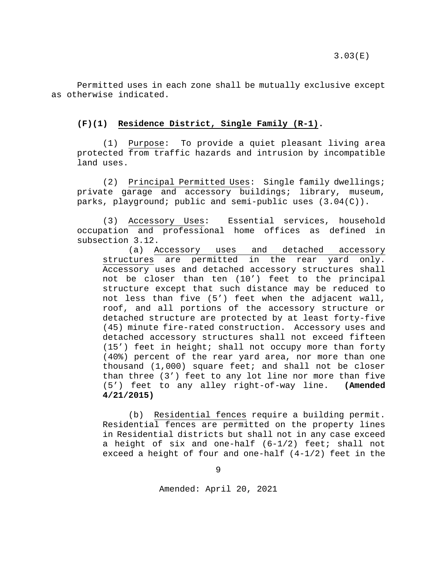Permitted uses in each zone shall be mutually exclusive except as otherwise indicated.

# **(F)(1) Residence District, Single Family (R-1).**

(1) Purpose: To provide a quiet pleasant living area protected from traffic hazards and intrusion by incompatible land uses.

(2) Principal Permitted Uses: Single family dwellings; private garage and accessory buildings; library, museum, parks, playground; public and semi-public uses (3.04(C)).

(3) Accessory Uses: Essential services, household occupation and professional home offices as defined in subsection 3.12.

(a) Accessory uses and detached accessory structures are permitted in the rear yard only. Accessory uses and detached accessory structures shall not be closer than ten (10') feet to the principal structure except that such distance may be reduced to not less than five (5') feet when the adjacent wall, roof, and all portions of the accessory structure or detached structure are protected by at least forty-five (45) minute fire-rated construction. Accessory uses and detached accessory structures shall not exceed fifteen (15') feet in height; shall not occupy more than forty (40%) percent of the rear yard area, nor more than one thousand (1,000) square feet; and shall not be closer than three (3') feet to any lot line nor more than five<br>(5') feet to any alley right-of-way line. (Amended (5') feet to any alley right-of-way line. **4/21/2015)**

(b) Residential fences require a building permit. Residential fences are permitted on the property lines in Residential districts but shall not in any case exceed a height of six and one-half  $(6-1/2)$  feet; shall not exceed a height of four and one-half (4-1/2) feet in the

9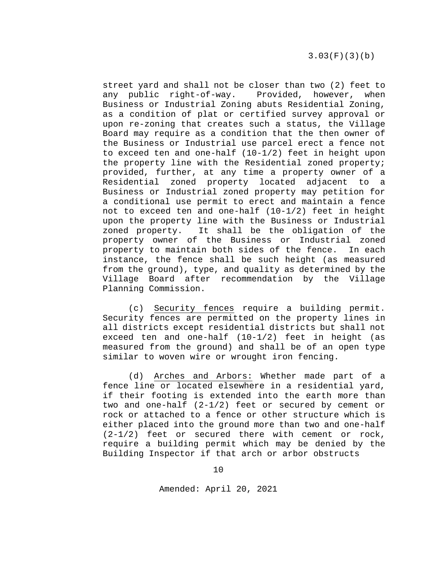street yard and shall not be closer than two (2) feet to any public right-of-way. Provided, however, when Business or Industrial Zoning abuts Residential Zoning, as a condition of plat or certified survey approval or upon re-zoning that creates such a status, the Village Board may require as a condition that the then owner of the Business or Industrial use parcel erect a fence not to exceed ten and one-half (10-1/2) feet in height upon the property line with the Residential zoned property; provided, further, at any time a property owner of a Residential zoned property located adjacent to a Business or Industrial zoned property may petition for a conditional use permit to erect and maintain a fence not to exceed ten and one-half (10-1/2) feet in height upon the property line with the Business or Industrial zoned property. It shall be the obligation of the property owner of the Business or Industrial zoned<br>property to maintain both sides of the fence. In each property to maintain both sides of the fence. instance, the fence shall be such height (as measured from the ground), type, and quality as determined by the Village Board after recommendation by the Village Planning Commission.

(c) Security fences require a building permit. Security fences are permitted on the property lines in all districts except residential districts but shall not exceed ten and one-half (10-1/2) feet in height (as measured from the ground) and shall be of an open type similar to woven wire or wrought iron fencing.

(d) Arches and Arbors: Whether made part of a fence line or located elsewhere in a residential yard, if their footing is extended into the earth more than two and one-half (2-1/2) feet or secured by cement or rock or attached to a fence or other structure which is either placed into the ground more than two and one-half  $(2-1/2)$  feet or secured there with cement or rock, require a building permit which may be denied by the Building Inspector if that arch or arbor obstructs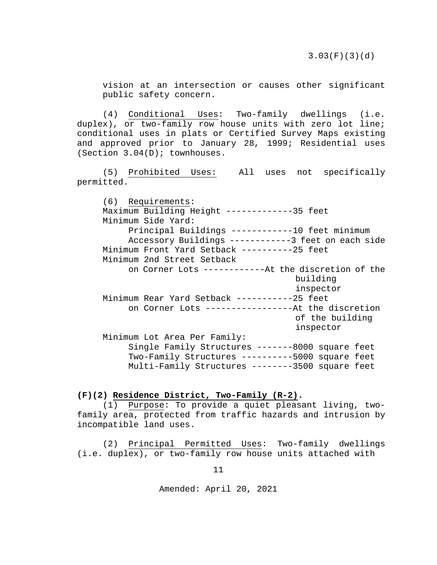vision at an intersection or causes other significant public safety concern.

(4) Conditional Uses: Two-family dwellings (i.e. duplex), or two-family row house units with zero lot line; conditional uses in plats or Certified Survey Maps existing and approved prior to January 28, 1999; Residential uses (Section 3.04(D); townhouses.

(5) Prohibited Uses: All uses not specifically permitted.

(6) Requirements: Maximum Building Height -------------35 feet Minimum Side Yard: Principal Buildings ------------10 feet minimum Accessory Buildings ------------3 feet on each side Minimum Front Yard Setback ----------25 feet Minimum 2nd Street Setback on Corner Lots ------------At the discretion of the building inspector Minimum Rear Yard Setback -----------25 feet on Corner Lots -----------------At the discretion of the building inspector Minimum Lot Area Per Family: Single Family Structures -------8000 square feet Two-Family Structures ----------5000 square feet Multi-Family Structures --------3500 square feet

**(F)(2) Residence District, Two-Family (R-2).**

(1) Purpose: To provide a quiet pleasant living, twofamily area, protected from traffic hazards and intrusion by incompatible land uses.

(2) Principal Permitted Uses: Two-family dwellings (i.e. duplex), or two-family row house units attached with

11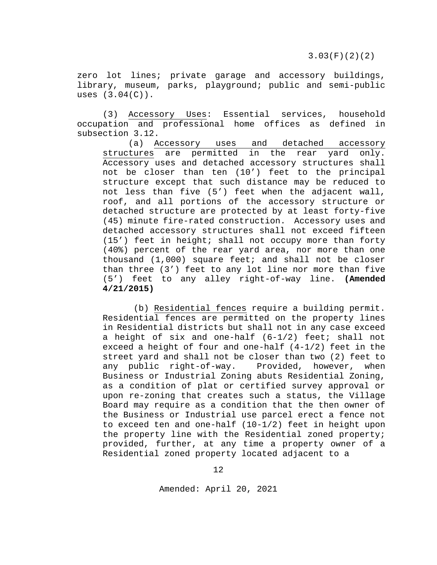zero lot lines; private garage and accessory buildings, library, museum, parks, playground; public and semi-public uses  $(3.04(C))$ .

(3) Accessory Uses: Essential services, household occupation and professional home offices as defined in subsection 3.12.

(a) Accessory uses and detached accessory structures are permitted in the rear yard only. Accessory uses and detached accessory structures shall not be closer than ten (10') feet to the principal structure except that such distance may be reduced to not less than five (5') feet when the adjacent wall, roof, and all portions of the accessory structure or detached structure are protected by at least forty-five (45) minute fire-rated construction. Accessory uses and detached accessory structures shall not exceed fifteen (15') feet in height; shall not occupy more than forty (40%) percent of the rear yard area, nor more than one thousand (1,000) square feet; and shall not be closer than three (3') feet to any lot line nor more than five (5') feet to any alley right-of-way line. **(Amended 4/21/2015)**

(b) Residential fences require a building permit. Residential fences are permitted on the property lines in Residential districts but shall not in any case exceed a height of six and one-half (6-1/2) feet; shall not exceed a height of four and one-half (4-1/2) feet in the street yard and shall not be closer than two (2) feet to any public right-of-way. Provided, however, when Business or Industrial Zoning abuts Residential Zoning, as a condition of plat or certified survey approval or upon re-zoning that creates such a status, the Village Board may require as a condition that the then owner of the Business or Industrial use parcel erect a fence not to exceed ten and one-half (10-1/2) feet in height upon the property line with the Residential zoned property; provided, further, at any time a property owner of a Residential zoned property located adjacent to a

12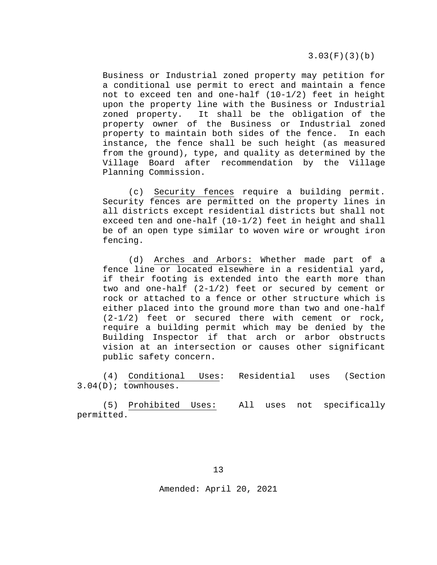3.03(F)(3)(b)

Business or Industrial zoned property may petition for a conditional use permit to erect and maintain a fence not to exceed ten and one-half  $(10-1/2)$  feet in height upon the property line with the Business or Industrial zoned property. It shall be the obligation of the property owner of the Business or Industrial zoned property to maintain both sides of the fence. In each instance, the fence shall be such height (as measured from the ground), type, and quality as determined by the Village Board after recommendation by the Village Planning Commission.

(c) Security fences require a building permit. Security fences are permitted on the property lines in all districts except residential districts but shall not exceed ten and one-half (10-1/2) feet in height and shall be of an open type similar to woven wire or wrought iron fencing.

(d) Arches and Arbors: Whether made part of a fence line or located elsewhere in a residential yard, if their footing is extended into the earth more than two and one-half (2-1/2) feet or secured by cement or rock or attached to a fence or other structure which is either placed into the ground more than two and one-half  $(2-1/2)$  feet or secured there with cement or rock, require a building permit which may be denied by the Building Inspector if that arch or arbor obstructs vision at an intersection or causes other significant public safety concern.

(4) Conditional Uses: Residential uses (Section 3.04(D); townhouses.

(5) Prohibited Uses: All uses not specifically permitted.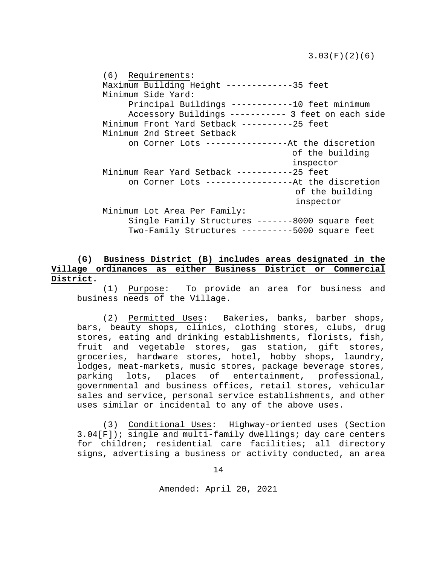3.03(F)(2)(6)

(6) Requirements: Maximum Building Height -------------35 feet Minimum Side Yard: Principal Buildings ------------10 feet minimum Accessory Buildings ----------- 3 feet on each side Minimum Front Yard Setback ----------25 feet Minimum 2nd Street Setback on Corner Lots ----------------At the discretion of the building inspector Minimum Rear Yard Setback -----------25 feet on Corner Lots -----------------At the discretion of the building inspector Minimum Lot Area Per Family: Single Family Structures -------8000 square feet Two-Family Structures ----------5000 square feet

# **(G) Business District (B) includes areas designated in the Village ordinances as either Business District or Commercial District.**

(1) Purpose: To provide an area for business and business needs of the Village.

(2) Permitted Uses: Bakeries, banks, barber shops, bars, beauty shops, clinics, clothing stores, clubs, drug stores, eating and drinking establishments, florists, fish, fruit and vegetable stores, gas station, gift stores, groceries, hardware stores, hotel, hobby shops, laundry, lodges, meat-markets, music stores, package beverage stores,<br>parking lots, places of entertainment, professional, places of entertainment, professional, governmental and business offices, retail stores, vehicular sales and service, personal service establishments, and other uses similar or incidental to any of the above uses.

(3) Conditional Uses: Highway-oriented uses (Section 3.04[F]); single and multi-family dwellings; day care centers for children; residential care facilities; all directory signs, advertising a business or activity conducted, an area

14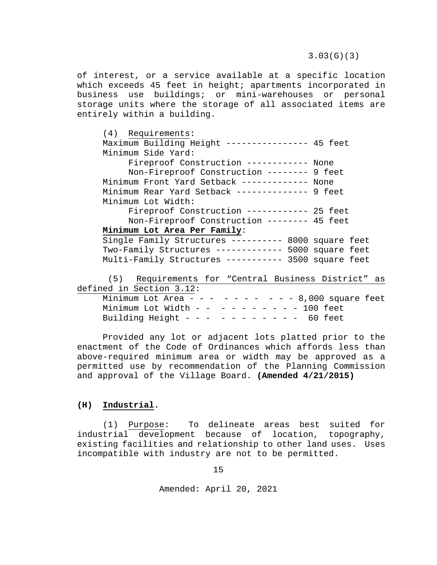of interest, or a service available at a specific location which exceeds 45 feet in height; apartments incorporated in business use buildings; or mini-warehouses or personal storage units where the storage of all associated items are entirely within a building.

| $(4)$ Requirements:<br>Maximum Building Height --------------- 45 feet<br>Minimum Side Yard: |  |  |  |
|----------------------------------------------------------------------------------------------|--|--|--|
| Fireproof Construction ------------ None                                                     |  |  |  |
| Non-Fireproof Construction -------- 9 feet                                                   |  |  |  |
| Minimum Front Yard Setback ------------ None                                                 |  |  |  |
| Minimum Rear Yard Setback ------------- 9 feet                                               |  |  |  |
| Minimum Lot Width:                                                                           |  |  |  |
| Fireproof Construction ----------- 25 feet                                                   |  |  |  |
| Non-Fireproof Construction -------- 45 feet                                                  |  |  |  |
| Minimum Lot Area Per Family:                                                                 |  |  |  |
| Single Family Structures --------- 8000 square feet                                          |  |  |  |
| Two-Family Structures ------------- 5000 square feet                                         |  |  |  |
| Multi-Family Structures ----------- 3500 square feet                                         |  |  |  |
| (5) Requirements for "Central Business District" as                                          |  |  |  |
| defined in Section 3.12:                                                                     |  |  |  |
| Minimum Lot Area - - - - - - - - - - 8,000 square feet                                       |  |  |  |
| Minimum Lot Width - - - - - - - - - - 100 feet                                               |  |  |  |

Building Height - - - - - - - - - - - 60 feet

Provided any lot or adjacent lots platted prior to the enactment of the Code of Ordinances which affords less than above-required minimum area or width may be approved as a permitted use by recommendation of the Planning Commission and approval of the Village Board. **(Amended 4/21/2015)**

# **(H) Industrial.**

(1) Purpose: To delineate areas best suited for industrial development because of location, topography, existing facilities and relationship to other land uses. Uses incompatible with industry are not to be permitted.

15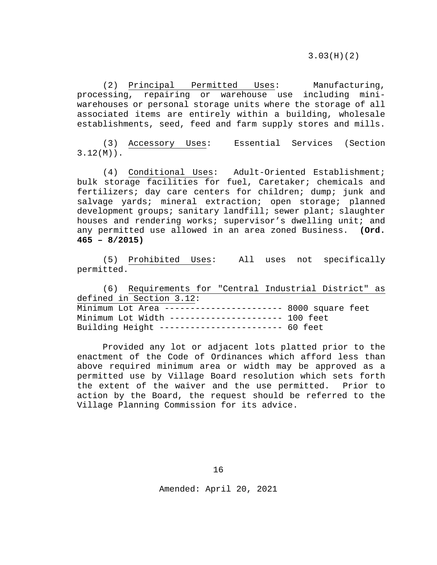(2) Principal Permitted Uses: Manufacturing, processing, repairing or warehouse use including miniwarehouses or personal storage units where the storage of all associated items are entirely within a building, wholesale establishments, seed, feed and farm supply stores and mills.

(3) Accessory Uses: Essential Services (Section 3.12(M)).

(4) Conditional Uses: Adult-Oriented Establishment; bulk storage facilities for fuel, Caretaker; chemicals and fertilizers; day care centers for children; dump; junk and salvage yards; mineral extraction; open storage; planned development groups; sanitary landfill; sewer plant; slaughter houses and rendering works; supervisor's dwelling unit; and any permitted use allowed in an area zoned Business. **(Ord. 465 – 8/2015)**

(5) Prohibited Uses: All uses not specifically permitted.

(6) Requirements for "Central Industrial District" as defined in Section 3.12: Minimum Lot Area ----------------------- 8000 square feet Minimum Lot Width ---------------------- 100 feet Building Height ------------------------ 60 feet

Provided any lot or adjacent lots platted prior to the enactment of the Code of Ordinances which afford less than above required minimum area or width may be approved as a permitted use by Village Board resolution which sets forth the extent of the waiver and the use permitted. Prior to action by the Board, the request should be referred to the Village Planning Commission for its advice.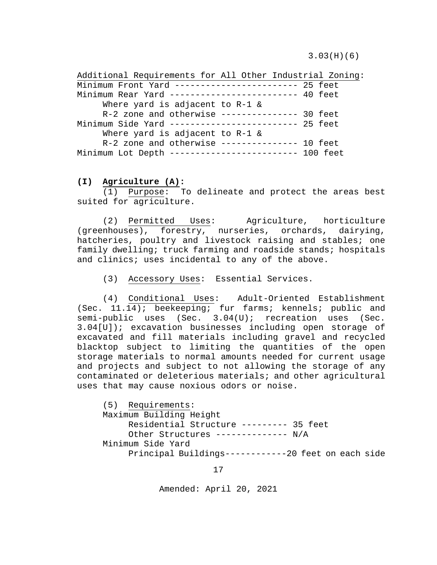3.03(H)(6)

Additional Requirements for All Other Industrial Zoning: Minimum Front Yard ------------------------ 25 feet Minimum Rear Yard ------------------------- 40 feet Where yard is adjacent to R-1 & R-2 zone and otherwise --------------- 30 feet Minimum Side Yard ------------------------- 25 feet Where yard is adjacent to R-1 & R-2 zone and otherwise --------------- 10 feet Minimum Lot Depth ------------------------- 100 feet

# **(I) Agriculture (A):**

(1) Purpose: To delineate and protect the areas best suited for agriculture.

(2) Permitted Uses: Agriculture, horticulture (greenhouses), forestry, nurseries, orchards, dairying, hatcheries, poultry and livestock raising and stables; one family dwelling; truck farming and roadside stands; hospitals and clinics; uses incidental to any of the above.

(3) Accessory Uses: Essential Services.

(4) Conditional Uses: Adult-Oriented Establishment (Sec. 11.14); beekeeping; fur farms; kennels; public and semi-public uses (Sec. 3.04(U); recreation uses (Sec. 3.04[U]); excavation businesses including open storage of excavated and fill materials including gravel and recycled blacktop subject to limiting the quantities of the open storage materials to normal amounts needed for current usage and projects and subject to not allowing the storage of any contaminated or deleterious materials; and other agricultural uses that may cause noxious odors or noise.

(5) Requirements: Maximum Building Height Residential Structure --------- 35 feet Other Structures -------------- N/A Minimum Side Yard Principal Buildings------------20 feet on each side

17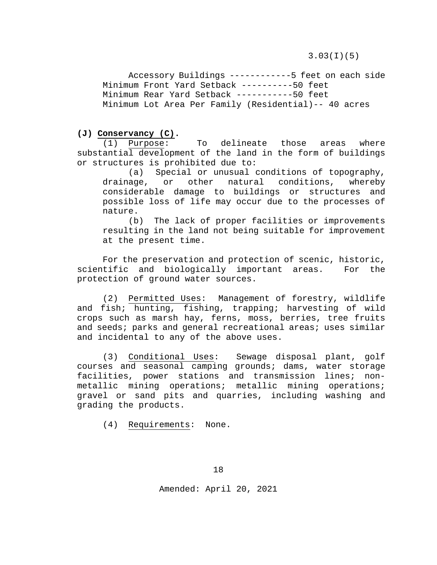3.03(I)(5)

Accessory Buildings ------------5 feet on each side Minimum Front Yard Setback ----------50 feet Minimum Rear Yard Setback -----------50 feet Minimum Lot Area Per Family (Residential)-- 40 acres

# **(J) Conservancy (C).**

(1) Purpose: To delineate those areas where substantial development of the land in the form of buildings or structures is prohibited due to:

(a) Special or unusual conditions of topography,<br>age, or other natural conditions, whereby drainage, or other natural conditions, whereby considerable damage to buildings or structures and possible loss of life may occur due to the processes of nature.

(b) The lack of proper facilities or improvements resulting in the land not being suitable for improvement at the present time.

For the preservation and protection of scenic, historic, scientific and biologically important areas. For the protection of ground water sources.

(2) Permitted Uses: Management of forestry, wildlife and fish; hunting, fishing, trapping; harvesting of wild crops such as marsh hay, ferns, moss, berries, tree fruits and seeds; parks and general recreational areas; uses similar and incidental to any of the above uses.

(3) Conditional Uses: Sewage disposal plant, golf courses and seasonal camping grounds; dams, water storage facilities, power stations and transmission lines; nonmetallic mining operations; metallic mining operations; gravel or sand pits and quarries, including washing and grading the products.

(4) Requirements: None.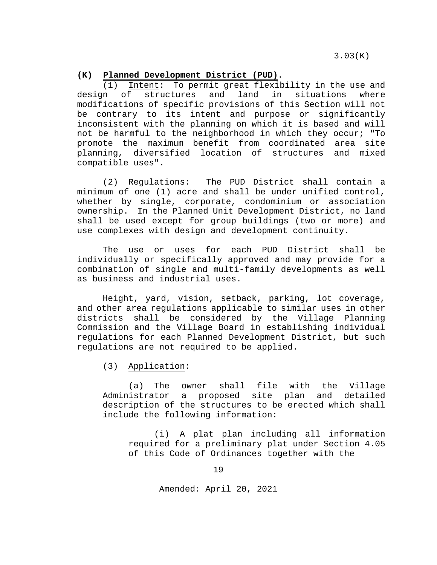3.03(K)

#### **(K) Planned Development District (PUD).**

(1) Intent: To permit great flexibility in the use and design of structures and land in situations where of structures modifications of specific provisions of this Section will not be contrary to its intent and purpose or significantly inconsistent with the planning on which it is based and will not be harmful to the neighborhood in which they occur; "To promote the maximum benefit from coordinated area site planning, diversified location of structures and mixed compatible uses".

(2) Regulations: The PUD District shall contain a minimum of one (1) acre and shall be under unified control, whether by single, corporate, condominium or association ownership. In the Planned Unit Development District, no land shall be used except for group buildings (two or more) and use complexes with design and development continuity.

The use or uses for each PUD District shall be individually or specifically approved and may provide for a combination of single and multi-family developments as well as business and industrial uses.

Height, yard, vision, setback, parking, lot coverage, and other area regulations applicable to similar uses in other districts shall be considered by the Village Planning Commission and the Village Board in establishing individual regulations for each Planned Development District, but such regulations are not required to be applied.

(3) Application:

(a) The owner shall file with the Village<br>Administrator a proposed site plan and detailed proposed site plan and description of the structures to be erected which shall include the following information:

(i) A plat plan including all information required for a preliminary plat under Section 4.05 of this Code of Ordinances together with the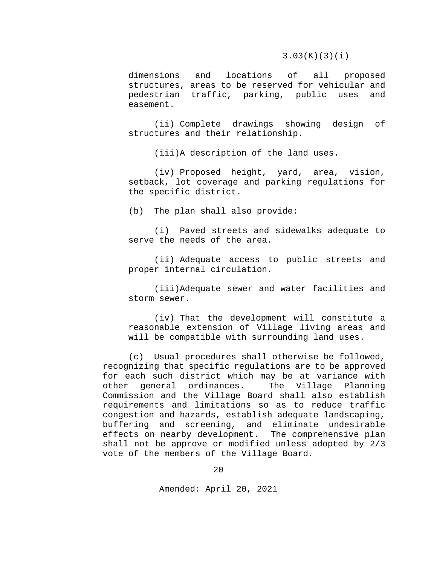#### 3.03(K)(3)(i)

dimensions and locations of all proposed structures, areas to be reserved for vehicular and<br>pedestrian traffic, parking, public uses and pedestrian traffic, parking, public easement.

(ii) Complete drawings showing design of structures and their relationship.

(iii)A description of the land uses.

(iv) Proposed height, yard, area, vision, setback, lot coverage and parking regulations for the specific district.

(b) The plan shall also provide:

(i) Paved streets and sidewalks adequate to serve the needs of the area.

(ii) Adequate access to public streets and proper internal circulation.

(iii)Adequate sewer and water facilities and storm sewer.

(iv) That the development will constitute a reasonable extension of Village living areas and will be compatible with surrounding land uses.

(c) Usual procedures shall otherwise be followed, recognizing that specific regulations are to be approved for each such district which may be at variance with other general ordinances. Commission and the Village Board shall also establish requirements and limitations so as to reduce traffic congestion and hazards, establish adequate landscaping, buffering and screening, and eliminate undesirable effects on nearby development. The comprehensive plan shall not be approve or modified unless adopted by 2/3 vote of the members of the Village Board.

20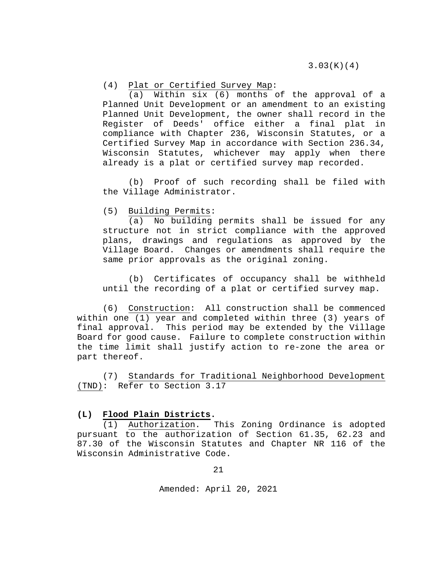# (4) Plat or Certified Survey Map:<br>(a) Within six (6) months

Within  $six$  (6) months of the approval of a Planned Unit Development or an amendment to an existing Planned Unit Development, the owner shall record in the Register of Deeds' office either a final plat in compliance with Chapter 236, Wisconsin Statutes, or a Certified Survey Map in accordance with Section 236.34, Wisconsin Statutes, whichever may apply when there already is a plat or certified survey map recorded.

(b) Proof of such recording shall be filed with the Village Administrator.

(5) Building Permits:

(a) No building permits shall be issued for any structure not in strict compliance with the approved plans, drawings and regulations as approved by the Village Board. Changes or amendments shall require the same prior approvals as the original zoning.

(b) Certificates of occupancy shall be withheld until the recording of a plat or certified survey map.

(6) Construction: All construction shall be commenced within one (1) year and completed within three (3) years of final approval. This period may be extended by the Village Board for good cause. Failure to complete construction within the time limit shall justify action to re-zone the area or part thereof.

(7) Standards for Traditional Neighborhood Development (TND): Refer to Section 3.17

# **(L) Flood Plain Districts.**

(1) Authorization. This Zoning Ordinance is adopted pursuant to the authorization of Section 61.35, 62.23 and 87.30 of the Wisconsin Statutes and Chapter NR 116 of the Wisconsin Administrative Code.

21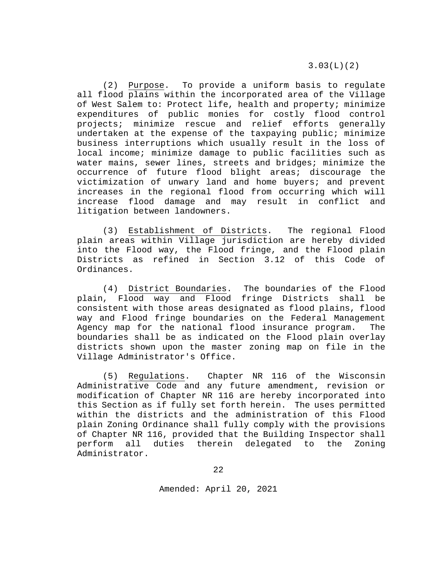(2) Purpose. To provide a uniform basis to regulate all flood plains within the incorporated area of the Village of West Salem to: Protect life, health and property; minimize expenditures of public monies for costly flood control projects; minimize rescue and relief efforts generally undertaken at the expense of the taxpaying public; minimize business interruptions which usually result in the loss of local income; minimize damage to public facilities such as water mains, sewer lines, streets and bridges; minimize the occurrence of future flood blight areas; discourage the victimization of unwary land and home buyers; and prevent increases in the regional flood from occurring which will increase flood damage and may result in conflict and litigation between landowners.

(3) Establishment of Districts. The regional Flood plain areas within Village jurisdiction are hereby divided into the Flood way, the Flood fringe, and the Flood plain Districts as refined in Section 3.12 of this Code of Ordinances.

(4) <u>District Boundaries</u>. The boundaries of the Flood<br>Flood way and Flood fringe Districts shall be plain, Flood way and Flood fringe Districts shall consistent with those areas designated as flood plains, flood way and Flood fringe boundaries on the Federal Management Agency map for the national flood insurance program. The boundaries shall be as indicated on the Flood plain overlay districts shown upon the master zoning map on file in the Village Administrator's Office.

(5) Regulations. Chapter NR 116 of the Wisconsin Administrative Code and any future amendment, revision or modification of Chapter NR 116 are hereby incorporated into this Section as if fully set forth herein. The uses permitted within the districts and the administration of this Flood plain Zoning Ordinance shall fully comply with the provisions of Chapter NR 116, provided that the Building Inspector shall perform all duties therein delegated to the Zoning Administrator.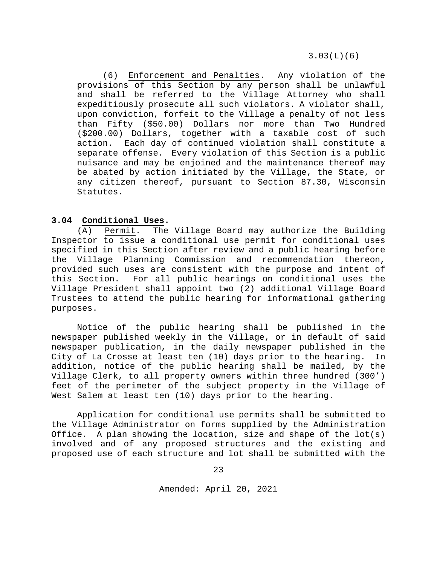(6) Enforcement and Penalties. Any violation of the provisions of this Section by any person shall be unlawful and shall be referred to the Village Attorney who shall expeditiously prosecute all such violators. A violator shall, upon conviction, forfeit to the Village a penalty of not less than Fifty (\$50.00) Dollars nor more than Two Hundred (\$200.00) Dollars, together with a taxable cost of such action. Each day of continued violation shall constitute a separate offense. Every violation of this Section is a public nuisance and may be enjoined and the maintenance thereof may be abated by action initiated by the Village, the State, or any citizen thereof, pursuant to Section 87.30, Wisconsin Statutes.

# <span id="page-22-0"></span>**3.04 Conditional Uses.**

(A) Permit. The Village Board may authorize the Building Inspector to issue a conditional use permit for conditional uses specified in this Section after review and a public hearing before the Village Planning Commission and recommendation thereon, provided such uses are consistent with the purpose and intent of this Section. For all public hearings on conditional uses the Village President shall appoint two (2) additional Village Board Trustees to attend the public hearing for informational gathering purposes.

Notice of the public hearing shall be published in the newspaper published weekly in the Village, or in default of said newspaper publication, in the daily newspaper published in the City of La Crosse at least ten (10) days prior to the hearing. In addition, notice of the public hearing shall be mailed, by the Village Clerk, to all property owners within three hundred (300') feet of the perimeter of the subject property in the Village of West Salem at least ten (10) days prior to the hearing.

Application for conditional use permits shall be submitted to the Village Administrator on forms supplied by the Administration Office. A plan showing the location, size and shape of the  $lot(s)$ involved and of any proposed structures and the existing and proposed use of each structure and lot shall be submitted with the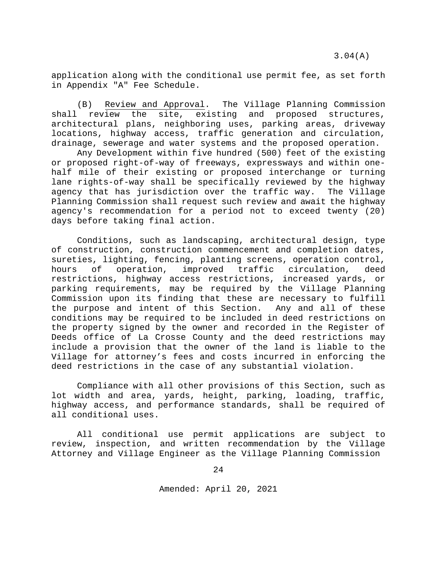3.04(A)

application along with the conditional use permit fee, as set forth in Appendix "A" Fee Schedule.

(B) Review and Approval. The Village Planning Commission shall review the site, existing and proposed structures, architectural plans, neighboring uses, parking areas, driveway locations, highway access, traffic generation and circulation, drainage, sewerage and water systems and the proposed operation.

Any Development within five hundred (500) feet of the existing or proposed right-of-way of freeways, expressways and within onehalf mile of their existing or proposed interchange or turning lane rights-of-way shall be specifically reviewed by the highway<br>agency that has jurisdiction over the traffic way. The Village agency that has jurisdiction over the traffic way. Planning Commission shall request such review and await the highway agency's recommendation for a period not to exceed twenty (20) days before taking final action.

Conditions, such as landscaping, architectural design, type of construction, construction commencement and completion dates, sureties, lighting, fencing, planting screens, operation control,<br>hours of operation, improved traffic circulation, deed hours of operation, improved traffic circulation, deed restrictions, highway access restrictions, increased yards, or parking requirements, may be required by the Village Planning Commission upon its finding that these are necessary to fulfill<br>the purpose and intent of this Section. Any and all of these the purpose and intent of this Section. conditions may be required to be included in deed restrictions on the property signed by the owner and recorded in the Register of Deeds office of La Crosse County and the deed restrictions may include a provision that the owner of the land is liable to the Village for attorney's fees and costs incurred in enforcing the deed restrictions in the case of any substantial violation.

Compliance with all other provisions of this Section, such as lot width and area, yards, height, parking, loading, traffic, highway access, and performance standards, shall be required of all conditional uses.

All conditional use permit applications are subject to review, inspection, and written recommendation by the Village Attorney and Village Engineer as the Village Planning Commission

24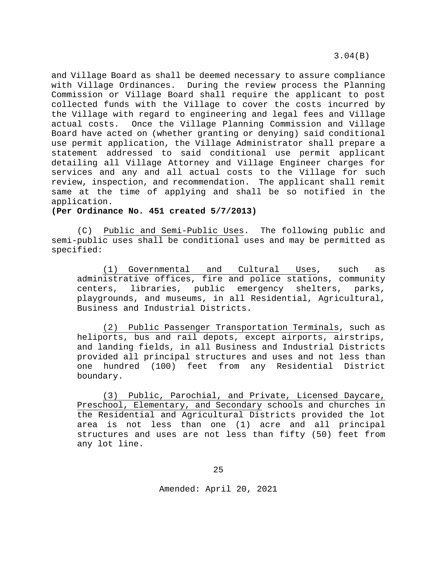3.04(B)

and Village Board as shall be deemed necessary to assure compliance with Village Ordinances. During the review process the Planning Commission or Village Board shall require the applicant to post collected funds with the Village to cover the costs incurred by the Village with regard to engineering and legal fees and Village actual costs. Once the Village Planning Commission and Village Board have acted on (whether granting or denying) said conditional use permit application, the Village Administrator shall prepare a statement addressed to said conditional use permit applicant detailing all Village Attorney and Village Engineer charges for services and any and all actual costs to the Village for such review, inspection, and recommendation. The applicant shall remit same at the time of applying and shall be so notified in the application.

**(Per Ordinance No. 451 created 5/7/2013)**

(C) Public and Semi-Public Uses. The following public and semi-public uses shall be conditional uses and may be permitted as specified:

(1) Governmental and Cultural Uses, such as administrative offices, fire and police stations, community centers, libraries, public emergency shelters, parks, playgrounds, and museums, in all Residential, Agricultural, Business and Industrial Districts.

(2) Public Passenger Transportation Terminals, such as heliports, bus and rail depots, except airports, airstrips, and landing fields, in all Business and Industrial Districts provided all principal structures and uses and not less than one hundred (100) feet from any Residential District boundary.

(3) Public, Parochial, and Private, Licensed Daycare, Preschool, Elementary, and Secondary schools and churches in the Residential and Agricultural Districts provided the lot area is not less than one (1) acre and all principal structures and uses are not less than fifty (50) feet from any lot line.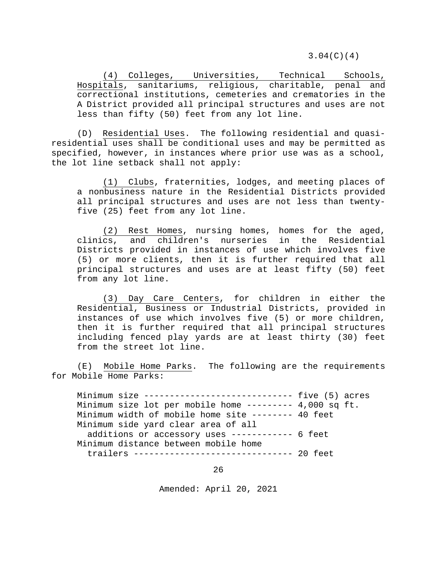3.04(C)(4)

(4) Colleges, Universities, Technical Schools, Hospitals, sanitariums, religious, charitable, penal and correctional institutions, cemeteries and crematories in the A District provided all principal structures and uses are not less than fifty (50) feet from any lot line.

(D) Residential Uses. The following residential and quasiresidential uses shall be conditional uses and may be permitted as specified, however, in instances where prior use was as a school, the lot line setback shall not apply:

(1) Clubs, fraternities, lodges, and meeting places of a nonbusiness nature in the Residential Districts provided all principal structures and uses are not less than twentyfive (25) feet from any lot line.

(2) Rest Homes, nursing homes, homes for the aged, clinics, and children's nurseries in the Residential Districts provided in instances of use which involves five (5) or more clients, then it is further required that all principal structures and uses are at least fifty (50) feet from any lot line.

(3) Day Care Centers, for children in either the Residential, Business or Industrial Districts, provided in instances of use which involves five (5) or more children, then it is further required that all principal structures including fenced play yards are at least thirty (30) feet from the street lot line.

(E) Mobile Home Parks. The following are the requirements for Mobile Home Parks:

Minimum size ----------------------------- five (5) acres Minimum size lot per mobile home --------- 4,000 sq ft. Minimum width of mobile home site -------- 40 feet Minimum side yard clear area of all additions or accessory uses ------------ 6 feet Minimum distance between mobile home trailers ------------------------------- 20 feet

26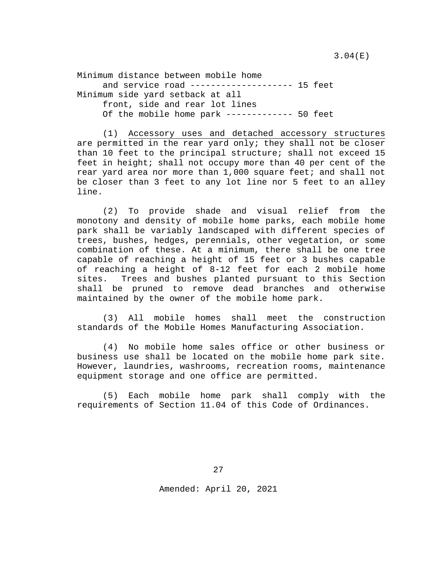Minimum distance between mobile home and service road -------------------- 15 feet Minimum side yard setback at all front, side and rear lot lines Of the mobile home park ------------- 50 feet

(1) Accessory uses and detached accessory structures are permitted in the rear yard only; they shall not be closer than 10 feet to the principal structure; shall not exceed 15 feet in height; shall not occupy more than 40 per cent of the rear yard area nor more than 1,000 square feet; and shall not be closer than 3 feet to any lot line nor 5 feet to an alley line.

(2) To provide shade and visual relief from the monotony and density of mobile home parks, each mobile home park shall be variably landscaped with different species of trees, bushes, hedges, perennials, other vegetation, or some combination of these. At a minimum, there shall be one tree capable of reaching a height of 15 feet or 3 bushes capable of reaching a height of 8-12 feet for each 2 mobile home sites. Trees and bushes planted pursuant to this Section shall be pruned to remove dead branches and otherwise maintained by the owner of the mobile home park.

(3) All mobile homes shall meet the construction standards of the Mobile Homes Manufacturing Association.

(4) No mobile home sales office or other business or business use shall be located on the mobile home park site. However, laundries, washrooms, recreation rooms, maintenance equipment storage and one office are permitted.

(5) Each mobile home park shall comply with the requirements of Section 11.04 of this Code of Ordinances.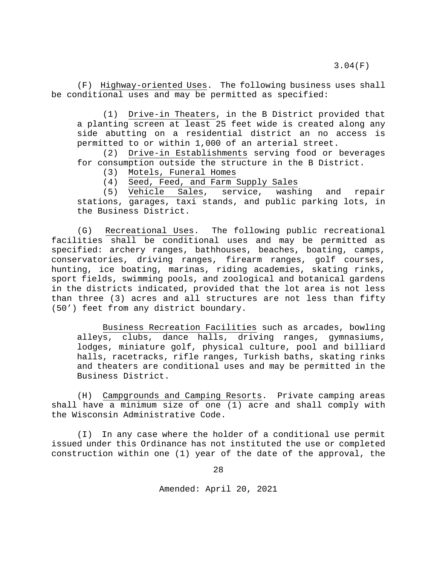(F) Highway-oriented Uses. The following business uses shall be conditional uses and may be permitted as specified:

(1) Drive-in Theaters, in the B District provided that a planting screen at least 25 feet wide is created along any side abutting on a residential district an no access is permitted to or within 1,000 of an arterial street.

(2) Drive-in Establishments serving food or beverages for consumption outside the structure in the B District.<br>(3) Motels, Funeral Homes

(3) Motels, Funeral Homes<br>(4) Seed, Feed, and Farm;

Seed, Feed, and Farm Supply Sales<br>Vehicle Sales, service, washing

(5) Vehicle Sales, service, washing and repair stations, garages, taxi stands, and public parking lots, in the Business District.

(G) Recreational Uses. The following public recreational facilities shall be conditional uses and may be permitted as specified: archery ranges, bathhouses, beaches, boating, camps, conservatories, driving ranges, firearm ranges, golf courses, hunting, ice boating, marinas, riding academies, skating rinks, sport fields, swimming pools, and zoological and botanical gardens in the districts indicated, provided that the lot area is not less than three (3) acres and all structures are not less than fifty (50') feet from any district boundary.

Business Recreation Facilities such as arcades, bowling alleys, clubs, dance halls, driving ranges, gymnasiums, lodges, miniature golf, physical culture, pool and billiard halls, racetracks, rifle ranges, Turkish baths, skating rinks and theaters are conditional uses and may be permitted in the Business District.

(H) Campgrounds and Camping Resorts. Private camping areas shall have a minimum size of one (1) acre and shall comply with the Wisconsin Administrative Code.

(I) In any case where the holder of a conditional use permit issued under this Ordinance has not instituted the use or completed construction within one (1) year of the date of the approval, the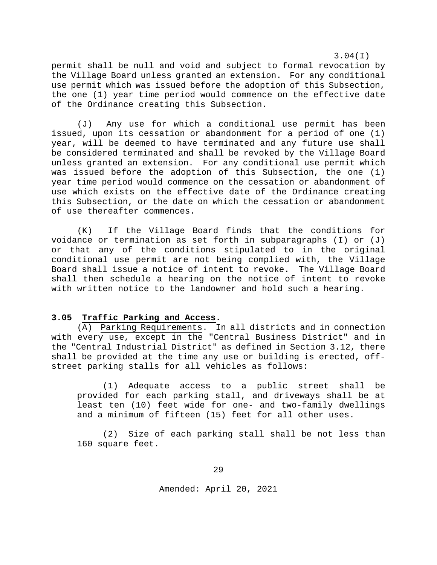3.04(I)

permit shall be null and void and subject to formal revocation by the Village Board unless granted an extension. For any conditional use permit which was issued before the adoption of this Subsection, the one (1) year time period would commence on the effective date of the Ordinance creating this Subsection.

(J) Any use for which a conditional use permit has been issued, upon its cessation or abandonment for a period of one (1) year, will be deemed to have terminated and any future use shall be considered terminated and shall be revoked by the Village Board unless granted an extension. For any conditional use permit which was issued before the adoption of this Subsection, the one (1) year time period would commence on the cessation or abandonment of use which exists on the effective date of the Ordinance creating this Subsection, or the date on which the cessation or abandonment of use thereafter commences.

(K) If the Village Board finds that the conditions for voidance or termination as set forth in subparagraphs  $(I)$  or  $(J)$ or that any of the conditions stipulated to in the original conditional use permit are not being complied with, the Village Board shall issue a notice of intent to revoke. The Village Board shall then schedule a hearing on the notice of intent to revoke with written notice to the landowner and hold such a hearing.

#### <span id="page-28-0"></span>**3.05 Traffic Parking and Access.**

(A) Parking Requirements. In all districts and in connection with every use, except in the "Central Business District" and in the "Central Industrial District" as defined in Section 3.12, there shall be provided at the time any use or building is erected, offstreet parking stalls for all vehicles as follows:

(1) Adequate access to a public street shall be provided for each parking stall, and driveways shall be at least ten (10) feet wide for one- and two-family dwellings and a minimum of fifteen (15) feet for all other uses.

(2) Size of each parking stall shall be not less than 160 square feet.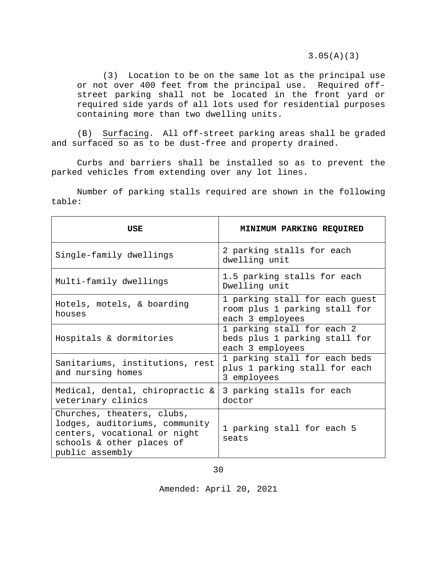3.05(A)(3)

(3) Location to be on the same lot as the principal use or not over 400 feet from the principal use. Required offstreet parking shall not be located in the front yard or required side yards of all lots used for residential purposes containing more than two dwelling units.

(B) Surfacing. All off-street parking areas shall be graded and surfaced so as to be dust-free and property drained.

Curbs and barriers shall be installed so as to prevent the parked vehicles from extending over any lot lines.

Number of parking stalls required are shown in the following table:

| USE                                                                                                                                          | <b>MINIMUM PARKING REQUIRED</b>                                                     |
|----------------------------------------------------------------------------------------------------------------------------------------------|-------------------------------------------------------------------------------------|
| Single-family dwellings                                                                                                                      | 2 parking stalls for each<br>dwelling unit                                          |
| Multi-family dwellings                                                                                                                       | 1.5 parking stalls for each<br>Dwelling unit                                        |
| Hotels, motels, & boarding<br>houses                                                                                                         | 1 parking stall for each guest<br>room plus 1 parking stall for<br>each 3 employees |
| Hospitals & dormitories                                                                                                                      | 1 parking stall for each 2<br>beds plus 1 parking stall for<br>each 3 employees     |
| Sanitariums, institutions, rest<br>and nursing homes                                                                                         | 1 parking stall for each beds<br>plus 1 parking stall for each<br>3 employees       |
| Medical, dental, chiropractic &<br>veterinary clinics                                                                                        | 3 parking stalls for each<br>doctor                                                 |
| Churches, theaters, clubs,<br>lodges, auditoriums, community<br>centers, vocational or night<br>schools & other places of<br>public assembly | 1 parking stall for each 5<br>seats                                                 |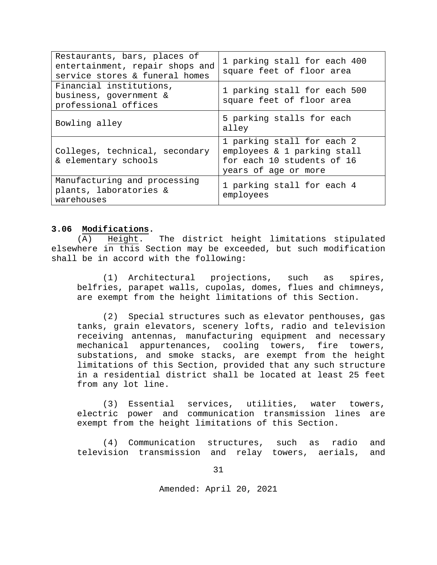| Restaurants, bars, places of<br>entertainment, repair shops and<br>service stores & funeral homes | 1 parking stall for each 400<br>square feet of floor area                                                       |
|---------------------------------------------------------------------------------------------------|-----------------------------------------------------------------------------------------------------------------|
| Financial institutions,<br>business, government &<br>professional offices                         | 1 parking stall for each 500<br>square feet of floor area                                                       |
| Bowling alley                                                                                     | 5 parking stalls for each<br>alley                                                                              |
| Colleges, technical, secondary<br>& elementary schools                                            | 1 parking stall for each 2<br>employees & 1 parking stall<br>for each 10 students of 16<br>years of age or more |
| Manufacturing and processing<br>plants, laboratories &<br>warehouses                              | 1 parking stall for each 4<br>employees                                                                         |

# <span id="page-30-0"></span>**3.06 Modifications.**

(A) Height. The district height limitations stipulated elsewhere in this Section may be exceeded, but such modification shall be in accord with the following:

(1) Architectural projections, such as spires, belfries, parapet walls, cupolas, domes, flues and chimneys, are exempt from the height limitations of this Section.

(2) Special structures such as elevator penthouses, gas tanks, grain elevators, scenery lofts, radio and television receiving antennas, manufacturing equipment and necessary mechanical appurtenances, cooling towers, fire towers, substations, and smoke stacks, are exempt from the height limitations of this Section, provided that any such structure in a residential district shall be located at least 25 feet from any lot line.

(3) Essential services, utilities, water towers, electric power and communication transmission lines are exempt from the height limitations of this Section.

(4) Communication structures, such as radio and television transmission and relay towers, aerials, and

31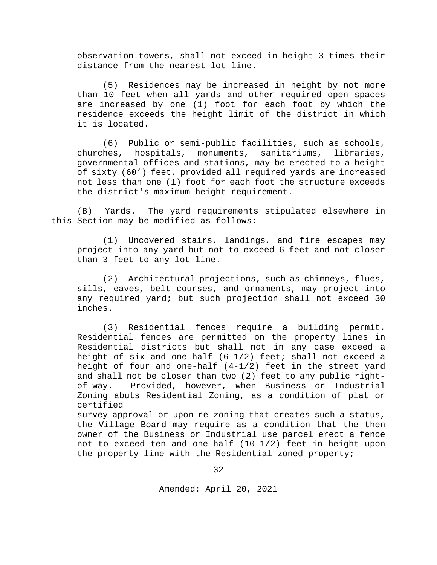observation towers, shall not exceed in height 3 times their distance from the nearest lot line.

(5) Residences may be increased in height by not more than 10 feet when all yards and other required open spaces are increased by one (1) foot for each foot by which the residence exceeds the height limit of the district in which it is located.

(6) Public or semi-public facilities, such as schools, churches, hospitals, monuments, sanitariums, governmental offices and stations, may be erected to a height of sixty (60') feet, provided all required yards are increased not less than one (1) foot for each foot the structure exceeds the district's maximum height requirement.

(B) Yards. The yard requirements stipulated elsewhere in this Section may be modified as follows:

(1) Uncovered stairs, landings, and fire escapes may project into any yard but not to exceed 6 feet and not closer than 3 feet to any lot line.

(2) Architectural projections, such as chimneys, flues, sills, eaves, belt courses, and ornaments, may project into any required yard; but such projection shall not exceed 30 inches.

(3) Residential fences require a building permit. Residential fences are permitted on the property lines in Residential districts but shall not in any case exceed a height of six and one-half (6-1/2) feet; shall not exceed a height of four and one-half  $(4-1/2)$  feet in the street yard and shall not be closer than two (2) feet to any public rightof-way. Provided, however, when Business or Industrial Zoning abuts Residential Zoning, as a condition of plat or certified

survey approval or upon re-zoning that creates such a status, the Village Board may require as a condition that the then owner of the Business or Industrial use parcel erect a fence not to exceed ten and one-half (10-1/2) feet in height upon the property line with the Residential zoned property;

32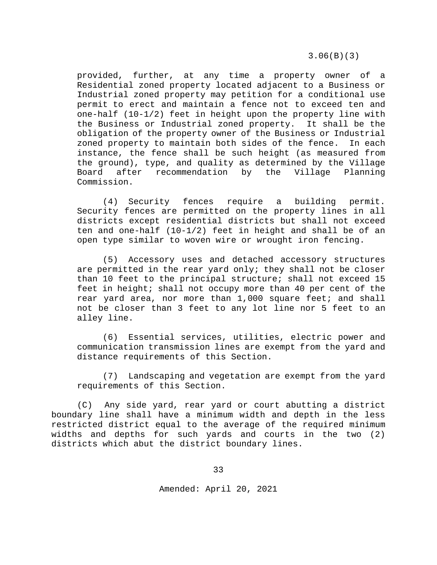3.06(B)(3)

provided, further, at any time a property owner of a Residential zoned property located adjacent to a Business or Industrial zoned property may petition for a conditional use permit to erect and maintain a fence not to exceed ten and one-half (10-1/2) feet in height upon the property line with the Business or Industrial zoned property. It shall be the obligation of the property owner of the Business or Industrial zoned property to maintain both sides of the fence. In each instance, the fence shall be such height (as measured from the ground), type, and quality as determined by the Village<br>Board after recommendation by the Village Planning Board after recommendation by the Commission.

(4) Security fences require a building permit. Security fences are permitted on the property lines in all districts except residential districts but shall not exceed ten and one-half (10-1/2) feet in height and shall be of an open type similar to woven wire or wrought iron fencing.

(5) Accessory uses and detached accessory structures are permitted in the rear yard only; they shall not be closer than 10 feet to the principal structure; shall not exceed 15 feet in height; shall not occupy more than 40 per cent of the rear yard area, nor more than 1,000 square feet; and shall not be closer than 3 feet to any lot line nor 5 feet to an alley line.

(6) Essential services, utilities, electric power and communication transmission lines are exempt from the yard and distance requirements of this Section.

(7) Landscaping and vegetation are exempt from the yard requirements of this Section.

(C) Any side yard, rear yard or court abutting a district boundary line shall have a minimum width and depth in the less restricted district equal to the average of the required minimum widths and depths for such yards and courts in the two (2) districts which abut the district boundary lines.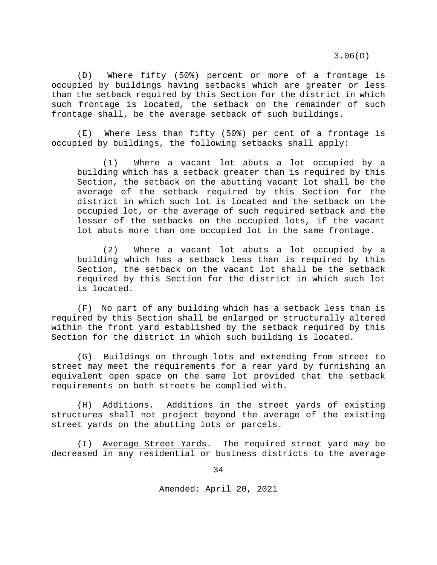3.06(D)

(D) Where fifty (50%) percent or more of a frontage is occupied by buildings having setbacks which are greater or less than the setback required by this Section for the district in which such frontage is located, the setback on the remainder of such frontage shall, be the average setback of such buildings.

(E) Where less than fifty (50%) per cent of a frontage is occupied by buildings, the following setbacks shall apply:

(1) Where a vacant lot abuts a lot occupied by a building which has a setback greater than is required by this Section, the setback on the abutting vacant lot shall be the average of the setback required by this Section for the district in which such lot is located and the setback on the occupied lot, or the average of such required setback and the lesser of the setbacks on the occupied lots, if the vacant lot abuts more than one occupied lot in the same frontage.

(2) Where a vacant lot abuts a lot occupied by a building which has a setback less than is required by this Section, the setback on the vacant lot shall be the setback required by this Section for the district in which such lot is located.

(F) No part of any building which has a setback less than is required by this Section shall be enlarged or structurally altered within the front yard established by the setback required by this Section for the district in which such building is located.

(G) Buildings on through lots and extending from street to street may meet the requirements for a rear yard by furnishing an equivalent open space on the same lot provided that the setback requirements on both streets be complied with.

(H) Additions. Additions in the street yards of existing structures shall not project beyond the average of the existing street yards on the abutting lots or parcels.

(I) Average Street Yards. The required street yard may be decreased in any residential or business districts to the average

34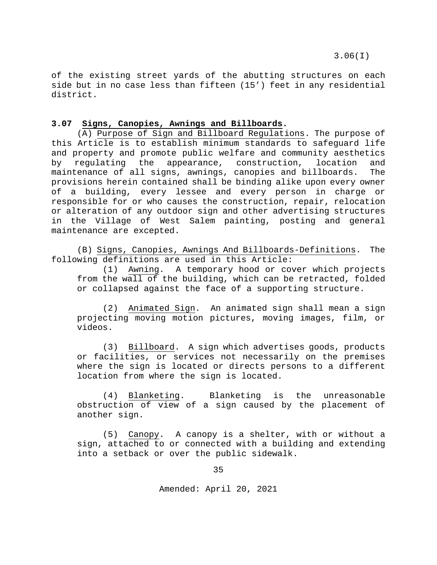of the existing street yards of the abutting structures on each side but in no case less than fifteen (15') feet in any residential district.

### <span id="page-34-0"></span>**3.07 Signs, Canopies, Awnings and Billboards.**

(A) Purpose of Sign and Billboard Regulations. The purpose of this Article is to establish minimum standards to safeguard life and property and promote public welfare and community aesthetics<br>by requlating the appearance, construction, location and by regulating the appearance, construction, location and<br>maintenance-of-all-signs, awnings, canopies-and-billboards. The maintenance of all signs, awnings, canopies and billboards. provisions herein contained shall be binding alike upon every owner of a building, every lessee and every person in charge or responsible for or who causes the construction, repair, relocation or alteration of any outdoor sign and other advertising structures in the Village of West Salem painting, posting and general maintenance are excepted.

(B) Signs, Canopies, Awnings And Billboards-Definitions. The following definitions are used in this Article:

(1) Awning. A temporary hood or cover which projects from the wall of the building, which can be retracted, folded or collapsed against the face of a supporting structure.

(2) Animated Sign. An animated sign shall mean a sign projecting moving motion pictures, moving images, film, or videos.

(3) Billboard. A sign which advertises goods, products or facilities, or services not necessarily on the premises where the sign is located or directs persons to a different location from where the sign is located.

(4) Blanketing. Blanketing is the unreasonable obstruction of view of a sign caused by the placement of another sign.

(5) Canopy. A canopy is a shelter, with or without a sign, attached to or connected with a building and extending into a setback or over the public sidewalk.

35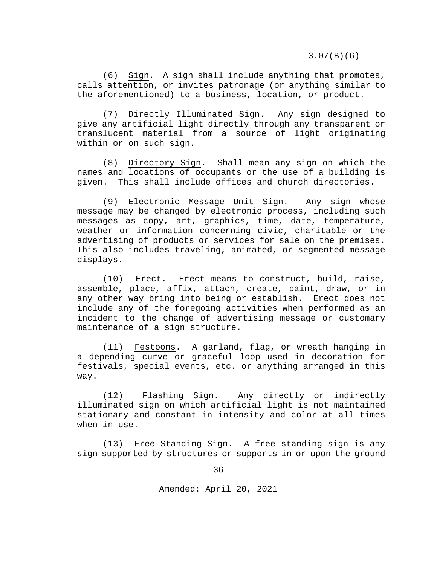3.07(B)(6)

(6) Sign. A sign shall include anything that promotes, calls attention, or invites patronage (or anything similar to the aforementioned) to a business, location, or product.

(7) Directly Illuminated Sign. Any sign designed to give any artificial light directly through any transparent or translucent material from a source of light originating within or on such sign.

(8) Directory Sign. Shall mean any sign on which the names and locations of occupants or the use of a building is given. This shall include offices and church directories.

(9) Electronic Message Unit Sign. Any sign whose message may be changed by electronic process, including such messages as copy, art, graphics, time, date, temperature, weather or information concerning civic, charitable or the advertising of products or services for sale on the premises. This also includes traveling, animated, or segmented message displays.

(10) Erect. Erect means to construct, build, raise, assemble, place, affix, attach, create, paint, draw, or in any other way bring into being or establish. Erect does not include any of the foregoing activities when performed as an incident to the change of advertising message or customary maintenance of a sign structure.

(11) Festoons. A garland, flag, or wreath hanging in a depending curve or graceful loop used in decoration for festivals, special events, etc. or anything arranged in this way.

(12) Flashing Sign. Any directly or indirectly illuminated sign on which artificial light is not maintained stationary and constant in intensity and color at all times when in use.

(13) Free Standing Sign. A free standing sign is any sign supported by structures or supports in or upon the ground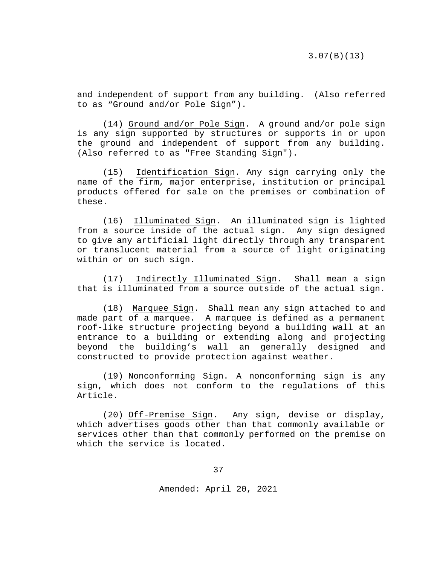and independent of support from any building. (Also referred to as "Ground and/or Pole Sign").

(14) Ground and/or Pole Sign. A ground and/or pole sign is any sign supported by structures or supports in or upon the ground and independent of support from any building. (Also referred to as "Free Standing Sign").

(15) Identification Sign. Any sign carrying only the name of the firm, major enterprise, institution or principal products offered for sale on the premises or combination of these.

(16) Illuminated Sign. An illuminated sign is lighted from a source inside of the actual sign. Any sign designed to give any artificial light directly through any transparent or translucent material from a source of light originating within or on such sign.

(17) Indirectly Illuminated Sign. Shall mean a sign that is illuminated from a source outside of the actual sign.

(18) Marquee Sign. Shall mean any sign attached to and made part of a marquee. A marquee is defined as a permanent roof-like structure projecting beyond a building wall at an entrance to a building or extending along and projecting beyond the building's wall an generally designed and constructed to provide protection against weather.

(19) Nonconforming Sign. A nonconforming sign is any sign, which does not conform to the regulations of this Article.

(20) Off-Premise Sign. Any sign, devise or display, which advertises goods other than that commonly available or services other than that commonly performed on the premise on which the service is located.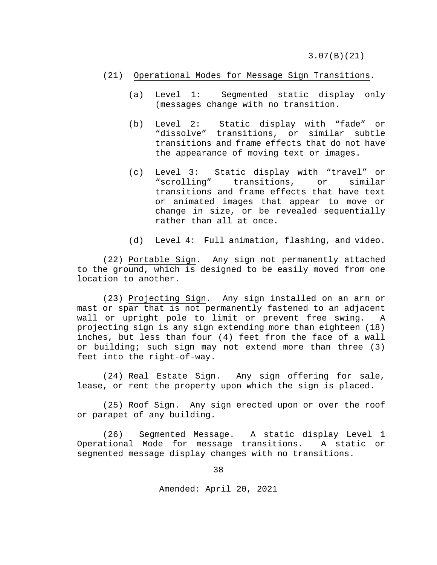3.07(B)(21)

#### (21) Operational Modes for Message Sign Transitions.

- (a) Level 1: Segmented static display only (messages change with no transition.
- (b) Level 2: Static display with "fade" or "dissolve" transitions, or similar subtle transitions and frame effects that do not have the appearance of moving text or images.
- (c) Level 3: Static display with "travel" or transitions, or similar transitions and frame effects that have text or animated images that appear to move or change in size, or be revealed sequentially rather than all at once.
- (d) Level 4: Full animation, flashing, and video.

(22) Portable Sign. Any sign not permanently attached to the ground, which is designed to be easily moved from one location to another.

(23) Projecting Sign. Any sign installed on an arm or mast or spar that is not permanently fastened to an adjacent wall or upright pole to limit or prevent free swing. A projecting sign is any sign extending more than eighteen (18) inches, but less than four (4) feet from the face of a wall or building; such sign may not extend more than three (3) feet into the right-of-way.

(24) Real Estate Sign. Any sign offering for sale, lease, or rent the property upon which the sign is placed.

(25) Roof Sign. Any sign erected upon or over the roof or parapet of any building.

(26) Segmented Message. A static display Level 1<br>tional Mode for message transitions. A static or Operational Mode for message transitions. segmented message display changes with no transitions.

38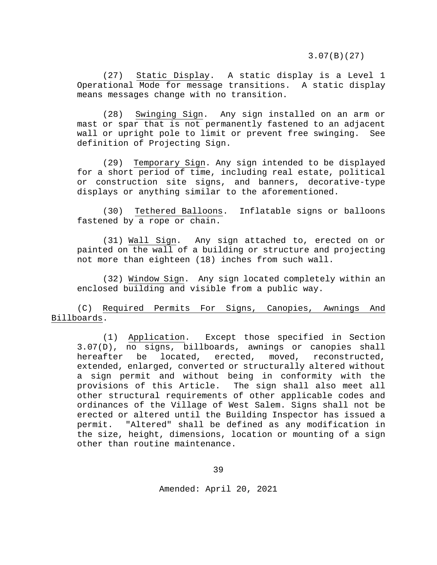(27) Static Display. A static display is a Level 1 Operational Mode for message transitions. A static display means messages change with no transition.

(28) Swinging Sign. Any sign installed on an arm or mast or spar that is not permanently fastened to an adjacent wall or upright pole to limit or prevent free swinging. See definition of Projecting Sign.

(29) Temporary Sign. Any sign intended to be displayed for a short period of time, including real estate, political or construction site signs, and banners, decorative-type displays or anything similar to the aforementioned.

(30) Tethered Balloons. Inflatable signs or balloons fastened by a rope or chain.

(31) Wall Sign. Any sign attached to, erected on or painted on the wall of a building or structure and projecting not more than eighteen (18) inches from such wall.

(32) Window Sign. Any sign located completely within an enclosed building and visible from a public way.

(C) Required Permits For Signs, Canopies, Awnings And Billboards.

(1) Application. Except those specified in Section 3.07(D), no signs, billboards, awnings or canopies shall hereafter be located, erected, moved, extended, enlarged, converted or structurally altered without a sign permit and without being in conformity with the provisions of this Article. The sign shall also meet all other structural requirements of other applicable codes and ordinances of the Village of West Salem. Signs shall not be erected or altered until the Building Inspector has issued a<br>permit. "Altered" shall be defined as any modification in "Altered" shall be defined as any modification in the size, height, dimensions, location or mounting of a sign other than routine maintenance.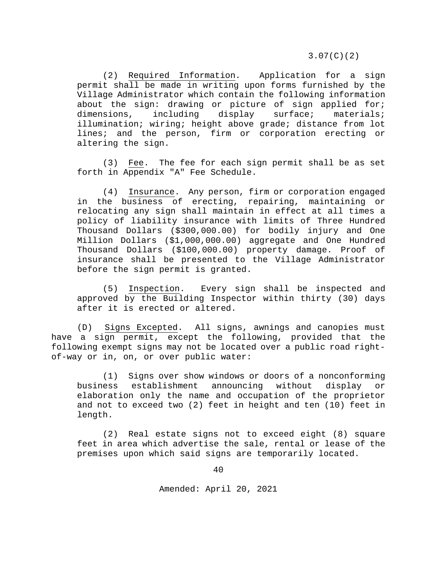3.07(C)(2)

(2) Required Information. Application for a sign permit shall be made in writing upon forms furnished by the Village Administrator which contain the following information about the sign: drawing or picture of sign applied for;<br>dimensions, including display surface; materials; dimensions, including display surface; materials; illumination; wiring; height above grade; distance from lot lines; and the person, firm or corporation erecting or altering the sign.

(3) Fee. The fee for each sign permit shall be as set forth in Appendix "A" Fee Schedule.

(4) Insurance. Any person, firm or corporation engaged in the business of erecting, repairing, maintaining or relocating any sign shall maintain in effect at all times a policy of liability insurance with limits of Three Hundred Thousand Dollars (\$300,000.00) for bodily injury and One Million Dollars (\$1,000,000.00) aggregate and One Hundred Thousand Dollars (\$100,000.00) property damage. Proof of insurance shall be presented to the Village Administrator before the sign permit is granted.

(5) Inspection. Every sign shall be inspected and approved by the Building Inspector within thirty (30) days after it is erected or altered.

(D) Signs Excepted. All signs, awnings and canopies must have a sign permit, except the following, provided that the following exempt signs may not be located over a public road rightof-way or in, on, or over public water:

(1) Signs over show windows or doors of a nonconforming business establishment announcing without display or elaboration only the name and occupation of the proprietor and not to exceed two (2) feet in height and ten (10) feet in length.

(2) Real estate signs not to exceed eight (8) square feet in area which advertise the sale, rental or lease of the premises upon which said signs are temporarily located.

40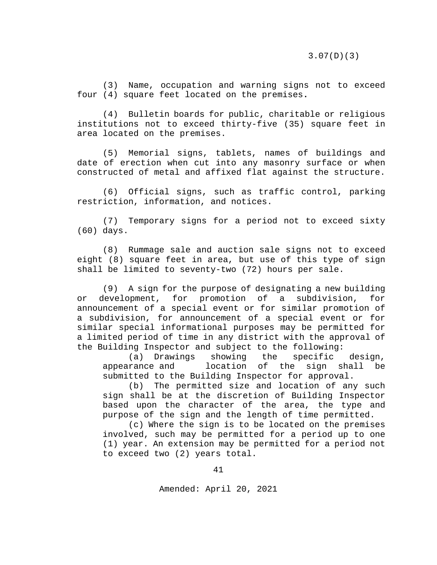(3) Name, occupation and warning signs not to exceed four (4) square feet located on the premises**.**

(4) Bulletin boards for public, charitable or religious institutions not to exceed thirty-five (35) square feet in area located on the premises.

(5) Memorial signs, tablets, names of buildings and date of erection when cut into any masonry surface or when constructed of metal and affixed flat against the structure.

(6) Official signs, such as traffic control, parking restriction, information, and notices.

(7) Temporary signs for a period not to exceed sixty (60) days.

(8) Rummage sale and auction sale signs not to exceed eight (8) square feet in area, but use of this type of sign shall be limited to seventy-two (72) hours per sale.

(9) A sign for the purpose of designating a new building<br>levelopment, for promotion of a subdivision, for or development, for promotion of a subdivision, announcement of a special event or for similar promotion of a subdivision, for announcement of a special event or for similar special informational purposes may be permitted for a limited period of time in any district with the approval of the Building Inspector and subject to the following:<br>(a) Drawings showing the specific

(a) Drawings showing the specific design,<br>rance and location of the sign shall be appearance and submitted to the Building Inspector for approval.

(b) The permitted size and location of any such sign shall be at the discretion of Building Inspector based upon the character of the area, the type and purpose of the sign and the length of time permitted.

(c) Where the sign is to be located on the premises involved, such may be permitted for a period up to one (1) year. An extension may be permitted for a period not to exceed two (2) years total.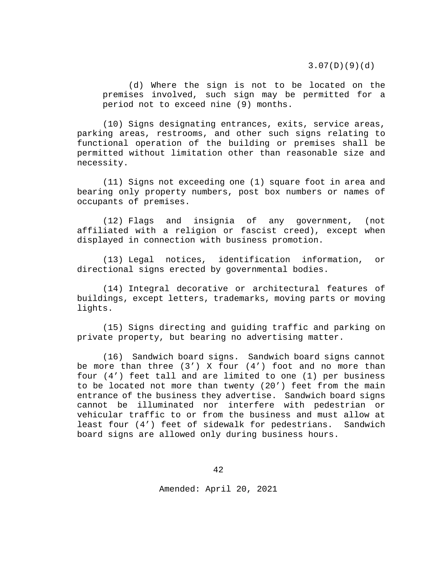3.07(D)(9)(d)

(d) Where the sign is not to be located on the premises involved, such sign may be permitted for a period not to exceed nine (9) months.

(10) Signs designating entrances, exits, service areas, parking areas, restrooms, and other such signs relating to functional operation of the building or premises shall be permitted without limitation other than reasonable size and necessity.

(11) Signs not exceeding one (1) square foot in area and bearing only property numbers, post box numbers or names of occupants of premises.

(12) Flags and insignia of any government, (not affiliated with a religion or fascist creed), except when displayed in connection with business promotion.

(13) Legal notices, identification information, or directional signs erected by governmental bodies.

(14) Integral decorative or architectural features of buildings, except letters, trademarks, moving parts or moving lights.

(15) Signs directing and guiding traffic and parking on private property, but bearing no advertising matter.

(16) Sandwich board signs. Sandwich board signs cannot be more than three  $(3')$  X four  $(4')$  foot and no more than four (4') feet tall and are limited to one (1) per business to be located not more than twenty (20') feet from the main entrance of the business they advertise. Sandwich board signs cannot be illuminated nor interfere with pedestrian or vehicular traffic to or from the business and must allow at least four (4') feet of sidewalk for pedestrians. Sandwich board signs are allowed only during business hours.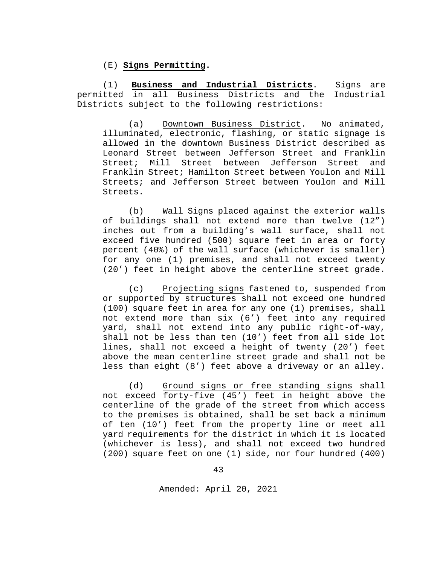(E) **Signs Permitting.**

(1) **Business and Industrial Districts**. Signs are permitted in all Business Districts and the Industrial Districts subject to the following restrictions:

(a) Downtown Business District. No animated, illuminated, electronic, flashing, or static signage is allowed in the downtown Business District described as Leonard Street between Jefferson Street and Franklin Street; Mill Street between Jefferson Street and Franklin Street; Hamilton Street between Youlon and Mill Streets; and Jefferson Street between Youlon and Mill Streets.

(b) Wall Signs placed against the exterior walls of buildings shall not extend more than twelve (12") inches out from a building's wall surface, shall not exceed five hundred (500) square feet in area or forty percent (40%) of the wall surface (whichever is smaller) for any one (1) premises, and shall not exceed twenty (20') feet in height above the centerline street grade.

(c) Projecting signs fastened to, suspended from or supported by structures shall not exceed one hundred (100) square feet in area for any one (1) premises, shall not extend more than six (6') feet into any required yard, shall not extend into any public right-of-way, shall not be less than ten (10') feet from all side lot lines, shall not exceed a height of twenty (20') feet above the mean centerline street grade and shall not be less than eight (8') feet above a driveway or an alley.

(d) Ground signs or free standing signs shall not exceed forty-five (45') feet in height above the centerline of the grade of the street from which access to the premises is obtained, shall be set back a minimum of ten (10') feet from the property line or meet all yard requirements for the district in which it is located (whichever is less), and shall not exceed two hundred (200) square feet on one (1) side, nor four hundred (400)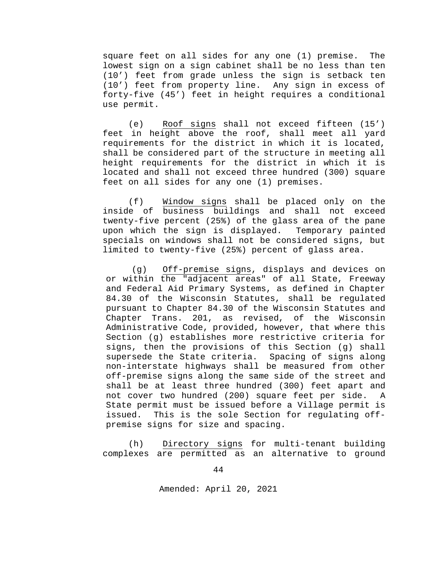square feet on all sides for any one (1) premise. The lowest sign on a sign cabinet shall be no less than ten (10') feet from grade unless the sign is setback ten (10') feet from property line. Any sign in excess of forty-five (45') feet in height requires a conditional use permit.

(e) Roof signs shall not exceed fifteen (15') feet in height above the roof, shall meet all yard requirements for the district in which it is located, shall be considered part of the structure in meeting all height requirements for the district in which it is located and shall not exceed three hundred (300) square feet on all sides for any one (1) premises.

(f) Window signs shall be placed only on the inside of business buildings and shall not exceed twenty-five percent (25%) of the glass area of the pane upon which the sign is displayed. Temporary painted specials on windows shall not be considered signs, but limited to twenty-five (25%) percent of glass area.

(g) Off-premise signs, displays and devices on or within the "adjacent areas" of all State, Freeway and Federal Aid Primary Systems, as defined in Chapter 84.30 of the Wisconsin Statutes, shall be regulated pursuant to Chapter 84.30 of the Wisconsin Statutes and Chapter Trans. 201, as revised, of the Wisconsin Administrative Code, provided, however, that where this Section (g) establishes more restrictive criteria for signs, then the provisions of this Section (g) shall<br>supersede the State criteria. Spacing of signs along supersede the State criteria. non-interstate highways shall be measured from other off-premise signs along the same side of the street and shall be at least three hundred (300) feet apart and not cover two hundred (200) square feet per side. A State permit must be issued before a Village permit is issued. This is the sole Section for regulating offpremise signs for size and spacing.

(h) Directory signs for multi-tenant building complexes are permitted as an alternative to ground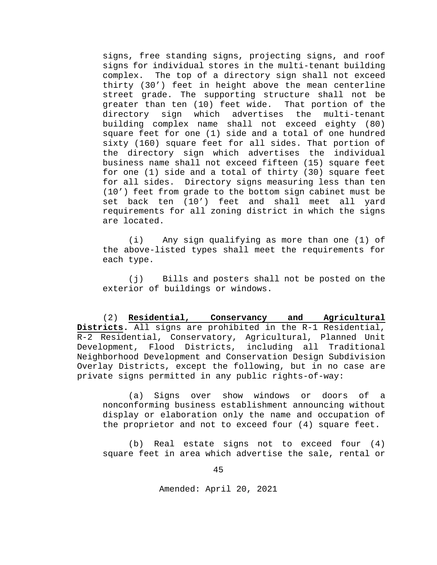signs, free standing signs, projecting signs, and roof signs for individual stores in the multi-tenant building complex. The top of a directory sign shall not exceed thirty (30') feet in height above the mean centerline street grade. The supporting structure shall not be<br>greater than ten (10) feet wide. That portion of the greater than ten (10) feet wide.<br>directory sign which advertise sign which advertises the multi-tenant building complex name shall not exceed eighty (80) square feet for one (1) side and a total of one hundred sixty (160) square feet for all sides. That portion of the directory sign which advertises the individual business name shall not exceed fifteen (15) square feet for one (1) side and a total of thirty (30) square feet for all sides.Directory signs measuring less than ten (10') feet from grade to the bottom sign cabinet must be set back ten (10') feet and shall meet all yard requirements for all zoning district in which the signs are located.

(i) Any sign qualifying as more than one (1) of the above-listed types shall meet the requirements for each type.

(j) Bills and posters shall not be posted on the exterior of buildings or windows.

(2) **Residential, Conservancy and Agricultural Districts.** All signs are prohibited in the R-1 Residential, R-2 Residential, Conservatory, Agricultural, Planned Unit Development, Flood Districts, including all Traditional Neighborhood Development and Conservation Design Subdivision Overlay Districts, except the following, but in no case are private signs permitted in any public rights-of-way:

(a) Signs over show windows or doors of a nonconforming business establishment announcing without display or elaboration only the name and occupation of the proprietor and not to exceed four (4) square feet.

(b) Real estate signs not to exceed four (4) square feet in area which advertise the sale, rental or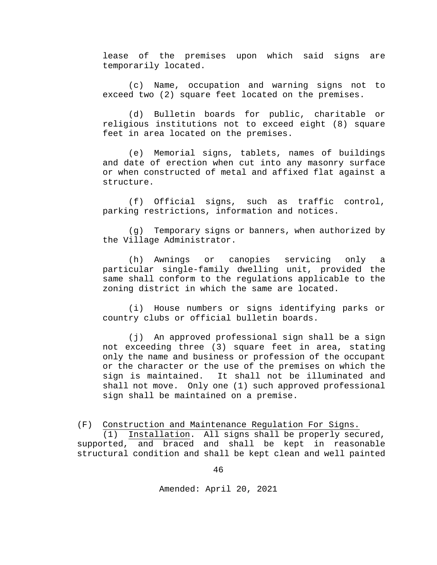lease of the premises upon which said signs are temporarily located.

(c) Name, occupation and warning signs not to exceed two (2) square feet located on the premises.

(d) Bulletin boards for public, charitable or religious institutions not to exceed eight (8) square feet in area located on the premises.

(e) Memorial signs, tablets, names of buildings and date of erection when cut into any masonry surface or when constructed of metal and affixed flat against a structure.

(f) Official signs, such as traffic control, parking restrictions, information and notices.

(g) Temporary signs or banners, when authorized by the Village Administrator.

(h) Awnings or canopies servicing only a particular single-family dwelling unit, provided the same shall conform to the regulations applicable to the zoning district in which the same are located.

(i) House numbers or signs identifying parks or country clubs or official bulletin boards.

(j) An approved professional sign shall be a sign not exceeding three (3) square feet in area, stating only the name and business or profession of the occupant or the character or the use of the premises on which the sign is maintained. It shall not be illuminated and shall not move. Only one (1) such approved professional sign shall be maintained on a premise.

(F) Construction and Maintenance Regulation For Signs.

(1) Installation. All signs shall be properly secured, supported, and braced and shall be kept in reasonable structural condition and shall be kept clean and well painted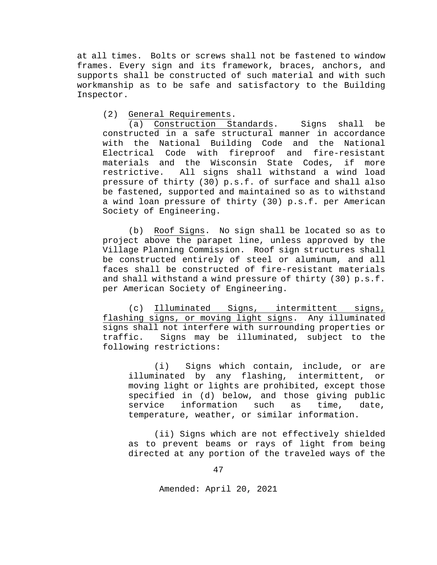at all times. Bolts or screws shall not be fastened to window frames. Every sign and its framework, braces, anchors, and supports shall be constructed of such material and with such workmanship as to be safe and satisfactory to the Building Inspector.

## (2) General Requirements.

(a) Construction Standards. Signs shall be constructed in a safe structural manner in accordance with the National Building Code and the National Electrical Code with fireproof and fire-resistant materials and the Wisconsin State Codes, if more<br>restrictive. All signs shall withstand a wind load All signs shall withstand a wind load pressure of thirty (30) p.s.f. of surface and shall also be fastened, supported and maintained so as to withstand a wind loan pressure of thirty (30) p.s.f. per American Society of Engineering.

(b) Roof Signs. No sign shall be located so as to project above the parapet line, unless approved by the Village Planning Commission. Roof sign structures shall be constructed entirely of steel or aluminum, and all faces shall be constructed of fire-resistant materials and shall withstand a wind pressure of thirty (30) p.s.f. per American Society of Engineering.

(c) Illuminated Signs, intermittent signs, flashing signs, or moving light signs. Any illuminated signs shall not interfere with surrounding properties or traffic. Signs may be illuminated, subject to the following restrictions:

(i) Signs which contain, include, or are<br>inated by any flashing, intermittent, or illuminated by any flashing, intermittent, moving light or lights are prohibited, except those specified in (d) below, and those giving public<br>service information such as time, date, information such as time, date, temperature, weather, or similar information.

(ii) Signs which are not effectively shielded as to prevent beams or rays of light from being directed at any portion of the traveled ways of the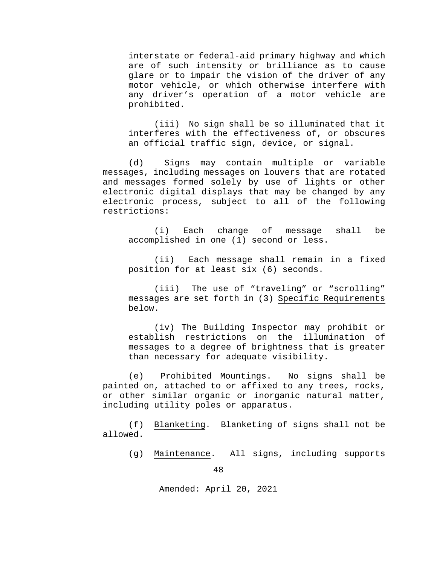interstate or federal-aid primary highway and which are of such intensity or brilliance as to cause glare or to impair the vision of the driver of any motor vehicle, or which otherwise interfere with any driver's operation of a motor vehicle are prohibited.

(iii) No sign shall be so illuminated that it interferes with the effectiveness of, or obscures an official traffic sign, device, or signal.

(d) Signs may contain multiple or variable messages, including messages on louvers that are rotated and messages formed solely by use of lights or other electronic digital displays that may be changed by any electronic process, subject to all of the following restrictions:

(i) Each change of message shall be accomplished in one (1) second or less.

(ii) Each message shall remain in a fixed position for at least six (6) seconds.

(iii) The use of "traveling" or "scrolling" messages are set forth in (3) Specific Requirements below.

(iv) The Building Inspector may prohibit or establish restrictions on the illumination of messages to a degree of brightness that is greater than necessary for adequate visibility.

(e) Prohibited Mountings. No signs shall be painted on, attached to or affixed to any trees, rocks, or other similar organic or inorganic natural matter, including utility poles or apparatus.

(f) Blanketing. Blanketing of signs shall not be allowed.

(g) Maintenance. All signs, including supports

48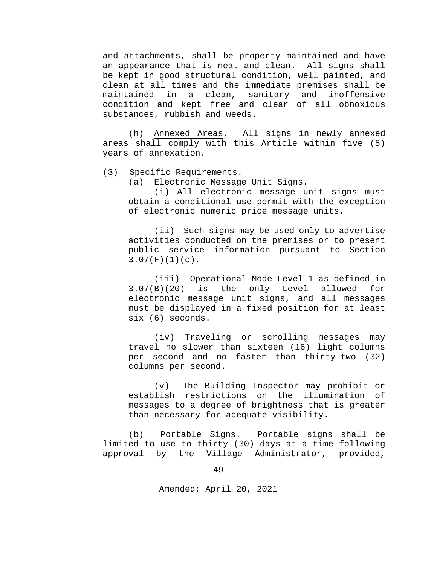and attachments, shall be property maintained and have an appearance that is neat and clean. All signs shall be kept in good structural condition, well painted, and clean at all times and the immediate premises shall be sanitary and inoffensive condition and kept free and clear of all obnoxious substances, rubbish and weeds.

(h) Annexed Areas. All signs in newly annexed areas shall comply with this Article within five (5) years of annexation.

(3) Specific Requirements.

(a) Electronic Message Unit Signs.

(i) All electronic message unit signs must obtain a conditional use permit with the exception of electronic numeric price message units.

(ii) Such signs may be used only to advertise activities conducted on the premises or to present public service information pursuant to Section  $3.07(F)(1)(c)$ .

(iii) Operational Mode Level 1 as defined in 3.07(B)(20) is the only Level allowed for electronic message unit signs, and all messages must be displayed in a fixed position for at least six (6) seconds.

(iv) Traveling or scrolling messages may travel no slower than sixteen (16) light columns per second and no faster than thirty-two (32) columns per second.

(v) The Building Inspector may prohibit or establish restrictions on the illumination of messages to a degree of brightness that is greater than necessary for adequate visibility.

(b) Portable Signs. Portable signs shall be limited to use to thirty (30) days at a time following approval by the Village Administrator, provided,

49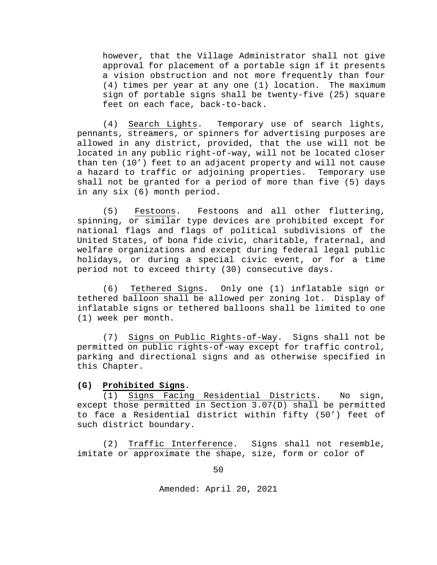however, that the Village Administrator shall not give approval for placement of a portable sign if it presents a vision obstruction and not more frequently than four (4) times per year at any one (1) location. The maximum sign of portable signs shall be twenty-five (25) square feet on each face, back-to-back.

(4) Search Lights. Temporary use of search lights, pennants, streamers, or spinners for advertising purposes are allowed in any district, provided, that the use will not be located in any public right-of-way, will not be located closer than ten (10') feet to an adjacent property and will not cause a hazard to traffic or adjoining properties. Temporary use shall not be granted for a period of more than five (5) days in any six (6) month period.

(5) Festoons. Festoons and all other fluttering, spinning, or similar type devices are prohibited except for national flags and flags of political subdivisions of the United States, of bona fide civic, charitable, fraternal, and welfare organizations and except during federal legal public holidays, or during a special civic event, or for a time period not to exceed thirty (30) consecutive days.

(6) Tethered Signs. Only one (1) inflatable sign or tethered balloon shall be allowed per zoning lot. Display of inflatable signs or tethered balloons shall be limited to one (1) week per month.

(7) Signs on Public Rights-of-Way. Signs shall not be permitted on public rights-of-way except for traffic control, parking and directional signs and as otherwise specified in this Chapter.

### **(G) Prohibited Signs**.

(1) Signs Facing Residential Districts. No sign, except those permitted in Section 3.07(D) shall be permitted to face a Residential district within fifty (50') feet of such district boundary.

(2) Traffic Interference. Signs shall not resemble, imitate or approximate the shape, size, form or color of

50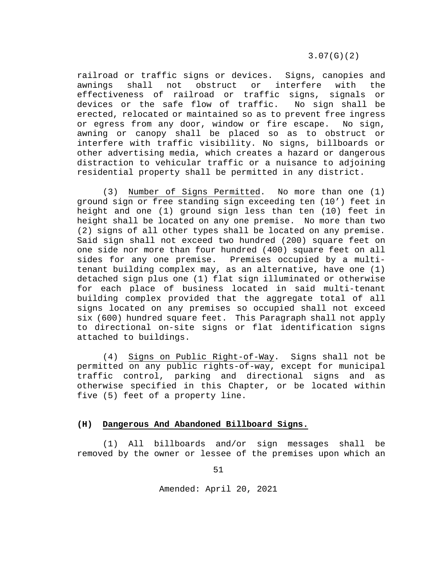3.07(G)(2)

railroad or traffic signs or devices. Signs, canopies and<br>awnings shall not obstruct or interfere with the awnings shall not obstruct or interfere with the effectiveness of railroad or traffic signs, signals or<br>devices or the safe flow of traffic. No sign shall be devices or the safe flow of traffic. erected, relocated or maintained so as to prevent free ingress or egress from any door, window or fire escape. No sign, awning or canopy shall be placed so as to obstruct or interfere with traffic visibility. No signs, billboards or other advertising media, which creates a hazard or dangerous distraction to vehicular traffic or a nuisance to adjoining residential property shall be permitted in any district.

(3) Number of Signs Permitted. No more than one (1) ground sign or free standing sign exceeding ten (10') feet in height and one (1) ground sign less than ten (10) feet in height shall be located on any one premise. No more than two (2) signs of all other types shall be located on any premise. Said sign shall not exceed two hundred (200) square feet on one side nor more than four hundred (400) square feet on all sides for any one premise. Premises occupied by a multitenant building complex may, as an alternative, have one (1) detached sign plus one (1) flat sign illuminated or otherwise for each place of business located in said multi-tenant building complex provided that the aggregate total of all signs located on any premises so occupied shall not exceed six (600) hundred square feet. This Paragraph shall not apply to directional on-site signs or flat identification signs attached to buildings.

(4) Signs on Public Right-of-Way. Signs shall not be permitted on any public rights-of-way, except for municipal traffic control, parking and directional signs and as otherwise specified in this Chapter, or be located within five (5) feet of a property line.

### **(H) Dangerous And Abandoned Billboard Signs.**

(1) All billboards and/or sign messages shall be removed by the owner or lessee of the premises upon which an

51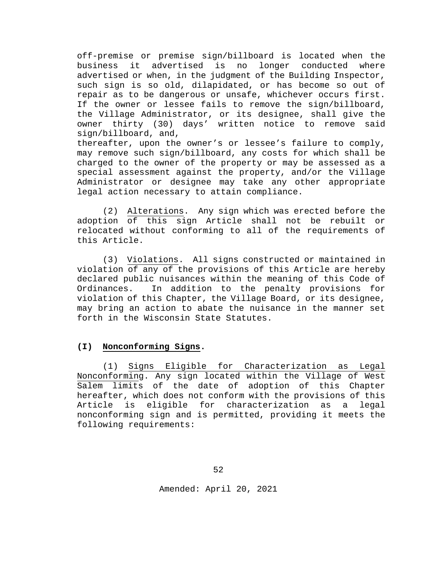off-premise or premise sign/billboard is located when the business it advertised is no longer conducted where advertised or when, in the judgment of the Building Inspector, such sign is so old, dilapidated, or has become so out of repair as to be dangerous or unsafe, whichever occurs first. If the owner or lessee fails to remove the sign/billboard, the Village Administrator, or its designee, shall give the owner thirty (30) days' written notice to remove said sign/billboard, and,

thereafter, upon the owner's or lessee's failure to comply, may remove such sign/billboard, any costs for which shall be charged to the owner of the property or may be assessed as a special assessment against the property, and/or the Village Administrator or designee may take any other appropriate legal action necessary to attain compliance.

(2) Alterations. Any sign which was erected before the adoption of this sign Article shall not be rebuilt or relocated without conforming to all of the requirements of this Article.

(3) Violations. All signs constructed or maintained in violation of any of the provisions of this Article are hereby declared public nuisances within the meaning of this Code of Ordinances. In addition to the penalty provisions for violation of this Chapter, the Village Board, or its designee, may bring an action to abate the nuisance in the manner set forth in the Wisconsin State Statutes.

## **(I) Nonconforming Signs.**

(1) Signs Eligible for Characterization as Legal Nonconforming. Any sign located within the Village of West Salem limits of the date of adoption of this Chapter hereafter, which does not conform with the provisions of this Article is eligible for characterization as a legal nonconforming sign and is permitted, providing it meets the following requirements: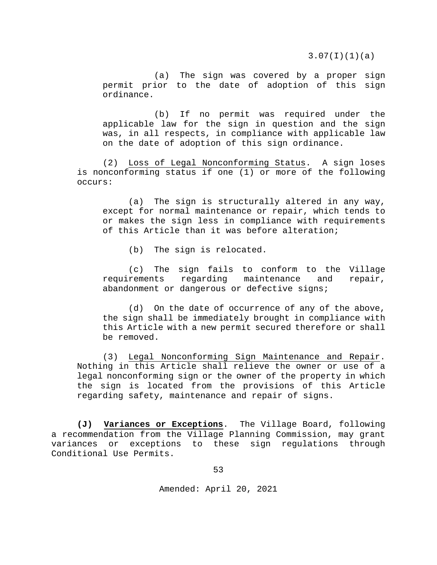3.07(I)(1)(a)

(a) The sign was covered by a proper sign permit prior to the date of adoption of this sign ordinance.

(b) If no permit was required under the applicable law for the sign in question and the sign was, in all respects, in compliance with applicable law on the date of adoption of this sign ordinance.

(2) Loss of Legal Nonconforming Status. A sign loses is nonconforming status if one (1) or more of the following occurs:

(a) The sign is structurally altered in any way, except for normal maintenance or repair, which tends to or makes the sign less in compliance with requirements of this Article than it was before alteration;

(b) The sign is relocated.

(c) The sign fails to conform to the Village<br>rements regarding maintenance and repair, requirements regarding maintenance and repair, abandonment or dangerous or defective signs;

(d) On the date of occurrence of any of the above, the sign shall be immediately brought in compliance with this Article with a new permit secured therefore or shall be removed.

(3) Legal Nonconforming Sign Maintenance and Repair. Nothing in this Article shall relieve the owner or use of a legal nonconforming sign or the owner of the property in which the sign is located from the provisions of this Article regarding safety, maintenance and repair of signs.

**(J) Variances or Exceptions**. The Village Board, following a recommendation from the Village Planning Commission, may grant variances or exceptions to these sign regulations through Conditional Use Permits.

53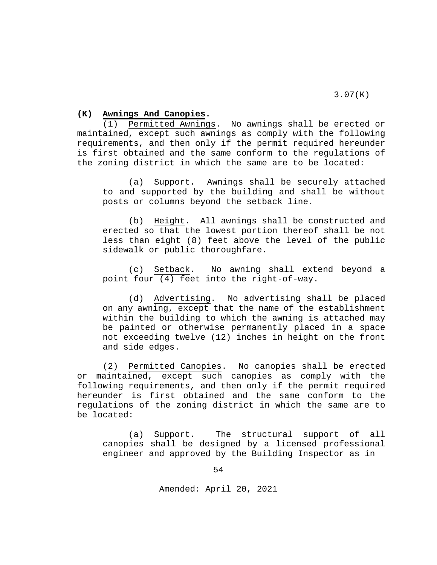## **(K) Awnings And Canopies.**

(1) Permitted Awnings. No awnings shall be erected or maintained, except such awnings as comply with the following requirements, and then only if the permit required hereunder is first obtained and the same conform to the regulations of the zoning district in which the same are to be located:

(a) Support. Awnings shall be securely attached to and supported by the building and shall be without posts or columns beyond the setback line.

(b) Height. All awnings shall be constructed and erected so that the lowest portion thereof shall be not less than eight (8) feet above the level of the public sidewalk or public thoroughfare.

(c) Setback. No awning shall extend beyond a point four (4) feet into the right-of-way.

(d) Advertising. No advertising shall be placed on any awning, except that the name of the establishment within the building to which the awning is attached may be painted or otherwise permanently placed in a space not exceeding twelve (12) inches in height on the front and side edges.

(2) Permitted Canopies. No canopies shall be erected or maintained, except such canopies as comply with the following requirements, and then only if the permit required hereunder is first obtained and the same conform to the regulations of the zoning district in which the same are to be located:

(a) Support. The structural support of all canopies shall be designed by a licensed professional engineer and approved by the Building Inspector as in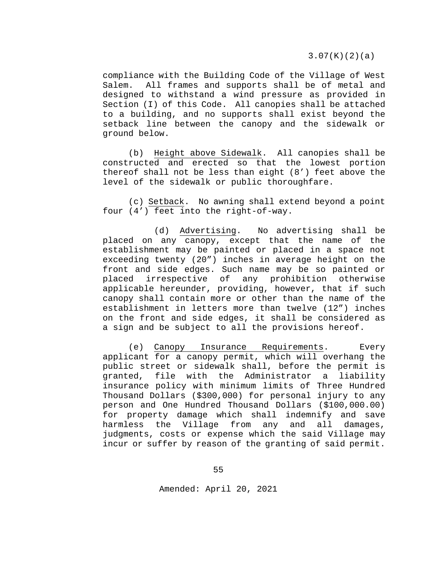3.07(K)(2)(a)

compliance with the Building Code of the Village of West Salem. All frames and supports shall be of metal and designed to withstand a wind pressure as provided in Section (I) of this Code. All canopies shall be attached to a building, and no supports shall exist beyond the setback line between the canopy and the sidewalk or ground below.

(b) Height above Sidewalk. All canopies shall be constructed and erected so that the lowest portion thereof shall not be less than eight (8') feet above the level of the sidewalk or public thoroughfare.

(c) Setback. No awning shall extend beyond a point four (4') feet into the right-of-way.

(d) Advertising. No advertising shall be placed on any canopy, except that the name of the establishment may be painted or placed in a space not exceeding twenty (20") inches in average height on the front and side edges. Such name may be so painted or<br>placed irrespective of any prohibition otherwise placed irrespective of any prohibition otherwise applicable hereunder, providing, however, that if such canopy shall contain more or other than the name of the establishment in letters more than twelve (12") inches on the front and side edges, it shall be considered as a sign and be subject to all the provisions hereof.

(e) Canopy Insurance Requirements. Every applicant for a canopy permit, which will overhang the public street or sidewalk shall, before the permit is granted, file with the Administrator a liability file with the Administrator a insurance policy with minimum limits of Three Hundred Thousand Dollars (\$300,000) for personal injury to any person and One Hundred Thousand Dollars (\$100,000.00) for property damage which shall indemnify and save harmless the Village from any and all damages, judgments, costs or expense which the said Village may incur or suffer by reason of the granting of said permit.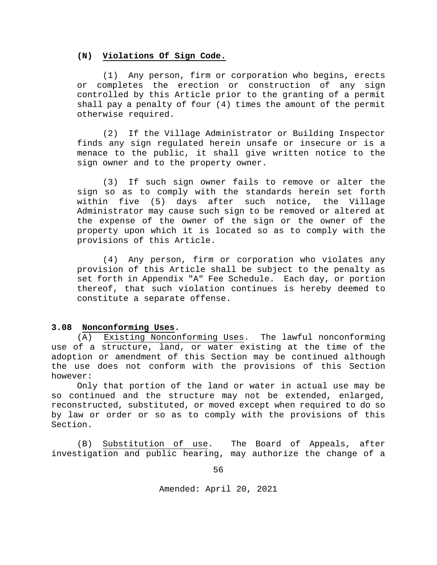### **(N) Violations Of Sign Code.**

(1) Any person, firm or corporation who begins, erects or completes the erection or construction of any sign controlled by this Article prior to the granting of a permit shall pay a penalty of four (4) times the amount of the permit otherwise required.

(2) If the Village Administrator or Building Inspector finds any sign regulated herein unsafe or insecure or is a menace to the public, it shall give written notice to the sign owner and to the property owner.

(3) If such sign owner fails to remove or alter the sign so as to comply with the standards herein set forth within five (5) days after such notice, the Village Administrator may cause such sign to be removed or altered at the expense of the owner of the sign or the owner of the property upon which it is located so as to comply with the provisions of this Article.

(4) Any person, firm or corporation who violates any provision of this Article shall be subject to the penalty as set forth in Appendix "A" Fee Schedule. Each day, or portion thereof, that such violation continues is hereby deemed to constitute a separate offense.

### **3.08 Nonconforming Uses.**

(A) Existing Nonconforming Uses. The lawful nonconforming use of a structure, land, or water existing at the time of the adoption or amendment of this Section may be continued although the use does not conform with the provisions of this Section however:

Only that portion of the land or water in actual use may be so continued and the structure may not be extended, enlarged, reconstructed, substituted, or moved except when required to do so by law or order or so as to comply with the provisions of this Section.

(B) Substitution of use. The Board of Appeals, after investigation and public hearing, may authorize the change of a

56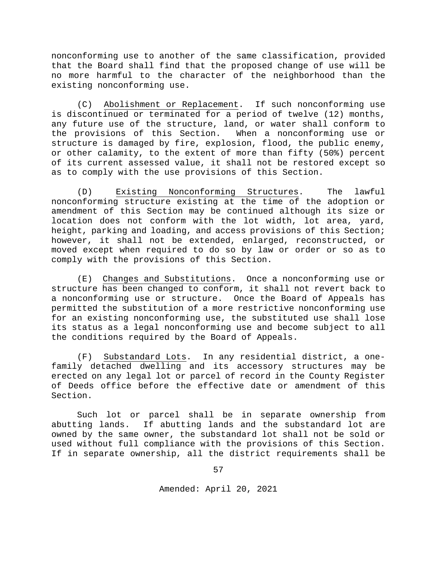nonconforming use to another of the same classification, provided that the Board shall find that the proposed change of use will be no more harmful to the character of the neighborhood than the existing nonconforming use.

(C) Abolishment or Replacement. If such nonconforming use is discontinued or terminated for a period of twelve (12) months, any future use of the structure, land, or water shall conform to the provisions of this Section. When a nonconforming use or structure is damaged by fire, explosion, flood, the public enemy, or other calamity, to the extent of more than fifty (50%) percent of its current assessed value, it shall not be restored except so as to comply with the use provisions of this Section.

(D) Existing Nonconforming Structures. The lawful nonconforming structure existing at the time of the adoption or amendment of this Section may be continued although its size or location does not conform with the lot width, lot area, yard, height, parking and loading, and access provisions of this Section; however, it shall not be extended, enlarged, reconstructed, or moved except when required to do so by law or order or so as to comply with the provisions of this Section.

(E) Changes and Substitutions. Once a nonconforming use or structure has been changed to conform, it shall not revert back to a nonconforming use or structure. Once the Board of Appeals has permitted the substitution of a more restrictive nonconforming use for an existing nonconforming use, the substituted use shall lose its status as a legal nonconforming use and become subject to all the conditions required by the Board of Appeals.

(F) Substandard Lots. In any residential district, a onefamily detached dwelling and its accessory structures may be erected on any legal lot or parcel of record in the County Register of Deeds office before the effective date or amendment of this Section.

Such lot or parcel shall be in separate ownership from abutting lands. If abutting lands and the substandard lot are owned by the same owner, the substandard lot shall not be sold or used without full compliance with the provisions of this Section. If in separate ownership, all the district requirements shall be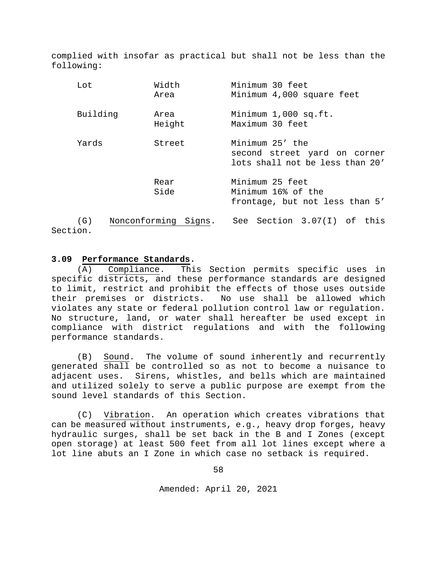complied with insofar as practical but shall not be less than the following:

| Lot             |  | Width<br>Area        | Minimum 30 feet<br>Minimum 4,000 square feet                                       |
|-----------------|--|----------------------|------------------------------------------------------------------------------------|
| Building        |  | Area<br>Height       | Minimum 1,000 sq.ft.<br>Maximum 30 feet                                            |
| Yards           |  | Street               | Minimum 25' the<br>second street yard on corner<br>lots shall not be less than 20' |
|                 |  | Rear<br>Side         | Minimum 25 feet<br>Minimum 16% of the<br>frontage, but not less than 5'            |
| (G)<br>Section. |  | Nonconforming Signs. | See Section 3.07(I) of this                                                        |

### **3.09 Performance Standards.**

(A) Compliance. This Section permits specific uses in specific districts, and these performance standards are designed to limit, restrict and prohibit the effects of those uses outside their premises or districts. No use shall be allowed which violates any state or federal pollution control law or regulation. No structure, land, or water shall hereafter be used except in compliance with district regulations and with the following performance standards.

(B) Sound. The volume of sound inherently and recurrently generated shall be controlled so as not to become a nuisance to adjacent uses. Sirens, whistles, and bells which are maintained and utilized solely to serve a public purpose are exempt from the sound level standards of this Section.

(C) Vibration. An operation which creates vibrations that can be measured without instruments, e.g., heavy drop forges, heavy hydraulic surges, shall be set back in the B and I Zones (except open storage) at least 500 feet from all lot lines except where a lot line abuts an I Zone in which case no setback is required.

58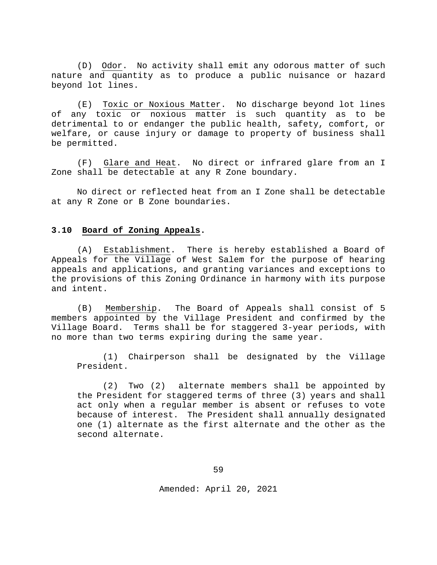(D) Odor. No activity shall emit any odorous matter of such nature and quantity as to produce a public nuisance or hazard beyond lot lines.

(E) Toxic or Noxious Matter. No discharge beyond lot lines of any toxic or noxious matter is such quantity as to be detrimental to or endanger the public health, safety, comfort, or welfare, or cause injury or damage to property of business shall be permitted.

(F) Glare and Heat. No direct or infrared glare from an I Zone shall be detectable at any R Zone boundary.

No direct or reflected heat from an I Zone shall be detectable at any R Zone or B Zone boundaries.

#### **3.10 Board of Zoning Appeals.**

(A) Establishment. There is hereby established a Board of Appeals for the Village of West Salem for the purpose of hearing appeals and applications, and granting variances and exceptions to the provisions of this Zoning Ordinance in harmony with its purpose and intent.

(B) Membership. The Board of Appeals shall consist of 5 members appointed by the Village President and confirmed by the Village Board. Terms shall be for staggered 3-year periods, with no more than two terms expiring during the same year.

(1) Chairperson shall be designated by the Village President.

(2) Two (2) alternate members shall be appointed by the President for staggered terms of three (3) years and shall act only when a regular member is absent or refuses to vote because of interest. The President shall annually designated one (1) alternate as the first alternate and the other as the second alternate.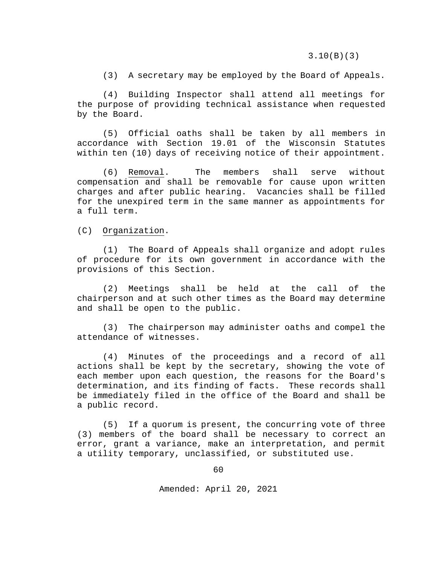3.10(B)(3)

(3) A secretary may be employed by the Board of Appeals.

(4) Building Inspector shall attend all meetings for the purpose of providing technical assistance when requested by the Board.

(5) Official oaths shall be taken by all members in accordance with Section 19.01 of the Wisconsin Statutes within ten (10) days of receiving notice of their appointment.

(6) Removal. The members shall serve without compensation and shall be removable for cause upon written charges and after public hearing. Vacancies shall be filled for the unexpired term in the same manner as appointments for a full term.

(C) Organization.

(1) The Board of Appeals shall organize and adopt rules of procedure for its own government in accordance with the provisions of this Section.

(2) Meetings shall be held at the call of the chairperson and at such other times as the Board may determine and shall be open to the public.

(3) The chairperson may administer oaths and compel the attendance of witnesses.

(4) Minutes of the proceedings and a record of all actions shall be kept by the secretary, showing the vote of each member upon each question, the reasons for the Board's determination, and its finding of facts. These records shall be immediately filed in the office of the Board and shall be a public record.

(5) If a quorum is present, the concurring vote of three (3) members of the board shall be necessary to correct an error, grant a variance, make an interpretation, and permit a utility temporary, unclassified, or substituted use.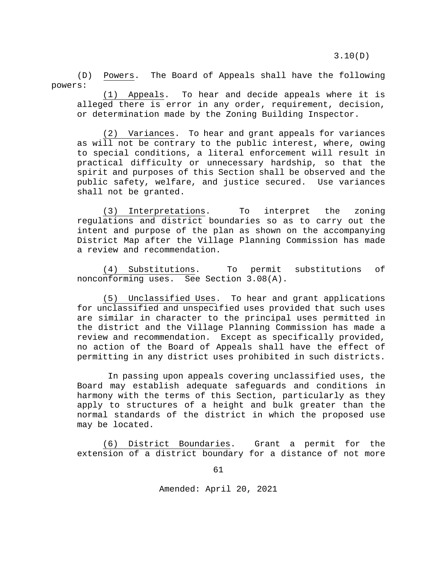(D) Powers. The Board of Appeals shall have the following powers:

(1) Appeals. To hear and decide appeals where it is alleged there is error in any order, requirement, decision, or determination made by the Zoning Building Inspector.

(2) Variances. To hear and grant appeals for variances as will not be contrary to the public interest, where, owing to special conditions, a literal enforcement will result in practical difficulty or unnecessary hardship, so that the spirit and purposes of this Section shall be observed and the public safety, welfare, and justice secured. Use variances shall not be granted.

(3) Interpretations. To interpret the zoning regulations and district boundaries so as to carry out the intent and purpose of the plan as shown on the accompanying District Map after the Village Planning Commission has made a review and recommendation.

(4) Substitutions. To permit substitutions of nonconforming uses. See Section 3.08(A).

(5) Unclassified Uses. To hear and grant applications for unclassified and unspecified uses provided that such uses are similar in character to the principal uses permitted in the district and the Village Planning Commission has made a review and recommendation. Except as specifically provided, no action of the Board of Appeals shall have the effect of permitting in any district uses prohibited in such districts.

In passing upon appeals covering unclassified uses, the Board may establish adequate safeguards and conditions in harmony with the terms of this Section, particularly as they apply to structures of a height and bulk greater than the normal standards of the district in which the proposed use may be located.

(6) District Boundaries. Grant a permit for the extension of a district boundary for a distance of not more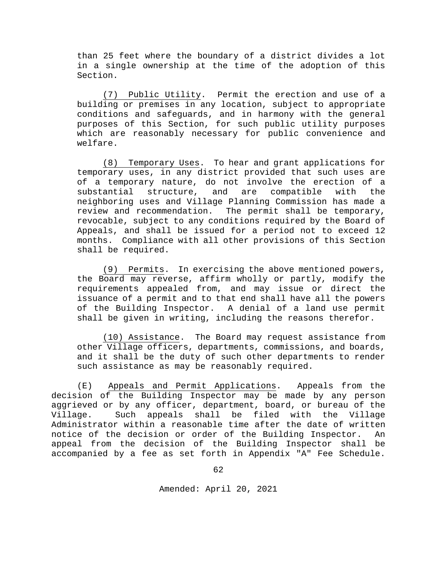than 25 feet where the boundary of a district divides a lot in a single ownership at the time of the adoption of this Section.

(7) Public Utility. Permit the erection and use of a building or premises in any location, subject to appropriate conditions and safeguards, and in harmony with the general purposes of this Section, for such public utility purposes which are reasonably necessary for public convenience and welfare.

(8) Temporary Uses. To hear and grant applications for temporary uses, in any district provided that such uses are of a temporary nature, do not involve the erection of a<br>substantial structure, and are compatible with the structure, and are compatible with the neighboring uses and Village Planning Commission has made a review and recommendation. The permit shall be temporary, revocable, subject to any conditions required by the Board of Appeals, and shall be issued for a period not to exceed 12 months. Compliance with all other provisions of this Section shall be required.

(9) Permits. In exercising the above mentioned powers, the Board may reverse, affirm wholly or partly, modify the requirements appealed from, and may issue or direct the issuance of a permit and to that end shall have all the powers of the Building Inspector. A denial of a land use permit shall be given in writing, including the reasons therefor.

(10) Assistance. The Board may request assistance from other Village officers, departments, commissions, and boards, and it shall be the duty of such other departments to render such assistance as may be reasonably required.

(E) Appeals and Permit Applications. Appeals from the decision of the Building Inspector may be made by any person aggrieved or by any officer, department, board, or bureau of the Village. Such appeals shall be filed with the Village Administrator within a reasonable time after the date of written notice of the decision or order of the Building Inspector. An appeal from the decision of the Building Inspector shall be accompanied by a fee as set forth in Appendix "A" Fee Schedule.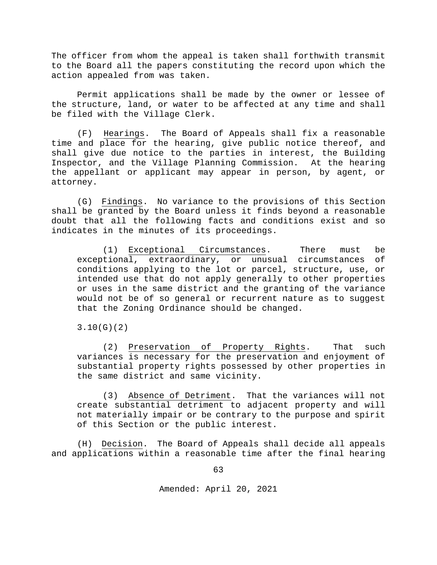The officer from whom the appeal is taken shall forthwith transmit to the Board all the papers constituting the record upon which the action appealed from was taken.

Permit applications shall be made by the owner or lessee of the structure, land, or water to be affected at any time and shall be filed with the Village Clerk.

(F) Hearings. The Board of Appeals shall fix a reasonable time and place for the hearing, give public notice thereof, and shall give due notice to the parties in interest, the Building Inspector, and the Village Planning Commission. At the hearing the appellant or applicant may appear in person, by agent, or attorney.

(G) Findings. No variance to the provisions of this Section shall be granted by the Board unless it finds beyond a reasonable doubt that all the following facts and conditions exist and so indicates in the minutes of its proceedings.

(1) Exceptional Circumstances. There must be exceptional, extraordinary, or unusual circumstances of conditions applying to the lot or parcel, structure, use, or intended use that do not apply generally to other properties or uses in the same district and the granting of the variance would not be of so general or recurrent nature as to suggest that the Zoning Ordinance should be changed.

3.10(G)(2)

(2) Preservation of Property Rights. That such variances is necessary for the preservation and enjoyment of substantial property rights possessed by other properties in the same district and same vicinity.

(3) Absence of Detriment. That the variances will not create substantial detriment to adjacent property and will not materially impair or be contrary to the purpose and spirit of this Section or the public interest.

(H) Decision. The Board of Appeals shall decide all appeals and applications within a reasonable time after the final hearing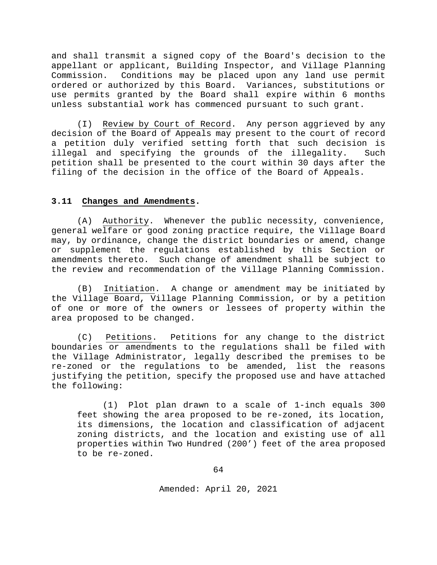and shall transmit a signed copy of the Board's decision to the appellant or applicant, Building Inspector, and Village Planning<br>Commission. Conditions may be placed upon any land use permit Conditions may be placed upon any land use permit ordered or authorized by this Board. Variances, substitutions or use permits granted by the Board shall expire within 6 months unless substantial work has commenced pursuant to such grant.

(I) Review by Court of Record. Any person aggrieved by any decision of the Board of Appeals may present to the court of record a petition duly verified setting forth that such decision is illegal and specifying the grounds of the illegality. Such petition shall be presented to the court within 30 days after the filing of the decision in the office of the Board of Appeals.

# **3.11 Changes and Amendments.**

(A) Authority. Whenever the public necessity, convenience, general welfare or good zoning practice require, the Village Board may, by ordinance, change the district boundaries or amend, change or supplement the regulations established by this Section or amendments thereto. Such change of amendment shall be subject to the review and recommendation of the Village Planning Commission.

(B) Initiation. A change or amendment may be initiated by the Village Board, Village Planning Commission, or by a petition of one or more of the owners or lessees of property within the area proposed to be changed.

(C) Petitions. Petitions for any change to the district boundaries or amendments to the regulations shall be filed with the Village Administrator, legally described the premises to be re-zoned or the regulations to be amended, list the reasons justifying the petition, specify the proposed use and have attached the following:

(1) Plot plan drawn to a scale of 1-inch equals 300 feet showing the area proposed to be re-zoned, its location, its dimensions, the location and classification of adjacent zoning districts, and the location and existing use of all properties within Two Hundred (200') feet of the area proposed to be re-zoned.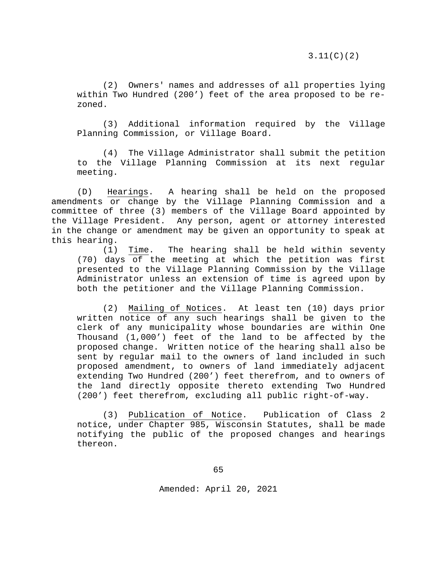3.11(C)(2)

(2) Owners' names and addresses of all properties lying within Two Hundred (200') feet of the area proposed to be rezoned.

(3) Additional information required by the Village Planning Commission, or Village Board.

(4) The Village Administrator shall submit the petition to the Village Planning Commission at its next regular meeting.

(D) Hearings. A hearing shall be held on the proposed amendments or change by the Village Planning Commission and a committee of three (3) members of the Village Board appointed by the Village President. Any person, agent or attorney interested in the change or amendment may be given an opportunity to speak at this hearing.<br> $(1)$ 

Time. The hearing shall be held within seventy (70) days of the meeting at which the petition was first presented to the Village Planning Commission by the Village Administrator unless an extension of time is agreed upon by both the petitioner and the Village Planning Commission.

(2) Mailing of Notices. At least ten (10) days prior written notice of any such hearings shall be given to the clerk of any municipality whose boundaries are within One Thousand (1,000') feet of the land to be affected by the proposed change. Written notice of the hearing shall also be sent by regular mail to the owners of land included in such proposed amendment, to owners of land immediately adjacent extending Two Hundred (200') feet therefrom, and to owners of the land directly opposite thereto extending Two Hundred (200') feet therefrom, excluding all public right-of-way.

(3) Publication of Notice. Publication of Class 2 notice, under Chapter 985, Wisconsin Statutes, shall be made notifying the public of the proposed changes and hearings thereon.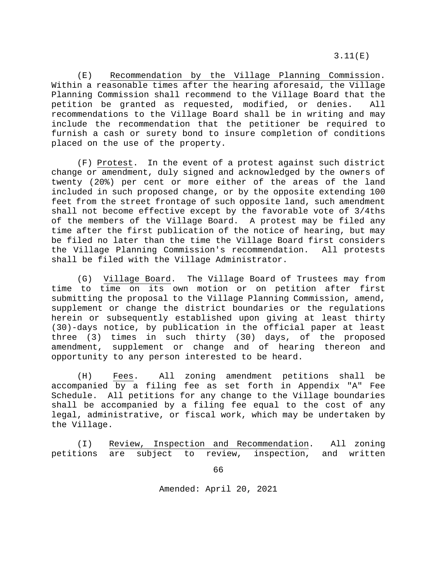(E) Recommendation by the Village Planning Commission. Within a reasonable times after the hearing aforesaid, the Village Planning Commission shall recommend to the Village Board that the petition be granted as requested, modified, or denies. All recommendations to the Village Board shall be in writing and may include the recommendation that the petitioner be required to furnish a cash or surety bond to insure completion of conditions placed on the use of the property.

(F) Protest. In the event of a protest against such district change or amendment, duly signed and acknowledged by the owners of twenty (20%) per cent or more either of the areas of the land included in such proposed change, or by the opposite extending 100 feet from the street frontage of such opposite land, such amendment shall not become effective except by the favorable vote of 3/4ths of the members of the Village Board. A protest may be filed any time after the first publication of the notice of hearing, but may be filed no later than the time the Village Board first considers the Village Planning Commission's recommendation. All protests shall be filed with the Village Administrator.

(G) Village Board. The Village Board of Trustees may from time to time on its own motion or on petition after first submitting the proposal to the Village Planning Commission, amend, supplement or change the district boundaries or the regulations herein or subsequently established upon giving at least thirty (30)-days notice, by publication in the official paper at least three (3) times in such thirty (30) days, of the proposed amendment, supplement or change and of hearing thereon and opportunity to any person interested to be heard.

(H) Fees. All zoning amendment petitions shall be accompanied by a filing fee as set forth in Appendix "A" Fee Schedule. All petitions for any change to the Village boundaries shall be accompanied by a filing fee equal to the cost of any legal, administrative, or fiscal work, which may be undertaken by the Village.

(I) Review, Inspection and Recommendation. All zoning petitions are subject to review, inspection, and written

66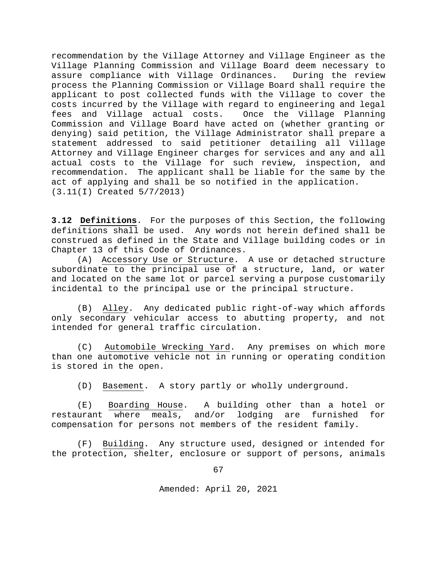recommendation by the Village Attorney and Village Engineer as the Village Planning Commission and Village Board deem necessary to assure compliance with Village Ordinances. process the Planning Commission or Village Board shall require the applicant to post collected funds with the Village to cover the costs incurred by the Village with regard to engineering and legal<br>fees and Village actual costs. Once the Village Planning fees and Village actual costs. Commission and Village Board have acted on (whether granting or denying) said petition, the Village Administrator shall prepare a statement addressed to said petitioner detailing all Village Attorney and Village Engineer charges for services and any and all actual costs to the Village for such review, inspection, and recommendation. The applicant shall be liable for the same by the act of applying and shall be so notified in the application. (3.11(I) Created 5/7/2013)

**3.12 Definitions**. For the purposes of this Section, the following definitions shall be used. Any words not herein defined shall be construed as defined in the State and Village building codes or in Chapter 13 of this Code of Ordinances.

(A) Accessory Use or Structure. A use or detached structure subordinate to the principal use of a structure, land, or water and located on the same lot or parcel serving a purpose customarily incidental to the principal use or the principal structure.

(B) Alley. Any dedicated public right-of-way which affords only secondary vehicular access to abutting property, and not intended for general traffic circulation.

(C) Automobile Wrecking Yard. Any premises on which more than one automotive vehicle not in running or operating condition is stored in the open.

(D) Basement. A story partly or wholly underground.

(E) Boarding House. A building other than a hotel or<br>urant where meals, and/or lodging are furnished for restaurant where meals, and/or lodging are furnished for compensation for persons not members of the resident family.

(F) Building. Any structure used, designed or intended for the protection, shelter, enclosure or support of persons, animals

67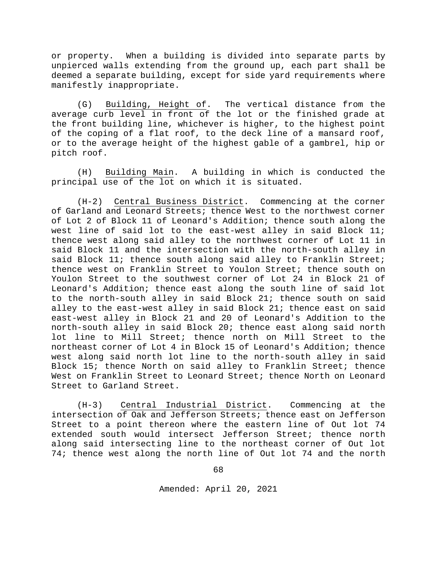or property. When a building is divided into separate parts by unpierced walls extending from the ground up, each part shall be deemed a separate building, except for side yard requirements where manifestly inappropriate.

(G) Building, Height of. The vertical distance from the average curb level in front of the lot or the finished grade at the front building line, whichever is higher, to the highest point of the coping of a flat roof, to the deck line of a mansard roof, or to the average height of the highest gable of a gambrel, hip or pitch roof.

(H) Building Main. A building in which is conducted the principal use of the lot on which it is situated.

(H-2) Central Business District. Commencing at the corner of Garland and Leonard Streets; thence West to the northwest corner of Lot 2 of Block 11 of Leonard's Addition; thence south along the west line of said lot to the east-west alley in said Block 11; thence west along said alley to the northwest corner of Lot 11 in said Block 11 and the intersection with the north-south alley in said Block 11; thence south along said alley to Franklin Street; thence west on Franklin Street to Youlon Street; thence south on Youlon Street to the southwest corner of Lot 24 in Block 21 of Leonard's Addition; thence east along the south line of said lot to the north-south alley in said Block 21; thence south on said alley to the east-west alley in said Block 21; thence east on said east-west alley in Block 21 and 20 of Leonard's Addition to the north-south alley in said Block 20; thence east along said north lot line to Mill Street; thence north on Mill Street to the northeast corner of Lot 4 in Block 15 of Leonard's Addition; thence west along said north lot line to the north-south alley in said Block 15; thence North on said alley to Franklin Street; thence West on Franklin Street to Leonard Street; thence North on Leonard Street to Garland Street.

(H-3) Central Industrial District. Commencing at the intersection of Oak and Jefferson Streets; thence east on Jefferson Street to a point thereon where the eastern line of Out lot 74 extended south would intersect Jefferson Street; thence north along said intersecting line to the northeast corner of Out lot 74; thence west along the north line of Out lot 74 and the north

68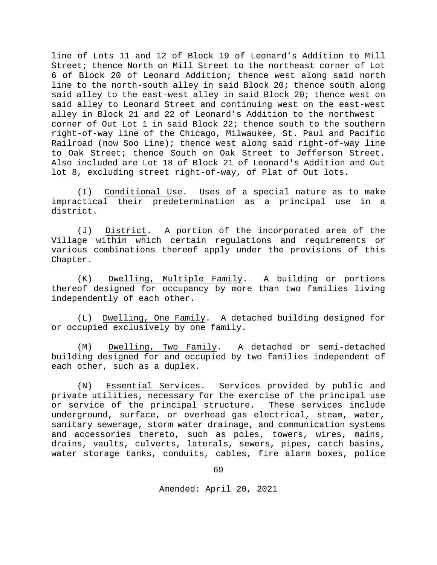line of Lots 11 and 12 of Block 19 of Leonard's Addition to Mill Street; thence North on Mill Street to the northeast corner of Lot 6 of Block 20 of Leonard Addition; thence west along said north line to the north-south alley in said Block 20; thence south along said alley to the east-west alley in said Block 20; thence west on said alley to Leonard Street and continuing west on the east-west alley in Block 21 and 22 of Leonard's Addition to the northwest corner of Out Lot 1 in said Block 22; thence south to the southern right-of-way line of the Chicago, Milwaukee, St. Paul and Pacific Railroad (now Soo Line); thence west along said right-of-way line to Oak Street; thence South on Oak Street to Jefferson Street. Also included are Lot 18 of Block 21 of Leonard's Addition and Out lot 8, excluding street right-of-way, of Plat of Out lots.

(I) Conditional Use. Uses of a special nature as to make impractical their predetermination as a principal use in a district.

(J) District. A portion of the incorporated area of the Village within which certain regulations and requirements or various combinations thereof apply under the provisions of this Chapter.

(K) Dwelling, Multiple Family. A building or portions thereof designed for occupancy by more than two families living independently of each other.

(L) Dwelling, One Family. A detached building designed for or occupied exclusively by one family.

(M) Dwelling, Two Family. A detached or semi-detached building designed for and occupied by two families independent of each other, such as a duplex.

(N) Essential Services. Services provided by public and private utilities, necessary for the exercise of the principal use or service of the principal structure. These services include underground, surface, or overhead gas electrical, steam, water, sanitary sewerage, storm water drainage, and communication systems and accessories thereto, such as poles, towers, wires, mains, drains, vaults, culverts, laterals, sewers, pipes, catch basins, water storage tanks, conduits, cables, fire alarm boxes, police

69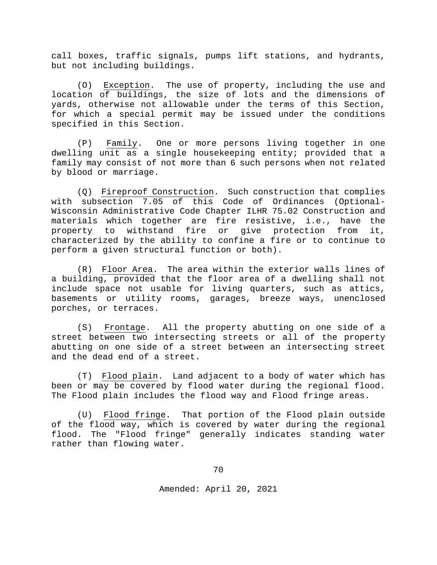call boxes, traffic signals, pumps lift stations, and hydrants, but not including buildings.

(O) Exception. The use of property, including the use and location of buildings, the size of lots and the dimensions of yards, otherwise not allowable under the terms of this Section, for which a special permit may be issued under the conditions specified in this Section.

(P) Family. One or more persons living together in one dwelling unit as a single housekeeping entity; provided that a family may consist of not more than 6 such persons when not related by blood or marriage.

(Q) Fireproof Construction. Such construction that complies with subsection 7.05 of this Code of Ordinances (Optional-Wisconsin Administrative Code Chapter ILHR 75.02 Construction and materials which together are fire resistive, i.e., have the<br>property to withstand fire or give protection from it, property to withstand fire or give protection from characterized by the ability to confine a fire or to continue to perform a given structural function or both).

(R) Floor Area. The area within the exterior walls lines of a building, provided that the floor area of a dwelling shall not include space not usable for living quarters, such as attics, basements or utility rooms, garages, breeze ways, unenclosed porches, or terraces.

(S) Frontage. All the property abutting on one side of a street between two intersecting streets or all of the property abutting on one side of a street between an intersecting street and the dead end of a street.

(T) Flood plain. Land adjacent to a body of water which has been or may be covered by flood water during the regional flood. The Flood plain includes the flood way and Flood fringe areas.

(U) Flood fringe. That portion of the Flood plain outside of the flood way, which is covered by water during the regional flood. The "Flood fringe" generally indicates standing water rather than flowing water.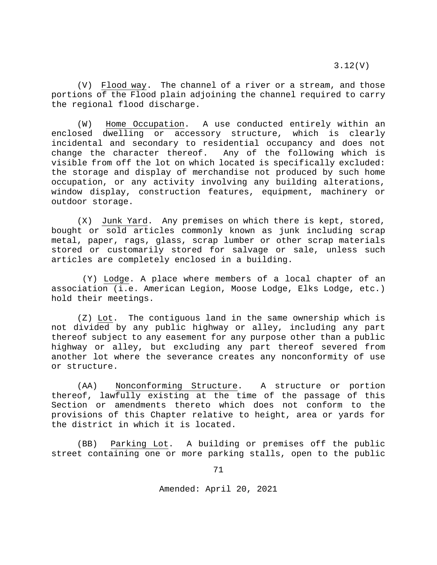3.12(V)

(V) Flood way. The channel of a river or a stream, and those portions of the Flood plain adjoining the channel required to carry the regional flood discharge.

(W) Home Occupation. A use conducted entirely within an enclosed dwelling or accessory structure, which is clearly incidental and secondary to residential occupancy and does not<br>change the character thereof. Any of the following which is Any of the following which is visible from off the lot on which located is specifically excluded: the storage and display of merchandise not produced by such home occupation, or any activity involving any building alterations, window display, construction features, equipment, machinery or outdoor storage.

(X) Junk Yard. Any premises on which there is kept, stored, bought or sold articles commonly known as junk including scrap metal, paper, rags, glass, scrap lumber or other scrap materials stored or customarily stored for salvage or sale, unless such articles are completely enclosed in a building.

(Y) Lodge. A place where members of a local chapter of an association (i.e. American Legion, Moose Lodge, Elks Lodge, etc.) hold their meetings.

(Z) Lot. The contiguous land in the same ownership which is not divided by any public highway or alley, including any part thereof subject to any easement for any purpose other than a public highway or alley, but excluding any part thereof severed from another lot where the severance creates any nonconformity of use or structure.

(AA) Nonconforming Structure. A structure or portion thereof, lawfully existing at the time of the passage of this Section or amendments thereto which does not conform to the provisions of this Chapter relative to height, area or yards for the district in which it is located.

(BB) Parking Lot. A building or premises off the public street containing one or more parking stalls, open to the public

71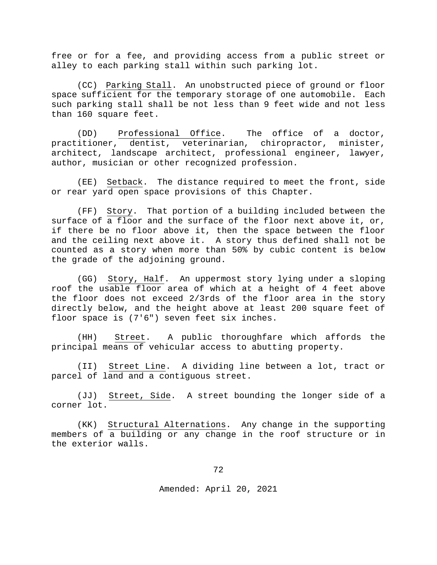free or for a fee, and providing access from a public street or alley to each parking stall within such parking lot.

(CC) Parking Stall. An unobstructed piece of ground or floor space sufficient for the temporary storage of one automobile. Each such parking stall shall be not less than 9 feet wide and not less than 160 square feet.

(DD) Professional Office. The office of a doctor, practitioner, dentist, veterinarian, chiropractor, minister, architect, landscape architect, professional engineer, lawyer, author, musician or other recognized profession.

(EE) Setback. The distance required to meet the front, side or rear yard open space provisions of this Chapter.

(FF) Story. That portion of a building included between the surface of a floor and the surface of the floor next above it, or, if there be no floor above it, then the space between the floor and the ceiling next above it. A story thus defined shall not be counted as a story when more than 50% by cubic content is below the grade of the adjoining ground.

(GG) Story, Half. An uppermost story lying under a sloping roof the usable floor area of which at a height of 4 feet above the floor does not exceed 2/3rds of the floor area in the story directly below, and the height above at least 200 square feet of floor space is (7'6") seven feet six inches.

(HH) Street. A public thoroughfare which affords the principal means of vehicular access to abutting property.

(II) Street Line. A dividing line between a lot, tract or parcel of land and a contiguous street.

(JJ) Street, Side. A street bounding the longer side of a corner lot.

(KK) Structural Alternations. Any change in the supporting members of a building or any change in the roof structure or in the exterior walls.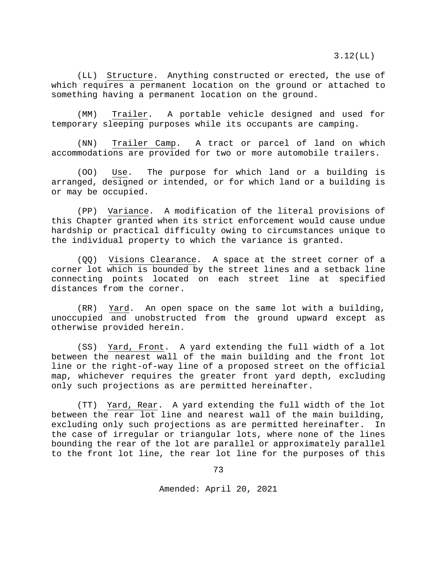3.12(LL)

(LL) Structure. Anything constructed or erected, the use of which requires a permanent location on the ground or attached to something having a permanent location on the ground.

(MM) Trailer. A portable vehicle designed and used for temporary sleeping purposes while its occupants are camping.

(NN) Trailer Camp. A tract or parcel of land on which accommodations are provided for two or more automobile trailers.

(OO) Use. The purpose for which land or a building is arranged, designed or intended, or for which land or a building is or may be occupied.

(PP) Variance. A modification of the literal provisions of this Chapter granted when its strict enforcement would cause undue hardship or practical difficulty owing to circumstances unique to the individual property to which the variance is granted.

(QQ) Visions Clearance. A space at the street corner of a corner lot which is bounded by the street lines and a setback line connecting points located on each street line at specified distances from the corner.

(RR) Yard. An open space on the same lot with a building, unoccupied and unobstructed from the ground upward except as otherwise provided herein.

(SS) Yard, Front. A yard extending the full width of a lot between the nearest wall of the main building and the front lot line or the right-of-way line of a proposed street on the official map, whichever requires the greater front yard depth, excluding only such projections as are permitted hereinafter.

(TT) Yard, Rear. A yard extending the full width of the lot between the rear lot line and nearest wall of the main building, excluding only such projections as are permitted hereinafter. In the case of irregular or triangular lots, where none of the lines bounding the rear of the lot are parallel or approximately parallel to the front lot line, the rear lot line for the purposes of this

73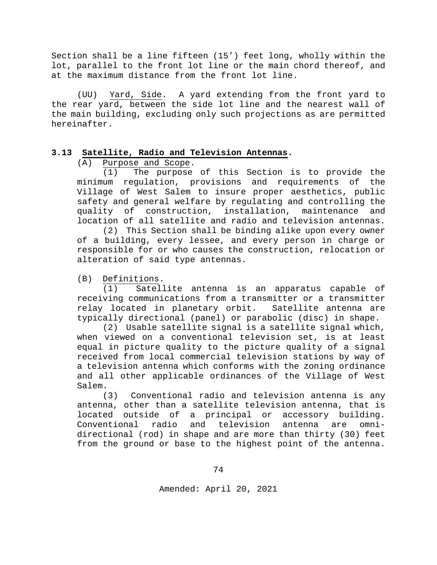Section shall be a line fifteen (15') feet long, wholly within the lot, parallel to the front lot line or the main chord thereof, and at the maximum distance from the front lot line.

(UU) Yard, Side. A yard extending from the front yard to the rear yard, between the side lot line and the nearest wall of the main building, excluding only such projections as are permitted hereinafter.

# **3.13 Satellite, Radio and Television Antennas.**

(A)  $\frac{Purpose \text{ and } Scope}{(1)}$ . The purpose

The purpose of this Section is to provide the minimum regulation, provisions and requirements of the Village of West Salem to insure proper aesthetics, public safety and general welfare by regulating and controlling the quality of construction, installation, maintenance and location of all satellite and radio and television antennas.

(2) This Section shall be binding alike upon every owner of a building, every lessee, and every person in charge or responsible for or who causes the construction, relocation or alteration of said type antennas.

(B) Definitions.

(1) Satellite antenna is an apparatus capable of receiving communications from a transmitter or a transmitter<br>relay located in planetary orbit. Satellite antenna are relay located in planetary orbit. typically directional (panel) or parabolic (disc) in shape.

(2) Usable satellite signal is a satellite signal which, when viewed on a conventional television set, is at least equal in picture quality to the picture quality of a signal received from local commercial television stations by way of a television antenna which conforms with the zoning ordinance and all other applicable ordinances of the Village of West Salem.<br>(3)

Conventional radio and television antenna is any antenna, other than a satellite television antenna, that is located outside of a principal or accessory building.<br>Conventional radio and television antenna are omni-Conventional radio and television antenna are omnidirectional (rod) in shape and are more than thirty (30) feet from the ground or base to the highest point of the antenna.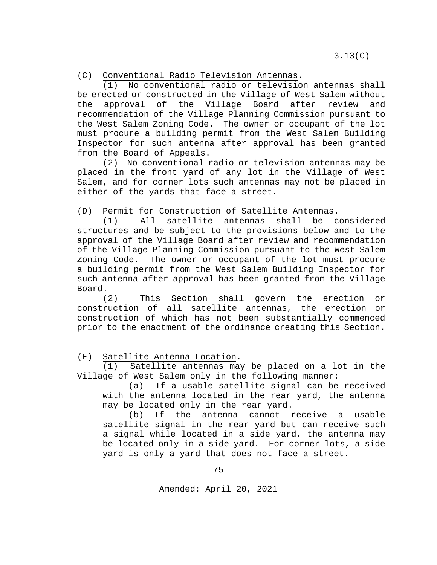(C) Conventional Radio Television Antennas.

(1) No conventional radio or television antennas shall be erected or constructed in the Village of West Salem without<br>the approval of the Village Board after review and the approval of the Village Board after review and recommendation of the Village Planning Commission pursuant to the West Salem Zoning Code. The owner or occupant of the lot must procure a building permit from the West Salem Building Inspector for such antenna after approval has been granted from the Board of Appeals.

(2) No conventional radio or television antennas may be placed in the front yard of any lot in the Village of West Salem, and for corner lots such antennas may not be placed in either of the yards that face a street.

(D) Permit for Construction of Satellite Antennas.

(1) All satellite antennas shall be considered structures and be subject to the provisions below and to the approval of the Village Board after review and recommendation of the Village Planning Commission pursuant to the West Salem Zoning Code. The owner or occupant of the lot must procure a building permit from the West Salem Building Inspector for such antenna after approval has been granted from the Village Board.

(2) This Section shall govern the erection or construction of all satellite antennas, the erection or construction of which has not been substantially commenced prior to the enactment of the ordinance creating this Section.

(E) Satellite Antenna Location.

(1) Satellite antennas may be placed on a lot in the Village of West Salem only in the following manner:

(a) If a usable satellite signal can be received with the antenna located in the rear yard, the antenna may be located only in the rear yard.<br>(b) If the antenna cannot i

If the antenna cannot receive a usable satellite signal in the rear yard but can receive such a signal while located in a side yard, the antenna may be located only in a side yard. For corner lots, a side yard is only a yard that does not face a street.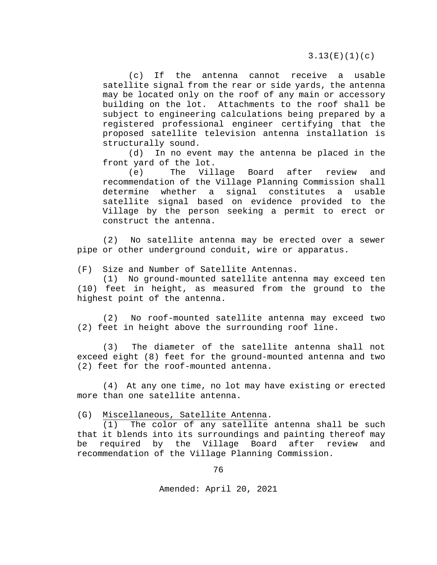(c) If the antenna cannot receive a usable satellite signal from the rear or side yards, the antenna may be located only on the roof of any main or accessory building on the lot. Attachments to the roof shall be subject to engineering calculations being prepared by a registered professional engineer certifying that the proposed satellite television antenna installation is structurally sound.<br>(d) In no eve

In no event may the antenna be placed in the front yard of the lot.<br>(e) The Vill

Village Board after review and recommendation of the Village Planning Commission shall determine whether a signal constitutes a usable satellite signal based on evidence provided to the Village by the person seeking a permit to erect or construct the antenna.

(2) No satellite antenna may be erected over a sewer pipe or other underground conduit, wire or apparatus.

(F) Size and Number of Satellite Antennas.

(1) No ground-mounted satellite antenna may exceed ten (10) feet in height, as measured from the ground to the highest point of the antenna.

(2) No roof-mounted satellite antenna may exceed two (2) feet in height above the surrounding roof line.

(3) The diameter of the satellite antenna shall not exceed eight (8) feet for the ground-mounted antenna and two (2) feet for the roof-mounted antenna.

(4) At any one time, no lot may have existing or erected more than one satellite antenna.

(G) Miscellaneous, Satellite Antenna.

(1) The color of any satellite antenna shall be such that it blends into its surroundings and painting thereof may<br>be required by the Village Board after review and be required by the Village Board after review and recommendation of the Village Planning Commission.

76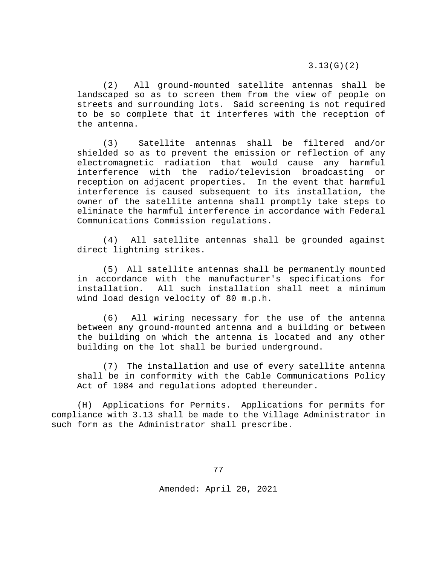3.13(G)(2)

(2) All ground-mounted satellite antennas shall be landscaped so as to screen them from the view of people on streets and surrounding lots. Said screening is not required to be so complete that it interferes with the reception of the antenna.

(3) Satellite antennas shall be filtered and/or shielded so as to prevent the emission or reflection of any electromagnetic radiation that would cause any harmful interference with the radio/television broadcasting or reception on adjacent properties. In the event that harmful interference is caused subsequent to its installation, the owner of the satellite antenna shall promptly take steps to eliminate the harmful interference in accordance with Federal Communications Commission regulations.

(4) All satellite antennas shall be grounded against direct lightning strikes.

(5) All satellite antennas shall be permanently mounted in accordance with the manufacturer's specifications for installation. All such installation shall meet a minimum wind load design velocity of 80 m.p.h.

(6) All wiring necessary for the use of the antenna between any ground-mounted antenna and a building or between the building on which the antenna is located and any other building on the lot shall be buried underground.

(7) The installation and use of every satellite antenna shall be in conformity with the Cable Communications Policy Act of 1984 and regulations adopted thereunder.

(H) Applications for Permits. Applications for permits for compliance with 3.13 shall be made to the Village Administrator in such form as the Administrator shall prescribe.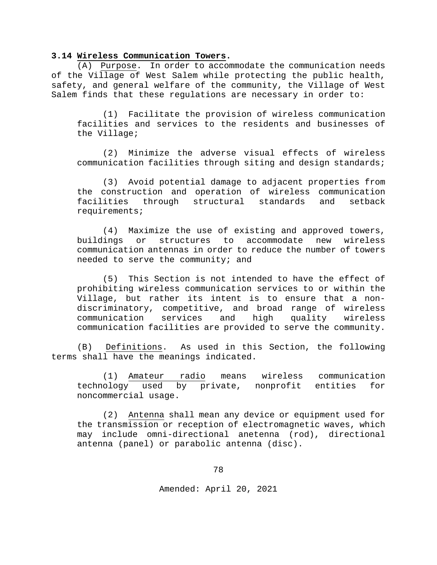## **3.14 Wireless Communication Towers.**

 (A) Purpose. In order to accommodate the communication needs of the Village of West Salem while protecting the public health, safety, and general welfare of the community, the Village of West Salem finds that these regulations are necessary in order to:

(1) Facilitate the provision of wireless communication facilities and services to the residents and businesses of the Village;

(2) Minimize the adverse visual effects of wireless communication facilities through siting and design standards;

(3) Avoid potential damage to adjacent properties from the construction and operation of wireless communication facilities through structural standards and setback requirements;

(4) Maximize the use of existing and approved towers,<br>buildings or structures to accommodate new wireless structures to accommodate new communication antennas in order to reduce the number of towers needed to serve the community; and

(5) This Section is not intended to have the effect of prohibiting wireless communication services to or within the Village, but rather its intent is to ensure that a nondiscriminatory, competitive, and broad range of wireless<br>communication services and high quality wireless communication services and high quality wireless communication facilities are provided to serve the community.

(B) Definitions. As used in this Section, the following terms shall have the meanings indicated.

(1) <u>Amateur radio</u> means wireless communication<br>ology used by private, nonprofit entities for technology used by private, nonprofit noncommercial usage.

(2) Antenna shall mean any device or equipment used for the transmission or reception of electromagnetic waves, which may include omni-directional anetenna (rod), directional antenna (panel) or parabolic antenna (disc).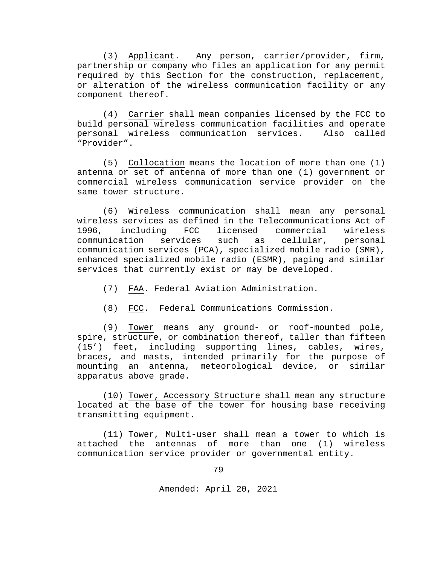(3) Applicant. Any person, carrier/provider, firm, partnership or company who files an application for any permit required by this Section for the construction, replacement, or alteration of the wireless communication facility or any component thereof.

(4) Carrier shall mean companies licensed by the FCC to build personal wireless communication facilities and operate personal wireless communication services. Also called "Provider".

(5) Collocation means the location of more than one (1) antenna or set of antenna of more than one (1) government or commercial wireless communication service provider on the same tower structure.

(6) Wireless communication shall mean any personal wireless services as defined in the Telecommunications Act of<br>1996, including FCC licensed commercial wireless including FCC licensed commercial wireless<br>ation services such as cellular, personal communication services such as communication services (PCA), specialized mobile radio (SMR), enhanced specialized mobile radio (ESMR), paging and similar services that currently exist or may be developed.

- (7) FAA. Federal Aviation Administration.
- (8) FCC. Federal Communications Commission.

(9) Tower means any ground- or roof-mounted pole, spire, structure, or combination thereof, taller than fifteen (15') feet, including supporting lines, cables, wires, braces, and masts, intended primarily for the purpose of mounting an antenna, meteorological device, or similar apparatus above grade.

(10) Tower, Accessory Structure shall mean any structure located at the base of the tower for housing base receiving transmitting equipment.

(11) Tower, Multi-user shall mean a tower to which is attached the antennas of more than one (1) wireless communication service provider or governmental entity.

79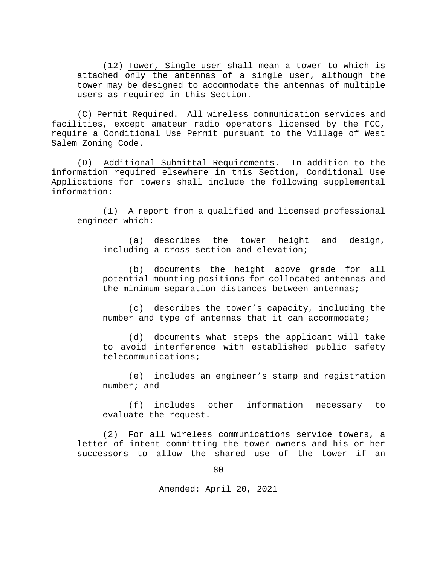(12) Tower, Single-user shall mean a tower to which is attached only the antennas of a single user, although the tower may be designed to accommodate the antennas of multiple users as required in this Section.

(C) Permit Required. All wireless communication services and facilities, except amateur radio operators licensed by the FCC, require a Conditional Use Permit pursuant to the Village of West Salem Zoning Code.

(D) Additional Submittal Requirements. In addition to the information required elsewhere in this Section, Conditional Use Applications for towers shall include the following supplemental information:

(1) A report from a qualified and licensed professional engineer which:

(a) describes the tower height and design, including a cross section and elevation;

(b) documents the height above grade for all potential mounting positions for collocated antennas and the minimum separation distances between antennas;

(c) describes the tower's capacity, including the number and type of antennas that it can accommodate;

(d) documents what steps the applicant will take to avoid interference with established public safety telecommunications;

(e) includes an engineer's stamp and registration number; and

(f) includes other information necessary to evaluate the request.

(2) For all wireless communications service towers, a letter of intent committing the tower owners and his or her successors to allow the shared use of the tower if an

80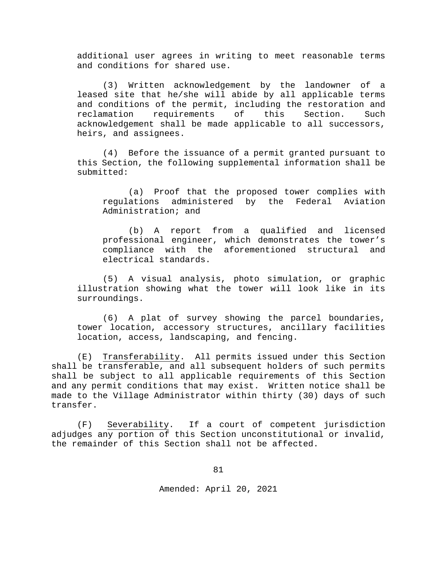additional user agrees in writing to meet reasonable terms and conditions for shared use.

(3) Written acknowledgement by the landowner of a leased site that he/she will abide by all applicable terms and conditions of the permit, including the restoration and reclamation requirements of this Section. Such requirements of this Section. Such acknowledgement shall be made applicable to all successors, heirs, and assignees.

(4) Before the issuance of a permit granted pursuant to this Section, the following supplemental information shall be submitted:

(a) Proof that the proposed tower complies with regulations administered by the Federal Aviation Administration; and

(b) A report from a qualified and licensed professional engineer, which demonstrates the tower's compliance with the aforementioned structural and electrical standards.

(5) A visual analysis, photo simulation, or graphic illustration showing what the tower will look like in its surroundings.

(6) A plat of survey showing the parcel boundaries, tower location, accessory structures, ancillary facilities location, access, landscaping, and fencing.

(E) Transferability. All permits issued under this Section shall be transferable, and all subsequent holders of such permits shall be subject to all applicable requirements of this Section and any permit conditions that may exist. Written notice shall be made to the Village Administrator within thirty (30) days of such transfer.

(F) Severability. If a court of competent jurisdiction adjudges any portion of this Section unconstitutional or invalid, the remainder of this Section shall not be affected.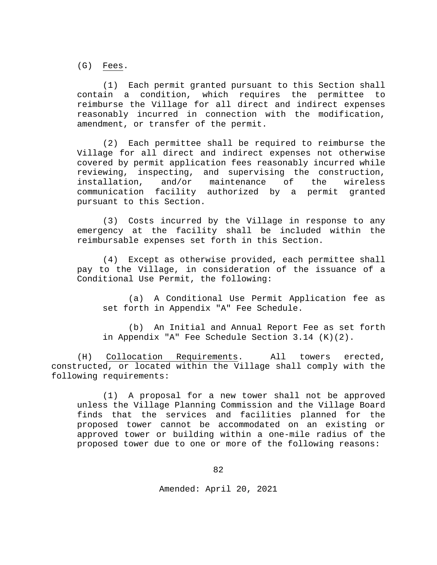(G) Fees.

(1) Each permit granted pursuant to this Section shall contain a condition, which requires the permittee reimburse the Village for all direct and indirect expenses reasonably incurred in connection with the modification, amendment, or transfer of the permit.

(2) Each permittee shall be required to reimburse the Village for all direct and indirect expenses not otherwise covered by permit application fees reasonably incurred while reviewing, inspecting, and supervising the construction,<br>installation, and/or maintenance of the wireless and/or maintenance communication facility authorized by a permit granted pursuant to this Section.

(3) Costs incurred by the Village in response to any emergency at the facility shall be included within the reimbursable expenses set forth in this Section.

(4) Except as otherwise provided, each permittee shall pay to the Village, in consideration of the issuance of a Conditional Use Permit, the following:

(a) A Conditional Use Permit Application fee as set forth in Appendix "A" Fee Schedule.

(b) An Initial and Annual Report Fee as set forth in Appendix "A" Fee Schedule Section 3.14 (K)(2).

(H) Collocation Requirements. All towers erected, constructed, or located within the Village shall comply with the following requirements:

(1) A proposal for a new tower shall not be approved unless the Village Planning Commission and the Village Board finds that the services and facilities planned for the proposed tower cannot be accommodated on an existing or approved tower or building within a one-mile radius of the proposed tower due to one or more of the following reasons: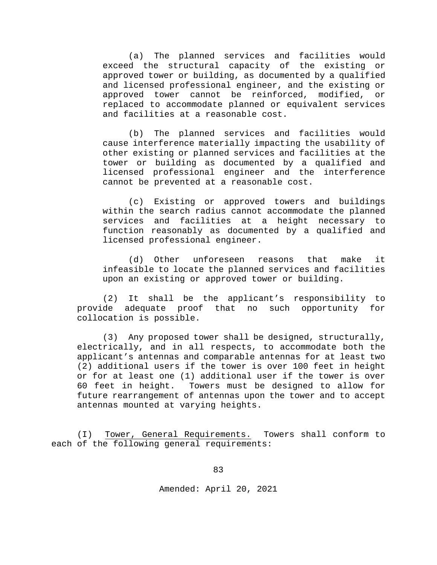(a) The planned services and facilities would exceed the structural capacity of the existing or approved tower or building, as documented by a qualified and licensed professional engineer, and the existing or<br>approved tower cannot be reinforced, modified, or approved tower cannot be reinforced, modified, replaced to accommodate planned or equivalent services and facilities at a reasonable cost.

(b) The planned services and facilities would cause interference materially impacting the usability of other existing or planned services and facilities at the tower or building as documented by a qualified and licensed professional engineer and the interference cannot be prevented at a reasonable cost.

(c) Existing or approved towers and buildings within the search radius cannot accommodate the planned services and facilities at a height necessary to function reasonably as documented by a qualified and licensed professional engineer.

(d) Other unforeseen reasons that make it infeasible to locate the planned services and facilities upon an existing or approved tower or building.

(2) It shall be the applicant's responsibility to<br>provide adequate proof that no such opportunity for that no such opportunity for collocation is possible.

(3) Any proposed tower shall be designed, structurally, electrically, and in all respects, to accommodate both the applicant's antennas and comparable antennas for at least two (2) additional users if the tower is over 100 feet in height or for at least one (1) additional user if the tower is over 60 feet in height. Towers must be designed to allow for future rearrangement of antennas upon the tower and to accept antennas mounted at varying heights.

(I) Tower, General Requirements. Towers shall conform to each of the following general requirements: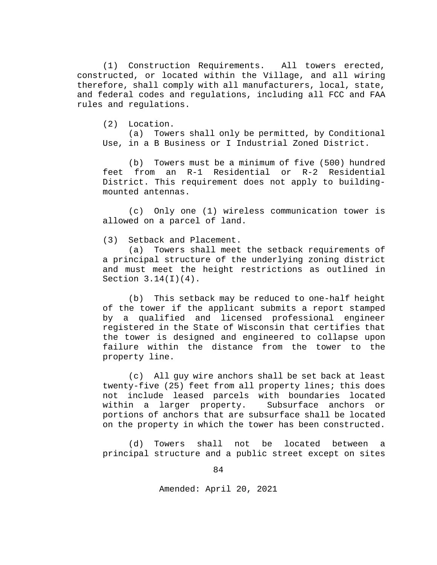(1) Construction Requirements. All towers erected, constructed, or located within the Village, and all wiring therefore, shall comply with all manufacturers, local, state, and federal codes and regulations, including all FCC and FAA rules and regulations.

(2) Location.

(a) Towers shall only be permitted, by Conditional Use, in a B Business or I Industrial Zoned District.

(b) Towers must be a minimum of five (500) hundred feet from an R-1 Residential or R-2 Residential District. This requirement does not apply to buildingmounted antennas.

(c) Only one (1) wireless communication tower is allowed on a parcel of land.

(3) Setback and Placement.

(a) Towers shall meet the setback requirements of a principal structure of the underlying zoning district and must meet the height restrictions as outlined in Section  $3.14(I)(4)$ .

(b) This setback may be reduced to one-half height of the tower if the applicant submits a report stamped by a qualified and licensed professional engineer registered in the State of Wisconsin that certifies that the tower is designed and engineered to collapse upon failure within the distance from the tower to the property line.

(c) All guy wire anchors shall be set back at least twenty-five (25) feet from all property lines; this does not include leased parcels with boundaries located within a larger property. Subsurface anchors or portions of anchors that are subsurface shall be located on the property in which the tower has been constructed.

(d) Towers shall not be located between a principal structure and a public street except on sites

84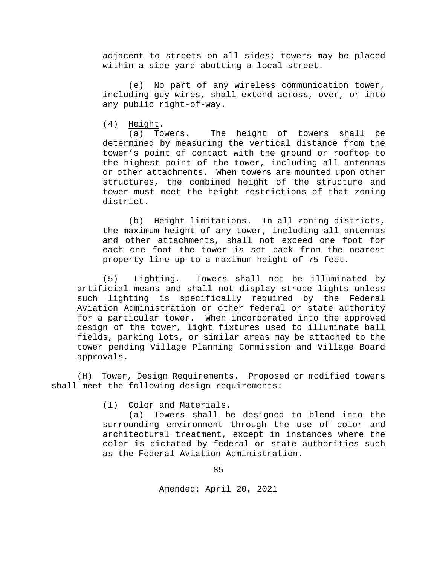adjacent to streets on all sides; towers may be placed within a side yard abutting a local street.

(e) No part of any wireless communication tower, including guy wires, shall extend across, over, or into any public right-of-way.

(4)  $\frac{\text{Height}}{(\text{a})}$ .<br>(a) Towers. The height of towers shall be determined by measuring the vertical distance from the tower's point of contact with the ground or rooftop to the highest point of the tower, including all antennas or other attachments. When towers are mounted upon other structures, the combined height of the structure and tower must meet the height restrictions of that zoning district.

(b) Height limitations. In all zoning districts, the maximum height of any tower, including all antennas and other attachments, shall not exceed one foot for each one foot the tower is set back from the nearest property line up to a maximum height of 75 feet.

(5) Lighting. Towers shall not be illuminated by artificial means and shall not display strobe lights unless such lighting is specifically required by the Federal Aviation Administration or other federal or state authority for a particular tower. When incorporated into the approved design of the tower, light fixtures used to illuminate ball fields, parking lots, or similar areas may be attached to the tower pending Village Planning Commission and Village Board approvals.

(H) Tower, Design Requirements. Proposed or modified towers shall meet the following design requirements:

(1) Color and Materials.

(a) Towers shall be designed to blend into the surrounding environment through the use of color and architectural treatment, except in instances where the color is dictated by federal or state authorities such as the Federal Aviation Administration.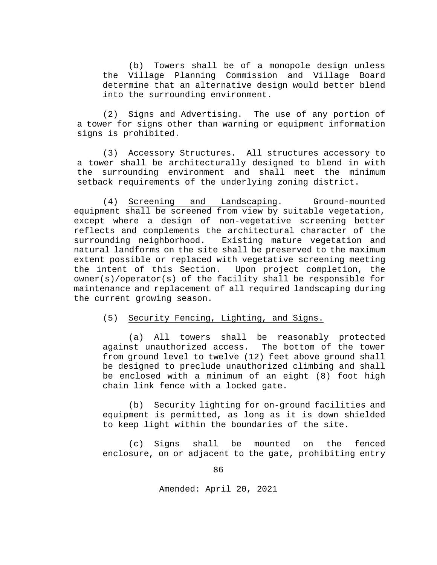(b) Towers shall be of a monopole design unless the Village Planning Commission and Village Board determine that an alternative design would better blend into the surrounding environment.

(2) Signs and Advertising. The use of any portion of a tower for signs other than warning or equipment information signs is prohibited.

(3) Accessory Structures. All structures accessory to a tower shall be architecturally designed to blend in with the surrounding environment and shall meet the minimum setback requirements of the underlying zoning district.

(4) Screening and Landscaping. Ground-mounted equipment shall be screened from view by suitable vegetation, except where a design of non-vegetative screening better reflects and complements the architectural character of the<br>surrounding neighborhood. Existing mature vegetation and Existing mature vegetation and natural landforms on the site shall be preserved to the maximum extent possible or replaced with vegetative screening meeting<br>the intent of this Section. Upon project completion, the Upon project completion, the owner(s)/operator(s) of the facility shall be responsible for maintenance and replacement of all required landscaping during the current growing season.

## (5) Security Fencing, Lighting, and Signs.

(a) All towers shall be reasonably protected against unauthorized access. The bottom of the tower from ground level to twelve (12) feet above ground shall be designed to preclude unauthorized climbing and shall be enclosed with a minimum of an eight (8) foot high chain link fence with a locked gate.

(b) Security lighting for on-ground facilities and equipment is permitted, as long as it is down shielded to keep light within the boundaries of the site.

(c) Signs shall be mounted on the fenced enclosure, on or adjacent to the gate, prohibiting entry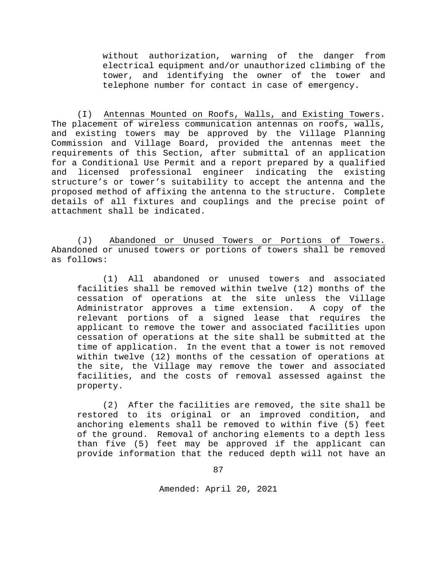without authorization, warning of the danger from electrical equipment and/or unauthorized climbing of the tower, and identifying the owner of the tower and telephone number for contact in case of emergency.

(I) Antennas Mounted on Roofs, Walls, and Existing Towers. The placement of wireless communication antennas on roofs, walls, and existing towers may be approved by the Village Planning Commission and Village Board, provided the antennas meet the requirements of this Section, after submittal of an application for a Conditional Use Permit and a report prepared by a qualified and licensed professional engineer indicating the existing structure's or tower's suitability to accept the antenna and the proposed method of affixing the antenna to the structure. Complete details of all fixtures and couplings and the precise point of attachment shall be indicated.

(J) Abandoned or Unused Towers or Portions of Towers. Abandoned or unused towers or portions of towers shall be removed as follows:

(1) All abandoned or unused towers and associated facilities shall be removed within twelve (12) months of the cessation of operations at the site unless the Village<br>Administrator approves a time extension. A copy of the Administrator approves a time extension. relevant portions of a signed lease that requires the applicant to remove the tower and associated facilities upon cessation of operations at the site shall be submitted at the time of application. In the event that a tower is not removed within twelve (12) months of the cessation of operations at the site, the Village may remove the tower and associated facilities, and the costs of removal assessed against the property.

(2) After the facilities are removed, the site shall be restored to its original or an improved condition, and anchoring elements shall be removed to within five (5) feet of the ground. Removal of anchoring elements to a depth less than five (5) feet may be approved if the applicant can provide information that the reduced depth will not have an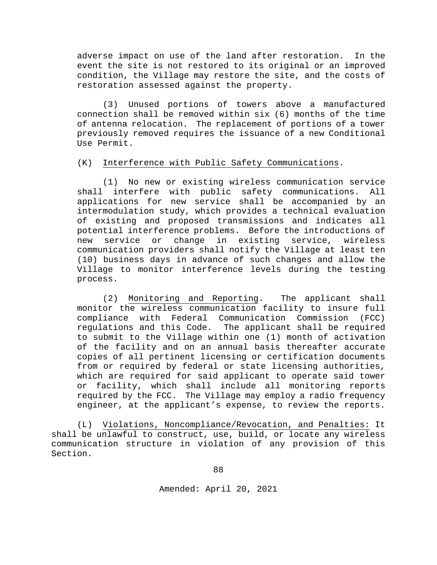adverse impact on use of the land after restoration. In the event the site is not restored to its original or an improved condition, the Village may restore the site, and the costs of restoration assessed against the property.

(3) Unused portions of towers above a manufactured connection shall be removed within six (6) months of the time of antenna relocation. The replacement of portions of a tower previously removed requires the issuance of a new Conditional Use Permit.

#### (K) Interference with Public Safety Communications.

(1) No new or existing wireless communication service shall interfere with public safety communications. All applications for new service shall be accompanied by an intermodulation study, which provides a technical evaluation of existing and proposed transmissions and indicates all potential interference problems. Before the introductions of<br>new service or change in existing service, wireless new service or change in existing service, communication providers shall notify the Village at least ten (10) business days in advance of such changes and allow the Village to monitor interference levels during the testing process.

(2) Monitoring and Reporting. The applicant shall monitor the wireless communication facility to insure full<br>compliance with Federal Communication Commission (FCC) compliance with Federal Communication Commission regulations and this Code. The applicant shall be required to submit to the Village within one (1) month of activation of the facility and on an annual basis thereafter accurate copies of all pertinent licensing or certification documents from or required by federal or state licensing authorities, which are required for said applicant to operate said tower or facility, which shall include all monitoring reports required by the FCC. The Village may employ a radio frequency engineer, at the applicant's expense, to review the reports.

(L) Violations, Noncompliance/Revocation, and Penalties: It shall be unlawful to construct, use, build, or locate any wireless communication structure in violation of any provision of this Section.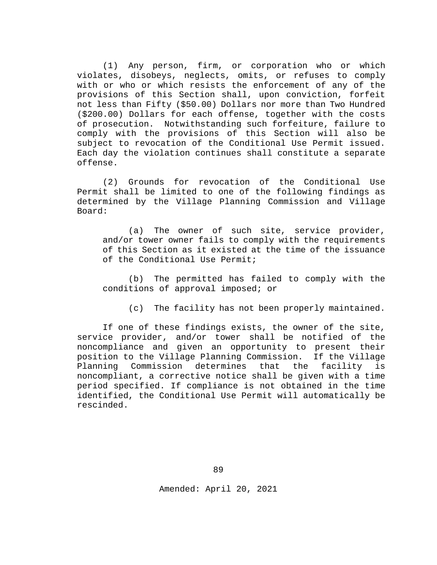(1) Any person, firm, or corporation who or which violates, disobeys, neglects, omits, or refuses to comply with or who or which resists the enforcement of any of the provisions of this Section shall, upon conviction, forfeit not less than Fifty (\$50.00) Dollars nor more than Two Hundred (\$200.00) Dollars for each offense, together with the costs of prosecution. Notwithstanding such forfeiture, failure to comply with the provisions of this Section will also be subject to revocation of the Conditional Use Permit issued. Each day the violation continues shall constitute a separate offense.

(2) Grounds for revocation of the Conditional Use Permit shall be limited to one of the following findings as determined by the Village Planning Commission and Village Board:

(a) The owner of such site, service provider, and/or tower owner fails to comply with the requirements of this Section as it existed at the time of the issuance of the Conditional Use Permit;

(b) The permitted has failed to comply with the conditions of approval imposed; or

(c) The facility has not been properly maintained.

If one of these findings exists, the owner of the site, service provider, and/or tower shall be notified of the noncompliance and given an opportunity to present their<br>position to the Village Planning Commission. If the Village position to the Village Planning Commission. If the Village Planning Commission determines that the noncompliant, a corrective notice shall be given with a time period specified. If compliance is not obtained in the time identified, the Conditional Use Permit will automatically be rescinded.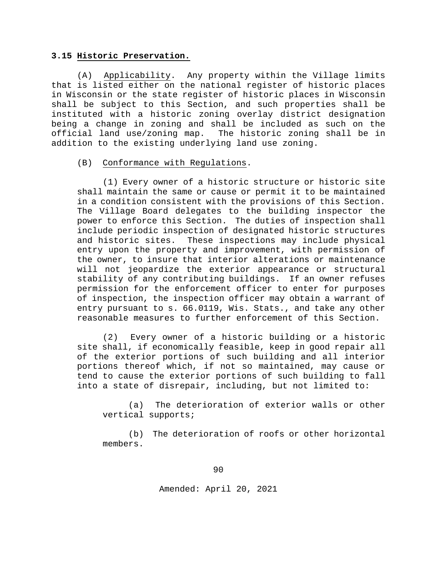#### **3.15 Historic Preservation.**

(A) Applicability. Any property within the Village limits that is listed either on the national register of historic places in Wisconsin or the state register of historic places in Wisconsin shall be subject to this Section, and such properties shall be instituted with a historic zoning overlay district designation being a change in zoning and shall be included as such on the official land use/zoning map. The historic zoning shall be in addition to the existing underlying land use zoning.

#### (B) Conformance with Regulations.

(1) Every owner of a historic structure or historic site shall maintain the same or cause or permit it to be maintained in a condition consistent with the provisions of this Section. The Village Board delegates to the building inspector the power to enforce this Section. The duties of inspection shall include periodic inspection of designated historic structures and historic sites. These inspections may include physical entry upon the property and improvement, with permission of the owner, to insure that interior alterations or maintenance will not jeopardize the exterior appearance or structural stability of any contributing buildings. If an owner refuses permission for the enforcement officer to enter for purposes of inspection, the inspection officer may obtain a warrant of entry pursuant to s. 66.0119, Wis. Stats., and take any other reasonable measures to further enforcement of this Section.

(2) Every owner of a historic building or a historic site shall, if economically feasible, keep in good repair all of the exterior portions of such building and all interior portions thereof which, if not so maintained, may cause or tend to cause the exterior portions of such building to fall into a state of disrepair, including, but not limited to:

(a) The deterioration of exterior walls or other vertical supports;

(b) The deterioration of roofs or other horizontal members.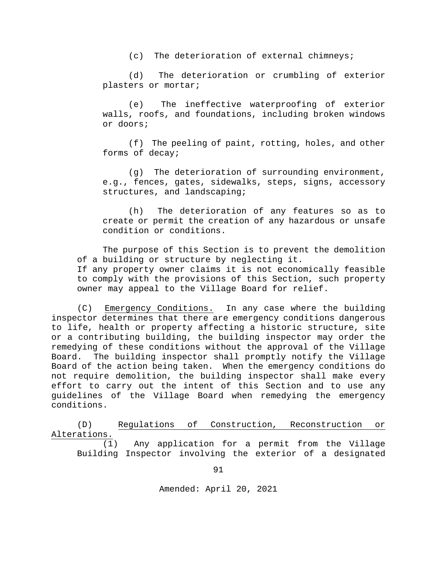(c) The deterioration of external chimneys;

(d) The deterioration or crumbling of exterior plasters or mortar;

(e) The ineffective waterproofing of exterior walls, roofs, and foundations, including broken windows or doors;

(f) The peeling of paint, rotting, holes, and other forms of decay;

(g) The deterioration of surrounding environment, e.g., fences, gates, sidewalks, steps, signs, accessory structures, and landscaping;

(h) The deterioration of any features so as to create or permit the creation of any hazardous or unsafe condition or conditions.

 The purpose of this Section is to prevent the demolition of a building or structure by neglecting it. If any property owner claims it is not economically feasible to comply with the provisions of this Section, such property owner may appeal to the Village Board for relief.

(C) Emergency Conditions. In any case where the building inspector determines that there are emergency conditions dangerous to life, health or property affecting a historic structure, site or a contributing building, the building inspector may order the remedying of these conditions without the approval of the Village Board. The building inspector shall promptly notify the Village Board of the action being taken. When the emergency conditions do not require demolition, the building inspector shall make every effort to carry out the intent of this Section and to use any guidelines of the Village Board when remedying the emergency conditions.

(D) Regulations of Construction, Reconstruction or Alterations.

(1) Any application for a permit from the Village Building Inspector involving the exterior of a designated

91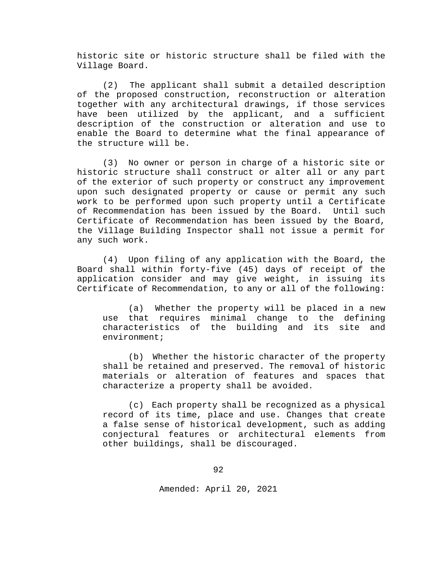historic site or historic structure shall be filed with the Village Board.

(2) The applicant shall submit a detailed description of the proposed construction, reconstruction or alteration together with any architectural drawings, if those services have been utilized by the applicant, and a sufficient description of the construction or alteration and use to enable the Board to determine what the final appearance of the structure will be.

(3) No owner or person in charge of a historic site or historic structure shall construct or alter all or any part of the exterior of such property or construct any improvement upon such designated property or cause or permit any such work to be performed upon such property until a Certificate of Recommendation has been issued by the Board. Until such Certificate of Recommendation has been issued by the Board, the Village Building Inspector shall not issue a permit for any such work.

(4) Upon filing of any application with the Board, the Board shall within forty-five (45) days of receipt of the application consider and may give weight, in issuing its Certificate of Recommendation, to any or all of the following:

(a) Whether the property will be placed in a new use that requires minimal change to the defining characteristics of the building and its site and environment;

(b) Whether the historic character of the property shall be retained and preserved. The removal of historic materials or alteration of features and spaces that characterize a property shall be avoided.

(c) Each property shall be recognized as a physical record of its time, place and use. Changes that create a false sense of historical development, such as adding conjectural features or architectural elements from other buildings, shall be discouraged.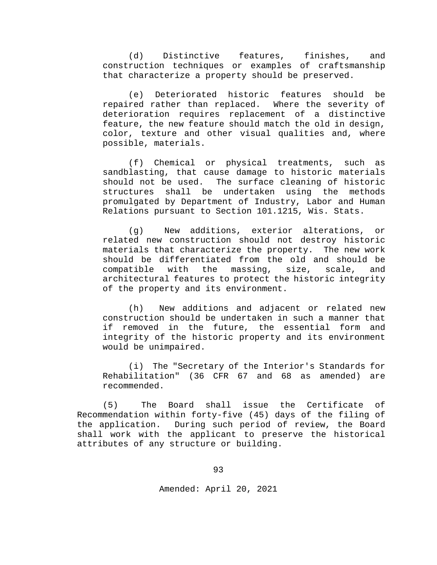(d) Distinctive features, finishes, and construction techniques or examples of craftsmanship that characterize a property should be preserved.

(e) Deteriorated historic features should be repaired rather than replaced. Where the severity of deterioration requires replacement of a distinctive feature, the new feature should match the old in design, color, texture and other visual qualities and, where possible, materials.

(f) Chemical or physical treatments, such as sandblasting, that cause damage to historic materials<br>should not be used. The surface cleaning of historic The surface cleaning of historic structures shall be undertaken using the methods promulgated by Department of Industry, Labor and Human Relations pursuant to Section 101.1215, Wis. Stats.

(g) New additions, exterior alterations, or related new construction should not destroy historic materials that characterize the property. The new work should be differentiated from the old and should be compatible with the massing, size, scale, and compatible with the massing, size, scale, architectural features to protect the historic integrity of the property and its environment.

(h) New additions and adjacent or related new construction should be undertaken in such a manner that if removed in the future, the essential form and integrity of the historic property and its environment would be unimpaired.

(i) The "Secretary of the Interior's Standards for Rehabilitation" (36 CFR 67 and 68 as amended) are recommended.

(5) The Board shall issue the Certificate of Recommendation within forty-five (45) days of the filing of the application. During such period of review, the Board shall work with the applicant to preserve the historical attributes of any structure or building.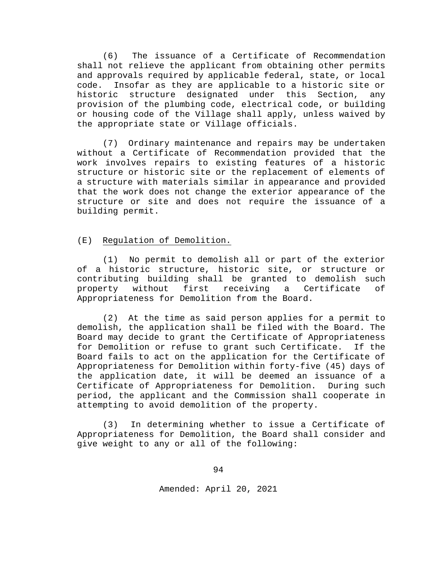(6) The issuance of a Certificate of Recommendation shall not relieve the applicant from obtaining other permits and approvals required by applicable federal, state, or local code. Insofar as they are applicable to a historic site or historic structure designated under this Section, any provision of the plumbing code, electrical code, or building or housing code of the Village shall apply, unless waived by the appropriate state or Village officials.

(7) Ordinary maintenance and repairs may be undertaken without a Certificate of Recommendation provided that the work involves repairs to existing features of a historic structure or historic site or the replacement of elements of a structure with materials similar in appearance and provided that the work does not change the exterior appearance of the structure or site and does not require the issuance of a building permit.

#### (E) Regulation of Demolition.

(1) No permit to demolish all or part of the exterior of a historic structure, historic site, or structure or contributing building shall be granted to demolish such property without first receiving a Certificate of Appropriateness for Demolition from the Board.

(2) At the time as said person applies for a permit to demolish, the application shall be filed with the Board. The Board may decide to grant the Certificate of Appropriateness<br>for Demolition or refuse to grant such Certificate. If the for Demolition or refuse to grant such Certificate. Board fails to act on the application for the Certificate of Appropriateness for Demolition within forty-five (45) days of the application date, it will be deemed an issuance of a Certificate of Appropriateness for Demolition. During such period, the applicant and the Commission shall cooperate in attempting to avoid demolition of the property.

(3) In determining whether to issue a Certificate of Appropriateness for Demolition, the Board shall consider and give weight to any or all of the following: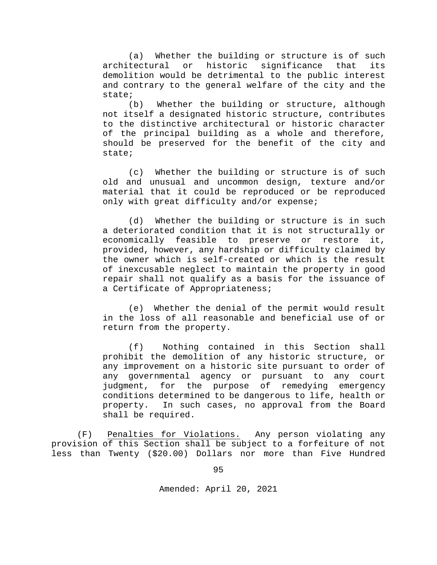(a) Whether the building or structure is of such<br>architectural or historic significance that its or historic significance that demolition would be detrimental to the public interest and contrary to the general welfare of the city and the state;

(b) Whether the building or structure, although not itself a designated historic structure, contributes to the distinctive architectural or historic character of the principal building as a whole and therefore, should be preserved for the benefit of the city and state;

(c) Whether the building or structure is of such old and unusual and uncommon design, texture and/or material that it could be reproduced or be reproduced only with great difficulty and/or expense;

(d) Whether the building or structure is in such a deteriorated condition that it is not structurally or economically feasible to preserve or restore it, provided, however, any hardship or difficulty claimed by the owner which is self-created or which is the result of inexcusable neglect to maintain the property in good repair shall not qualify as a basis for the issuance of a Certificate of Appropriateness;

(e) Whether the denial of the permit would result in the loss of all reasonable and beneficial use of or return from the property.

(f) Nothing contained in this Section shall prohibit the demolition of any historic structure, or any improvement on a historic site pursuant to order of any governmental agency or pursuant to any court judgment, for the purpose of remedying emergency conditions determined to be dangerous to life, health or property. In such cases, no approval from the Board shall be required.

(F) Penalties for Violations. Any person violating any provision of this Section shall be subject to a forfeiture of not less than Twenty (\$20.00) Dollars nor more than Five Hundred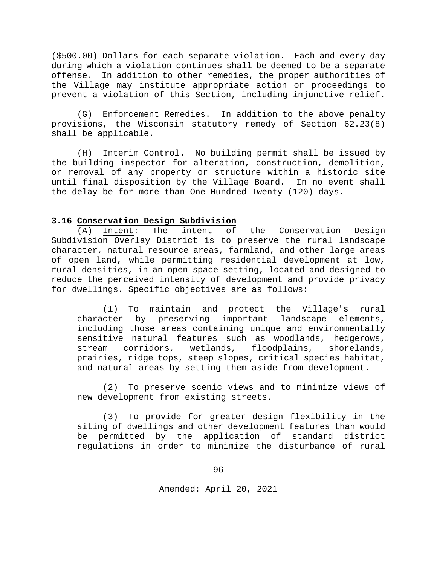(\$500.00) Dollars for each separate violation. Each and every day during which a violation continues shall be deemed to be a separate offense. In addition to other remedies, the proper authorities of the Village may institute appropriate action or proceedings to prevent a violation of this Section, including injunctive relief.

(G) Enforcement Remedies. In addition to the above penalty provisions, the Wisconsin statutory remedy of Section 62.23(8) shall be applicable.

(H) Interim Control. No building permit shall be issued by the building inspector for alteration, construction, demolition, or removal of any property or structure within a historic site until final disposition by the Village Board. In no event shall the delay be for more than One Hundred Twenty (120) days.

#### **3.16 Conservation Design Subdivision**

(A) Intent: The intent of the Conservation Design Subdivision Overlay District is to preserve the rural landscape character, natural resource areas, farmland, and other large areas of open land, while permitting residential development at low, rural densities, in an open space setting, located and designed to reduce the perceived intensity of development and provide privacy for dwellings. Specific objectives are as follows:

(1) To maintain and protect the Village's rural<br>cter by preserving important landscape elements, character by preserving important including those areas containing unique and environmentally sensitive natural features such as woodlands, hedgerows, stream corridors, wetlands, floodplains, shorelands, prairies, ridge tops, steep slopes, critical species habitat, and natural areas by setting them aside from development.

(2) To preserve scenic views and to minimize views of new development from existing streets.

(3) To provide for greater design flexibility in the siting of dwellings and other development features than would be permitted by the application of standard district regulations in order to minimize the disturbance of rural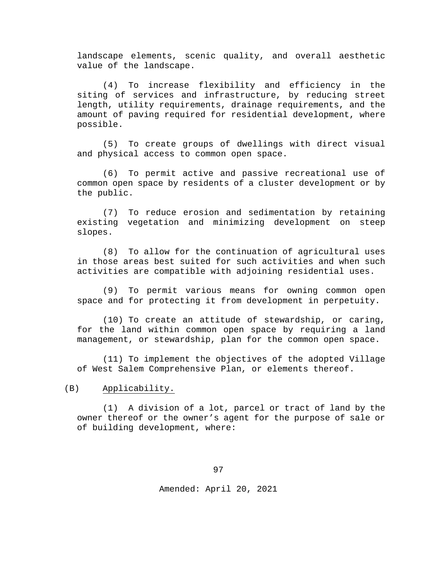landscape elements, scenic quality, and overall aesthetic value of the landscape.

(4) To increase flexibility and efficiency in the siting of services and infrastructure, by reducing street length, utility requirements, drainage requirements, and the amount of paving required for residential development, where possible.

(5) To create groups of dwellings with direct visual and physical access to common open space.

(6) To permit active and passive recreational use of common open space by residents of a cluster development or by the public.

(7) To reduce erosion and sedimentation by retaining existing vegetation and minimizing development on steep slopes.

(8) To allow for the continuation of agricultural uses in those areas best suited for such activities and when such activities are compatible with adjoining residential uses.

(9) To permit various means for owning common open space and for protecting it from development in perpetuity.

(10) To create an attitude of stewardship, or caring, for the land within common open space by requiring a land management, or stewardship, plan for the common open space.

(11) To implement the objectives of the adopted Village of West Salem Comprehensive Plan, or elements thereof.

(B) Applicability.

(1) A division of a lot, parcel or tract of land by the owner thereof or the owner's agent for the purpose of sale or of building development, where: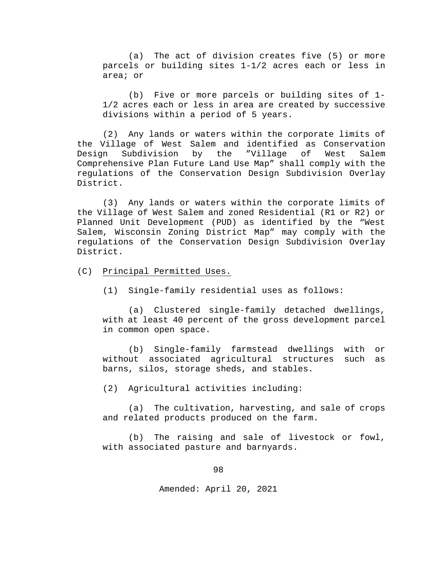(a) The act of division creates five (5) or more parcels or building sites 1-1/2 acres each or less in area; or

(b) Five or more parcels or building sites of 1- 1/2 acres each or less in area are created by successive divisions within a period of 5 years.

(2) Any lands or waters within the corporate limits of the Village of West Salem and identified as Conservation<br>Design Subdivision by the "Village of West Salem Subdivision Comprehensive Plan Future Land Use Map" shall comply with the regulations of the Conservation Design Subdivision Overlay District.

(3) Any lands or waters within the corporate limits of the Village of West Salem and zoned Residential (R1 or R2) or Planned Unit Development (PUD) as identified by the "West Salem, Wisconsin Zoning District Map" may comply with the regulations of the Conservation Design Subdivision Overlay District.

- (C) Principal Permitted Uses.
	- (1) Single-family residential uses as follows:

(a) Clustered single-family detached dwellings, with at least 40 percent of the gross development parcel in common open space.

(b) Single-family farmstead dwellings with or without associated agricultural structures such as barns, silos, storage sheds, and stables.

(2) Agricultural activities including:

(a) The cultivation, harvesting, and sale of crops and related products produced on the farm.

(b) The raising and sale of livestock or fowl, with associated pasture and barnyards.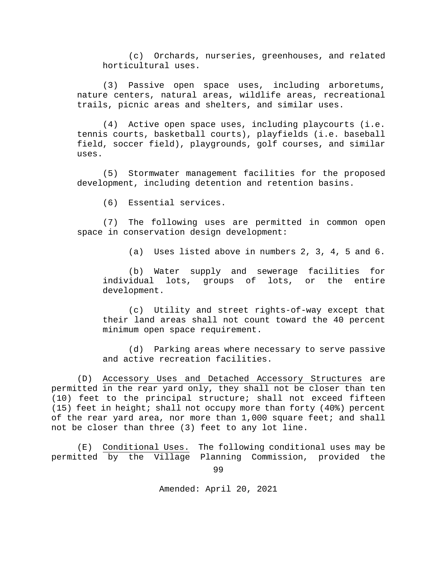(c) Orchards, nurseries, greenhouses, and related horticultural uses.

(3) Passive open space uses, including arboretums, nature centers, natural areas, wildlife areas, recreational trails, picnic areas and shelters, and similar uses.

(4) Active open space uses, including playcourts (i.e. tennis courts, basketball courts), playfields (i.e. baseball field, soccer field), playgrounds, golf courses, and similar uses.

(5) Stormwater management facilities for the proposed development, including detention and retention basins.

(6) Essential services.

(7) The following uses are permitted in common open space in conservation design development:

(a) Uses listed above in numbers 2, 3, 4, 5 and 6.

(b) Water supply and sewerage facilities for<br>individual lots, groups of lots, or the entire lots, groups of lots, or the entire development.

(c) Utility and street rights-of-way except that their land areas shall not count toward the 40 percent minimum open space requirement.

(d) Parking areas where necessary to serve passive and active recreation facilities.

(D) Accessory Uses and Detached Accessory Structures are permitted in the rear yard only, they shall not be closer than ten (10) feet to the principal structure; shall not exceed fifteen (15) feet in height; shall not occupy more than forty (40%) percent of the rear yard area, nor more than 1,000 square feet; and shall not be closer than three (3) feet to any lot line.

(E) Conditional Uses. The following conditional uses may be permitted by the Village Planning Commission, provided the

99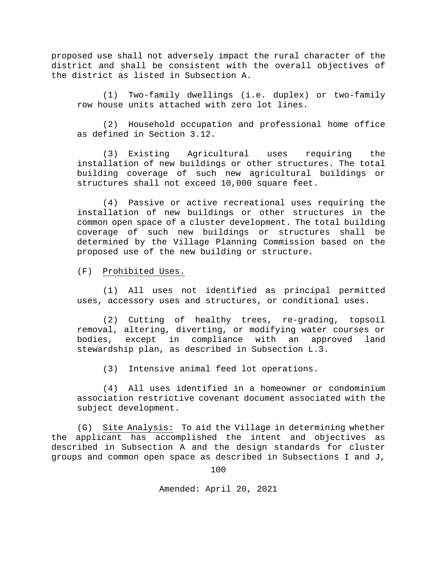proposed use shall not adversely impact the rural character of the district and shall be consistent with the overall objectives of the district as listed in Subsection A.

(1) Two-family dwellings (i.e. duplex) or two-family row house units attached with zero lot lines.

(2) Household occupation and professional home office as defined in Section 3.12.

(3) Existing Agricultural uses requiring the installation of new buildings or other structures. The total building coverage of such new agricultural buildings or structures shall not exceed 10,000 square feet.

(4) Passive or active recreational uses requiring the installation of new buildings or other structures in the common open space of a cluster development. The total building coverage of such new buildings or structures shall be determined by the Village Planning Commission based on the proposed use of the new building or structure.

(F) Prohibited Uses.

(1) All uses not identified as principal permitted uses, accessory uses and structures, or conditional uses.

(2) Cutting of healthy trees, re-grading, topsoil removal, altering, diverting, or modifying water courses or bodies, except in compliance with an approved land stewardship plan, as described in Subsection L.3.

(3) Intensive animal feed lot operations.

(4) All uses identified in a homeowner or condominium association restrictive covenant document associated with the subject development.

(G) Site Analysis: To aid the Village in determining whether the applicant has accomplished the intent and objectives as described in Subsection A and the design standards for cluster groups and common open space as described in Subsections I and J,

100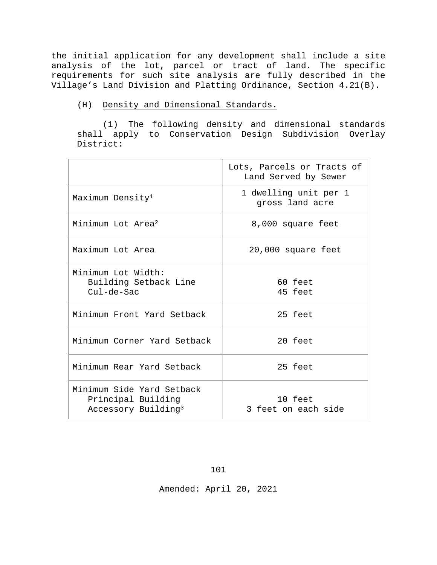the initial application for any development shall include a site analysis of the lot, parcel or tract of land. The specific requirements for such site analysis are fully described in the Village's Land Division and Platting Ordinance, Section 4.21(B).

(H) Density and Dimensional Standards.

(1) The following density and dimensional standards shall apply to Conservation Design Subdivision Overlay District:

|                                                                                    | Lots, Parcels or Tracts of<br>Land Served by Sewer |
|------------------------------------------------------------------------------------|----------------------------------------------------|
| Maximum Density <sup>1</sup>                                                       | 1 dwelling unit per 1<br>gross land acre           |
| Minimum Lot Area <sup>2</sup>                                                      | 8,000 square feet                                  |
| Maximum Lot Area                                                                   | 20,000 square feet                                 |
| Minimum Lot Width:<br>Building Setback Line<br>$Cu1-de-Sac$                        | $60$ feet<br>45 feet                               |
| Minimum Front Yard Setback                                                         | 25 feet                                            |
| Minimum Corner Yard Setback                                                        | 20 feet                                            |
| Minimum Rear Yard Setback                                                          | 25 feet                                            |
| Minimum Side Yard Setback<br>Principal Building<br>Accessory Building <sup>3</sup> | 10 feet<br>3 feet on each side                     |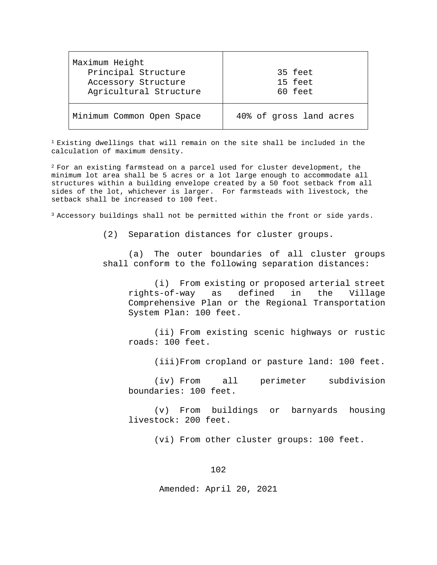| Maximum Height<br>Principal Structure         | 35 feet                 |
|-----------------------------------------------|-------------------------|
| Accessory Structure<br>Agricultural Structure | 15 feet<br>60 feet      |
| Minimum Common Open Space                     | 40% of gross land acres |

<sup>1</sup> Existing dwellings that will remain on the site shall be included in the calculation of maximum density.

2 For an existing farmstead on a parcel used for cluster development, the minimum lot area shall be 5 acres or a lot large enough to accommodate all structures within a building envelope created by a 50 foot setback from all sides of the lot, whichever is larger. For farmsteads with livestock, the setback shall be increased to 100 feet.

3 Accessory buildings shall not be permitted within the front or side yards.

(2) Separation distances for cluster groups.

(a) The outer boundaries of all cluster groups shall conform to the following separation distances:

(i) From existing or proposed arterial street<br>s-of-way as defined in the Village rights-of-way as defined in the Village Comprehensive Plan or the Regional Transportation System Plan: 100 feet.

(ii) From existing scenic highways or rustic roads: 100 feet.

(iii)From cropland or pasture land: 100 feet.

(iv) From all perimeter subdivision boundaries: 100 feet.

(v) From buildings or barnyards housing livestock: 200 feet.

(vi) From other cluster groups: 100 feet.

102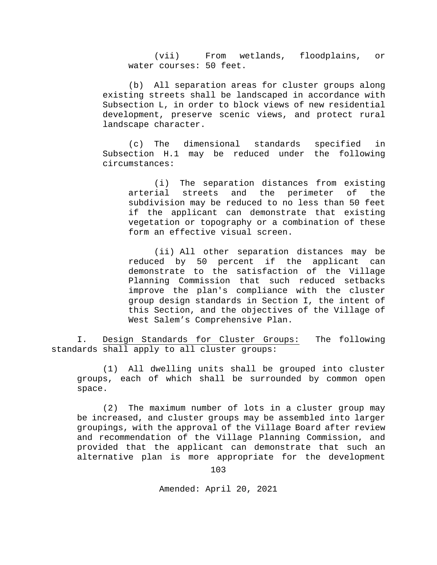(vii) From wetlands, floodplains, or water courses: 50 feet.

(b) All separation areas for cluster groups along existing streets shall be landscaped in accordance with Subsection L, in order to block views of new residential development, preserve scenic views, and protect rural landscape character.

(c) The dimensional standards specified in Subsection H.1 may be reduced under the following circumstances:

(i) The separation distances from existing arterial streets and the perimeter of the subdivision may be reduced to no less than 50 feet if the applicant can demonstrate that existing vegetation or topography or a combination of these form an effective visual screen.

(ii) All other separation distances may be reduced by 50 percent if the applicant can demonstrate to the satisfaction of the Village Planning Commission that such reduced setbacks improve the plan's compliance with the cluster group design standards in Section I, the intent of this Section, and the objectives of the Village of West Salem's Comprehensive Plan.

I. Design Standards for Cluster Groups: The following standards shall apply to all cluster groups:

(1) All dwelling units shall be grouped into cluster groups, each of which shall be surrounded by common open space.

(2) The maximum number of lots in a cluster group may be increased, and cluster groups may be assembled into larger groupings, with the approval of the Village Board after review and recommendation of the Village Planning Commission, and provided that the applicant can demonstrate that such an alternative plan is more appropriate for the development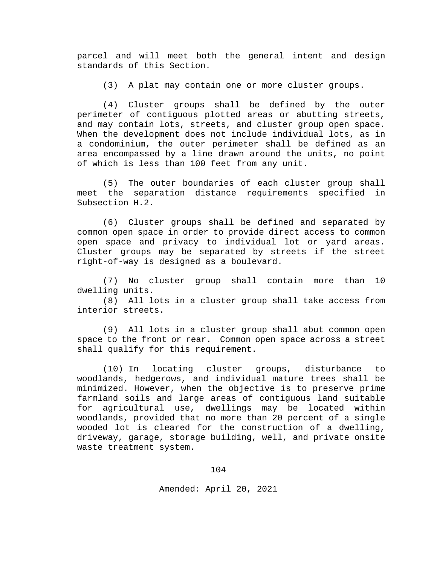parcel and will meet both the general intent and design standards of this Section.

(3) A plat may contain one or more cluster groups.

(4) Cluster groups shall be defined by the outer perimeter of contiguous plotted areas or abutting streets, and may contain lots, streets, and cluster group open space. When the development does not include individual lots, as in a condominium, the outer perimeter shall be defined as an area encompassed by a line drawn around the units, no point of which is less than 100 feet from any unit.

(5) The outer boundaries of each cluster group shall meet the separation distance requirements specified in Subsection H.2.

(6) Cluster groups shall be defined and separated by common open space in order to provide direct access to common open space and privacy to individual lot or yard areas. Cluster groups may be separated by streets if the street right-of-way is designed as a boulevard.

(7) No cluster group shall contain more than 10 dwelling units.

(8) All lots in a cluster group shall take access from interior streets.

(9) All lots in a cluster group shall abut common open space to the front or rear. Common open space across a street shall qualify for this requirement.

(10) In locating cluster groups, disturbance to woodlands, hedgerows, and individual mature trees shall be minimized. However, when the objective is to preserve prime farmland soils and large areas of contiguous land suitable for agricultural use, dwellings may be located within woodlands, provided that no more than 20 percent of a single wooded lot is cleared for the construction of a dwelling, driveway, garage, storage building, well, and private onsite waste treatment system.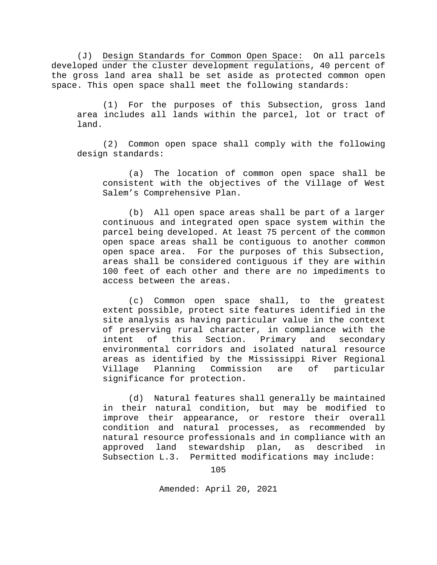(J) Design Standards for Common Open Space: On all parcels developed under the cluster development regulations, 40 percent of the gross land area shall be set aside as protected common open space. This open space shall meet the following standards:

(1) For the purposes of this Subsection, gross land area includes all lands within the parcel, lot or tract of land.

(2) Common open space shall comply with the following design standards:

(a) The location of common open space shall be consistent with the objectives of the Village of West Salem's Comprehensive Plan.

(b) All open space areas shall be part of a larger continuous and integrated open space system within the parcel being developed. At least 75 percent of the common open space areas shall be contiguous to another common open space area. For the purposes of this Subsection, areas shall be considered contiguous if they are within 100 feet of each other and there are no impediments to access between the areas.

(c) Common open space shall, to the greatest extent possible, protect site features identified in the site analysis as having particular value in the context of preserving rural character, in compliance with the intent of this Section. Primary and secondary environmental corridors and isolated natural resource areas as identified by the Mississippi River Regional Village Planning Commission are of particular significance for protection.

(d) Natural features shall generally be maintained in their natural condition, but may be modified to improve their appearance, or restore their overall condition and natural processes, as recommended by natural resource professionals and in compliance with an approved land stewardship plan, as described in Subsection L.3. Permitted modifications may include: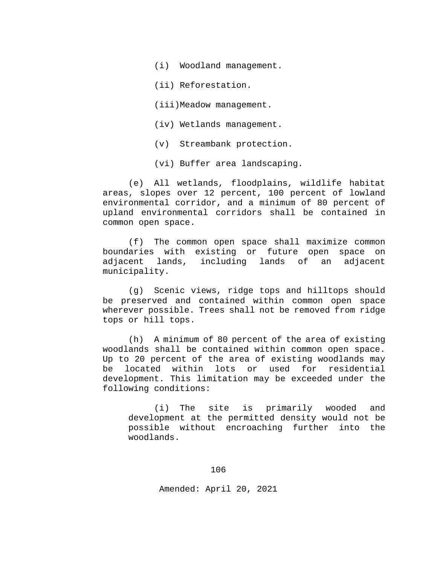(i) Woodland management.

(ii) Reforestation.

(iii)Meadow management.

(iv) Wetlands management.

(v) Streambank protection.

(vi) Buffer area landscaping.

(e) All wetlands, floodplains, wildlife habitat areas, slopes over 12 percent, 100 percent of lowland environmental corridor, and a minimum of 80 percent of upland environmental corridors shall be contained in common open space.

(f) The common open space shall maximize common boundaries with existing or future open space on adjacent lands, including lands of an adjacent municipality.

(g) Scenic views, ridge tops and hilltops should be preserved and contained within common open space wherever possible. Trees shall not be removed from ridge tops or hill tops.

(h) A minimum of 80 percent of the area of existing woodlands shall be contained within common open space. Up to 20 percent of the area of existing woodlands may be located within lots or used for residential development. This limitation may be exceeded under the following conditions:

(i) The site is primarily wooded and development at the permitted density would not be possible without encroaching further into the woodlands.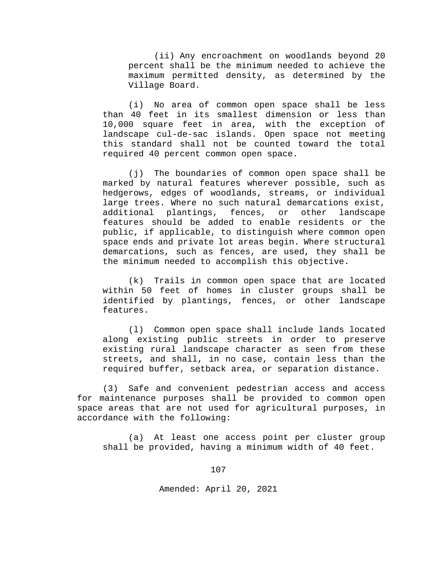(ii) Any encroachment on woodlands beyond 20 percent shall be the minimum needed to achieve the maximum permitted density, as determined by the Village Board.

(i) No area of common open space shall be less than 40 feet in its smallest dimension or less than 10,000 square feet in area, with the exception of landscape cul-de-sac islands. Open space not meeting this standard shall not be counted toward the total required 40 percent common open space.

(j) The boundaries of common open space shall be marked by natural features wherever possible, such as hedgerows, edges of woodlands, streams, or individual large trees. Where no such natural demarcations exist,<br>additional plantings, fences, or other landscape additional plantings, fences, or other landscape features should be added to enable residents or the public, if applicable, to distinguish where common open space ends and private lot areas begin. Where structural demarcations, such as fences, are used, they shall be the minimum needed to accomplish this objective.

(k) Trails in common open space that are located within 50 feet of homes in cluster groups shall be identified by plantings, fences, or other landscape features.

(l) Common open space shall include lands located along existing public streets in order to preserve existing rural landscape character as seen from these streets, and shall, in no case, contain less than the required buffer, setback area, or separation distance.

(3) Safe and convenient pedestrian access and access for maintenance purposes shall be provided to common open space areas that are not used for agricultural purposes, in accordance with the following:

(a) At least one access point per cluster group shall be provided, having a minimum width of 40 feet.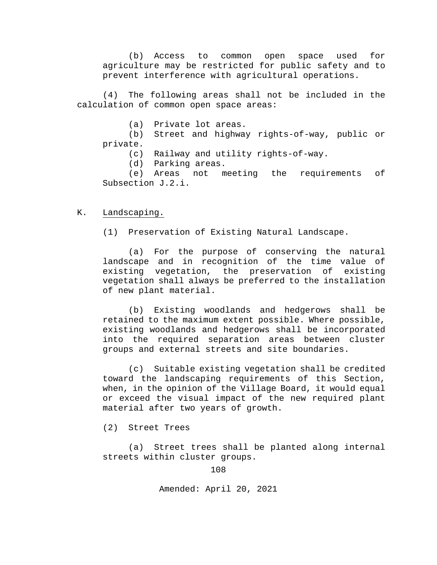(b) Access to common open space used for agriculture may be restricted for public safety and to prevent interference with agricultural operations.

(4) The following areas shall not be included in the calculation of common open space areas:

(a) Private lot areas.

(b) Street and highway rights-of-way, public or private.

(c) Railway and utility rights-of-way.

(d) Parking areas.<br>(e) Areas not m

meeting the requirements of Subsection J.2.i.

## K. Landscaping.

(1) Preservation of Existing Natural Landscape.

(a) For the purpose of conserving the natural landscape and in recognition of the time value of existing vegetation, the preservation of existing vegetation shall always be preferred to the installation of new plant material.

(b) Existing woodlands and hedgerows shall be retained to the maximum extent possible. Where possible, existing woodlands and hedgerows shall be incorporated into the required separation areas between cluster groups and external streets and site boundaries.

(c) Suitable existing vegetation shall be credited toward the landscaping requirements of this Section, when, in the opinion of the Village Board, it would equal or exceed the visual impact of the new required plant material after two years of growth.

(2) Street Trees

(a) Street trees shall be planted along internal streets within cluster groups.

108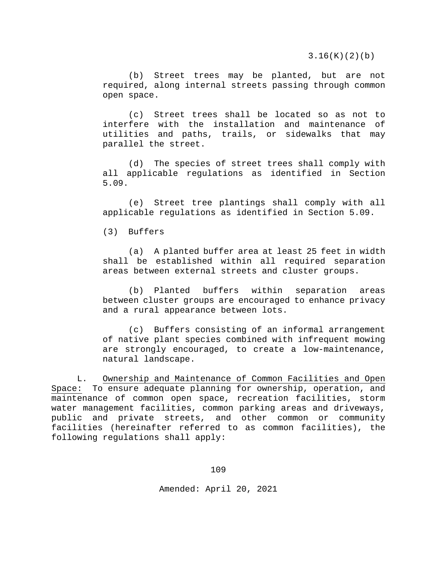3.16(K)(2)(b)

(b) Street trees may be planted, but are not required, along internal streets passing through common open space.

(c) Street trees shall be located so as not to interfere with the installation and maintenance of utilities and paths, trails, or sidewalks that may parallel the street.

(d) The species of street trees shall comply with all applicable regulations as identified in Section 5.09.

(e) Street tree plantings shall comply with all applicable regulations as identified in Section 5.09.

(3) Buffers

(a) A planted buffer area at least 25 feet in width shall be established within all required separation areas between external streets and cluster groups.

(b) Planted buffers within separation areas between cluster groups are encouraged to enhance privacy and a rural appearance between lots.

(c) Buffers consisting of an informal arrangement of native plant species combined with infrequent mowing are strongly encouraged, to create a low-maintenance, natural landscape.

L. Ownership and Maintenance of Common Facilities and Open Space: To ensure adequate planning for ownership, operation, and maintenance of common open space, recreation facilities, storm water management facilities, common parking areas and driveways, public and private streets, and other common or community facilities (hereinafter referred to as common facilities), the following regulations shall apply:

109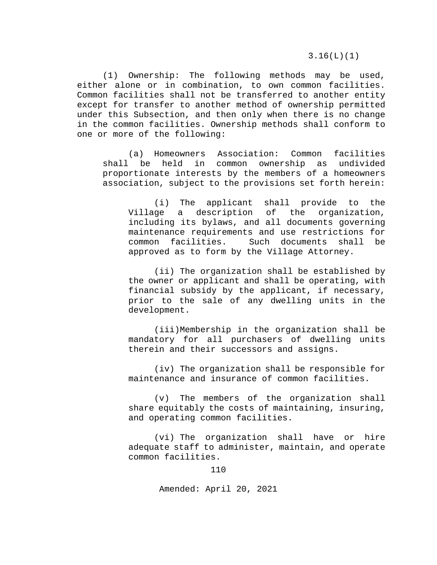3.16(L)(1)

(1) Ownership: The following methods may be used, either alone or in combination, to own common facilities. Common facilities shall not be transferred to another entity except for transfer to another method of ownership permitted under this Subsection, and then only when there is no change in the common facilities. Ownership methods shall conform to one or more of the following:

(a) Homeowners Association: Common facilities shall be held in common ownership as undivided proportionate interests by the members of a homeowners association, subject to the provisions set forth herein:

(i) The applicant shall provide to the<br>Village a description of the organization, description of the organization, including its bylaws, and all documents governing maintenance requirements and use restrictions for<br>common facilities. Such documents shall be Such documents shall be approved as to form by the Village Attorney.

(ii) The organization shall be established by the owner or applicant and shall be operating, with financial subsidy by the applicant, if necessary, prior to the sale of any dwelling units in the development.

(iii)Membership in the organization shall be mandatory for all purchasers of dwelling units therein and their successors and assigns.

(iv) The organization shall be responsible for maintenance and insurance of common facilities.

(v) The members of the organization shall share equitably the costs of maintaining, insuring, and operating common facilities.

(vi) The organization shall have or hire adequate staff to administer, maintain, and operate common facilities.

110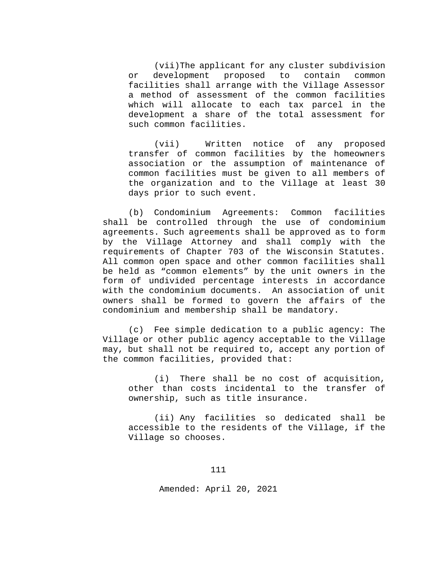(vii)The applicant for any cluster subdivision<br>development proposed to contain common or development proposed to contain common facilities shall arrange with the Village Assessor a method of assessment of the common facilities which will allocate to each tax parcel in the development a share of the total assessment for such common facilities.

(vii) Written notice of any proposed transfer of common facilities by the homeowners association or the assumption of maintenance of common facilities must be given to all members of the organization and to the Village at least 30 days prior to such event.

(b) Condominium Agreements: Common facilities shall be controlled through the use of condominium agreements. Such agreements shall be approved as to form by the Village Attorney and shall comply with the requirements of Chapter 703 of the Wisconsin Statutes. All common open space and other common facilities shall be held as "common elements" by the unit owners in the form of undivided percentage interests in accordance with the condominium documents. An association of unit owners shall be formed to govern the affairs of the condominium and membership shall be mandatory.

(c) Fee simple dedication to a public agency: The Village or other public agency acceptable to the Village may, but shall not be required to, accept any portion of the common facilities, provided that:

(i) There shall be no cost of acquisition, other than costs incidental to the transfer of ownership, such as title insurance.

(ii) Any facilities so dedicated shall be accessible to the residents of the Village, if the Village so chooses.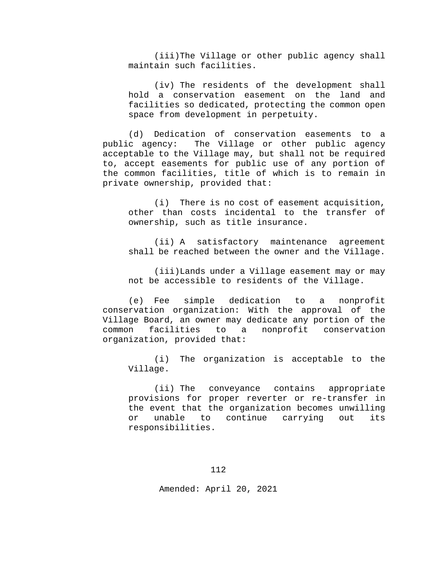(iii)The Village or other public agency shall maintain such facilities.

(iv) The residents of the development shall hold a conservation easement on the land and facilities so dedicated, protecting the common open space from development in perpetuity.

(d) Dedication of conservation easements to a<br>public agency: The Village or other public agency The Village or other public agency acceptable to the Village may, but shall not be required to, accept easements for public use of any portion of the common facilities, title of which is to remain in private ownership, provided that:

(i) There is no cost of easement acquisition, other than costs incidental to the transfer of ownership, such as title insurance.

(ii) A satisfactory maintenance agreement shall be reached between the owner and the Village.

(iii)Lands under a Village easement may or may not be accessible to residents of the Village.

(e) Fee simple dedication to a nonprofit conservation organization: With the approval of the Village Board, an owner may dedicate any portion of the<br>common facilities to a nonprofit conservation nonprofit conservation organization, provided that:

(i) The organization is acceptable to the Village.

(ii) The conveyance contains appropriate provisions for proper reverter or re-transfer in the event that the organization becomes unwilling<br>or unable to continue carrying out its or unable to continue carrying out its responsibilities.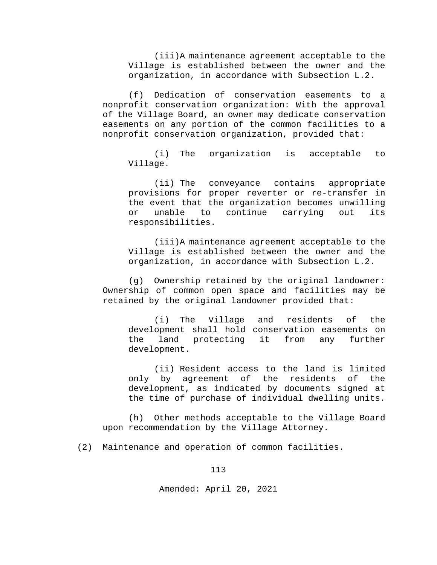(iii)A maintenance agreement acceptable to the Village is established between the owner and the organization, in accordance with Subsection L.2.

(f) Dedication of conservation easements to a nonprofit conservation organization: With the approval of the Village Board, an owner may dedicate conservation easements on any portion of the common facilities to a nonprofit conservation organization, provided that:

(i) The organization is acceptable to Village.

(ii) The conveyance contains appropriate provisions for proper reverter or re-transfer in the event that the organization becomes unwilling<br>or unable to continue carrying out its or unable to continue carrying responsibilities.

(iii)A maintenance agreement acceptable to the Village is established between the owner and the organization, in accordance with Subsection L.2.

(g) Ownership retained by the original landowner: Ownership of common open space and facilities may be retained by the original landowner provided that:

(i) The Village and residents of the development shall hold conservation easements on the land protecting it from any further development.

(ii) Resident access to the land is limited only by agreement of the residents of the development, as indicated by documents signed at the time of purchase of individual dwelling units.

(h) Other methods acceptable to the Village Board upon recommendation by the Village Attorney.

(2) Maintenance and operation of common facilities.

113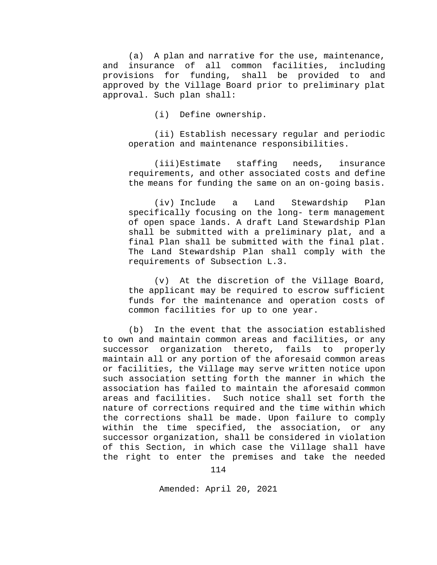(a) A plan and narrative for the use, maintenance, and insurance of all common facilities, including provisions for funding, shall be provided to and approved by the Village Board prior to preliminary plat approval. Such plan shall:

(i) Define ownership.

(ii) Establish necessary regular and periodic operation and maintenance responsibilities.

(iii)Estimate staffing needs, insurance requirements, and other associated costs and define the means for funding the same on an on-going basis.

(iv) Include a Land Stewardship Plan specifically focusing on the long- term management of open space lands. A draft Land Stewardship Plan shall be submitted with a preliminary plat, and a final Plan shall be submitted with the final plat. The Land Stewardship Plan shall comply with the requirements of Subsection L.3.

(v) At the discretion of the Village Board, the applicant may be required to escrow sufficient funds for the maintenance and operation costs of common facilities for up to one year.

(b) In the event that the association established to own and maintain common areas and facilities, or any successor organization thereto, fails to properly maintain all or any portion of the aforesaid common areas or facilities, the Village may serve written notice upon such association setting forth the manner in which the association has failed to maintain the aforesaid common areas and facilities. Such notice shall set forth the nature of corrections required and the time within which the corrections shall be made. Upon failure to comply within the time specified, the association, or any successor organization, shall be considered in violation of this Section, in which case the Village shall have the right to enter the premises and take the needed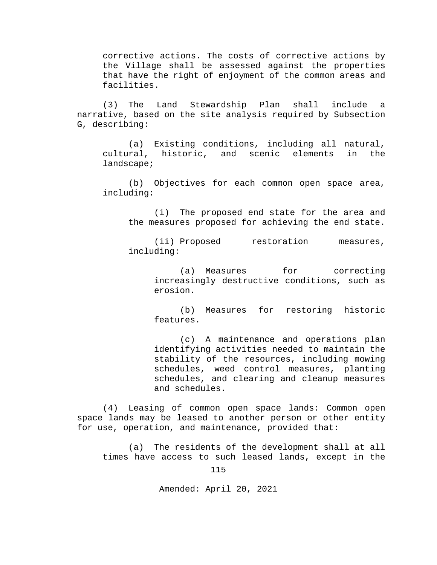corrective actions. The costs of corrective actions by the Village shall be assessed against the properties that have the right of enjoyment of the common areas and facilities.

(3) The Land Stewardship Plan shall include a narrative, based on the site analysis required by Subsection G, describing:

(a) Existing conditions, including all natural, cultural, historic, and scenic elements in the landscape;

(b) Objectives for each common open space area, including:

(i) The proposed end state for the area and the measures proposed for achieving the end state.

(ii) Proposed restoration measures, including:

(a) Measures for correcting increasingly destructive conditions, such as erosion.

(b) Measures for restoring historic features.

(c) A maintenance and operations plan identifying activities needed to maintain the stability of the resources, including mowing schedules, weed control measures, planting schedules, and clearing and cleanup measures and schedules.

(4) Leasing of common open space lands: Common open space lands may be leased to another person or other entity for use, operation, and maintenance, provided that:

(a) The residents of the development shall at all times have access to such leased lands, except in the

115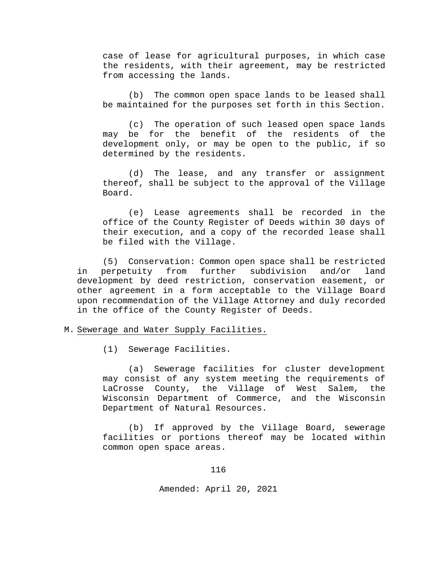case of lease for agricultural purposes, in which case the residents, with their agreement, may be restricted from accessing the lands.

(b) The common open space lands to be leased shall be maintained for the purposes set forth in this Section.

(c) The operation of such leased open space lands may be for the benefit of the residents of the development only, or may be open to the public, if so determined by the residents.

(d) The lease, and any transfer or assignment thereof, shall be subject to the approval of the Village Board.

(e) Lease agreements shall be recorded in the office of the County Register of Deeds within 30 days of their execution, and a copy of the recorded lease shall be filed with the Village.

(5) Conservation: Common open space shall be restricted in perpetuity from further subdivision and/or land development by deed restriction, conservation easement, or other agreement in a form acceptable to the Village Board upon recommendation of the Village Attorney and duly recorded in the office of the County Register of Deeds.

## M. Sewerage and Water Supply Facilities.

(1) Sewerage Facilities.

(a) Sewerage facilities for cluster development may consist of any system meeting the requirements of<br>LaCrosse County, the Village of West Salem, the LaCrosse County, the Village of West Salem, Wisconsin Department of Commerce, and the Wisconsin Department of Natural Resources.

(b) If approved by the Village Board, sewerage facilities or portions thereof may be located within common open space areas.

116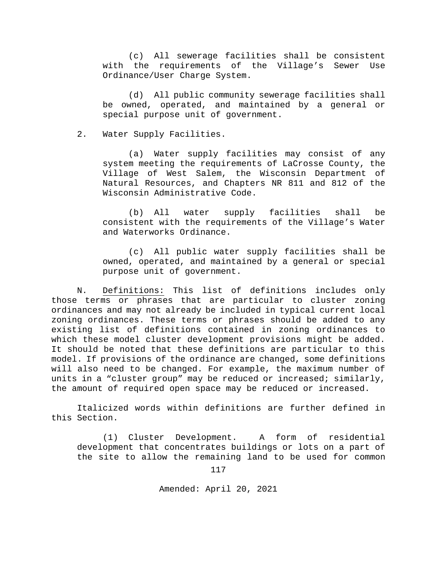(c) All sewerage facilities shall be consistent with the requirements of the Village's Sewer Use Ordinance/User Charge System.

(d) All public community sewerage facilities shall be owned, operated, and maintained by a general or special purpose unit of government.

2. Water Supply Facilities.

(a) Water supply facilities may consist of any system meeting the requirements of LaCrosse County, the Village of West Salem, the Wisconsin Department of Natural Resources, and Chapters NR 811 and 812 of the Wisconsin Administrative Code.

(b) All water supply facilities shall be consistent with the requirements of the Village's Water and Waterworks Ordinance.

(c) All public water supply facilities shall be owned, operated, and maintained by a general or special purpose unit of government.

N. Definitions: This list of definitions includes only those terms or phrases that are particular to cluster zoning ordinances and may not already be included in typical current local zoning ordinances. These terms or phrases should be added to any existing list of definitions contained in zoning ordinances to which these model cluster development provisions might be added. It should be noted that these definitions are particular to this model. If provisions of the ordinance are changed, some definitions will also need to be changed. For example, the maximum number of units in a "cluster group" may be reduced or increased; similarly, the amount of required open space may be reduced or increased.

Italicized words within definitions are further defined in this Section.

(1) Cluster Development. A form of residential development that concentrates buildings or lots on a part of the site to allow the remaining land to be used for common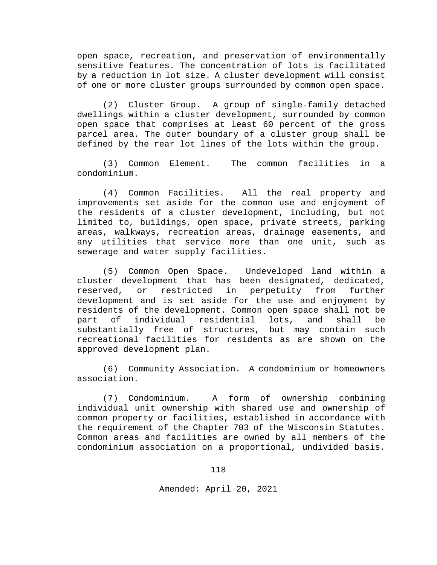open space, recreation, and preservation of environmentally sensitive features. The concentration of lots is facilitated by a reduction in lot size. A cluster development will consist of one or more cluster groups surrounded by common open space.

(2) Cluster Group. A group of single-family detached dwellings within a cluster development, surrounded by common open space that comprises at least 60 percent of the gross parcel area. The outer boundary of a cluster group shall be defined by the rear lot lines of the lots within the group.

(3) Common Element. The common facilities in a condominium.

(4) Common Facilities. All the real property and improvements set aside for the common use and enjoyment of the residents of a cluster development, including, but not limited to, buildings, open space, private streets, parking areas, walkways, recreation areas, drainage easements, and any utilities that service more than one unit, such as sewerage and water supply facilities.

(5) Common Open Space. Undeveloped land within a cluster development that has been designated, dedicated,<br>reserved, or restricted in perpetuity from further or restricted development and is set aside for the use and enjoyment by residents of the development. Common open space shall not be<br>part of individual residential lots, and shall be part of individual residential lots, and shall be substantially free of structures, but may contain such recreational facilities for residents as are shown on the approved development plan.

(6) Community Association. A condominium or homeowners association.

(7) Condominium. A form of ownership combining individual unit ownership with shared use and ownership of common property or facilities, established in accordance with the requirement of the Chapter 703 of the Wisconsin Statutes. Common areas and facilities are owned by all members of the condominium association on a proportional, undivided basis.

118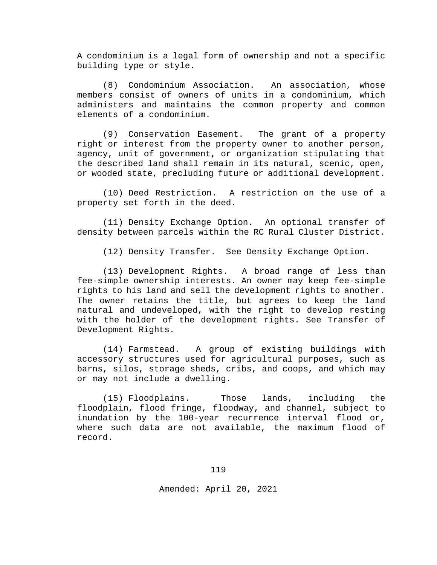A condominium is a legal form of ownership and not a specific building type or style.

(8) Condominium Association. An association, whose members consist of owners of units in a condominium, which administers and maintains the common property and common elements of a condominium.

(9) Conservation Easement. The grant of a property right or interest from the property owner to another person, agency, unit of government, or organization stipulating that the described land shall remain in its natural, scenic, open, or wooded state, precluding future or additional development.

(10) Deed Restriction. A restriction on the use of a property set forth in the deed.

(11) Density Exchange Option. An optional transfer of density between parcels within the RC Rural Cluster District.

(12) Density Transfer. See Density Exchange Option.

(13) Development Rights. A broad range of less than fee-simple ownership interests. An owner may keep fee-simple rights to his land and sell the development rights to another. The owner retains the title, but agrees to keep the land natural and undeveloped, with the right to develop resting with the holder of the development rights. See Transfer of Development Rights.

(14) Farmstead. A group of existing buildings with accessory structures used for agricultural purposes, such as barns, silos, storage sheds, cribs, and coops, and which may or may not include a dwelling.

(15) Floodplains. Those lands, including the floodplain, flood fringe, floodway, and channel, subject to inundation by the 100-year recurrence interval flood or, where such data are not available, the maximum flood of record.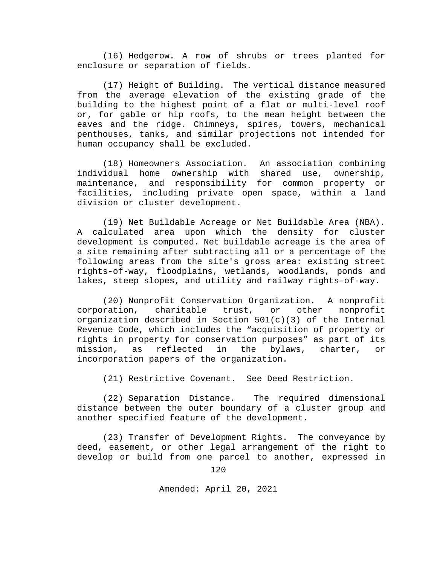(16) Hedgerow. A row of shrubs or trees planted for enclosure or separation of fields.

(17) Height of Building. The vertical distance measured from the average elevation of the existing grade of the building to the highest point of a flat or multi-level roof or, for gable or hip roofs, to the mean height between the eaves and the ridge. Chimneys, spires, towers, mechanical penthouses, tanks, and similar projections not intended for human occupancy shall be excluded.

(18) Homeowners Association. An association combining individual home ownership with shared use, ownership, maintenance, and responsibility for common property or facilities, including private open space, within a land division or cluster development.

(19) Net Buildable Acreage or Net Buildable Area (NBA). A calculated area upon which the density for cluster development is computed. Net buildable acreage is the area of a site remaining after subtracting all or a percentage of the following areas from the site's gross area: existing street rights-of-way, floodplains, wetlands, woodlands, ponds and lakes, steep slopes, and utility and railway rights-of-way.

(20) Nonprofit Conservation Organization. A nonprofit charitable trust, organization described in Section  $501(c)(3)$  of the Internal Revenue Code, which includes the "acquisition of property or rights in property for conservation purposes" as part of its<br>mission, as reflected in the bylaws, charter, or reflected in the bylaws, charter, or incorporation papers of the organization.

(21) Restrictive Covenant. See Deed Restriction.

(22) Separation Distance. The required dimensional distance between the outer boundary of a cluster group and another specified feature of the development.

(23) Transfer of Development Rights. The conveyance by deed, easement, or other legal arrangement of the right to develop or build from one parcel to another, expressed in

120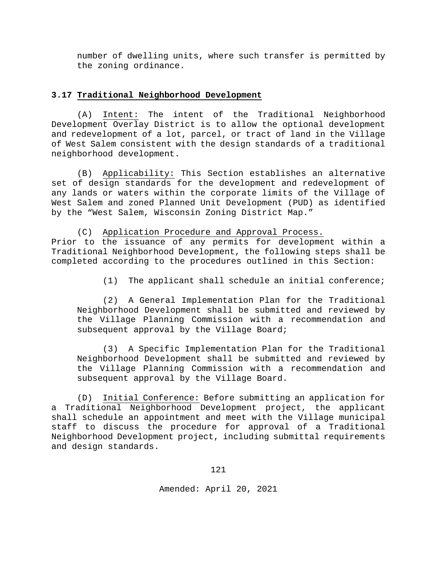number of dwelling units, where such transfer is permitted by the zoning ordinance.

## **3.17 Traditional Neighborhood Development**

(A) Intent: The intent of the Traditional Neighborhood Development Overlay District is to allow the optional development and redevelopment of a lot, parcel, or tract of land in the Village of West Salem consistent with the design standards of a traditional neighborhood development.

(B) Applicability: This Section establishes an alternative set of design standards for the development and redevelopment of any lands or waters within the corporate limits of the Village of West Salem and zoned Planned Unit Development (PUD) as identified by the "West Salem, Wisconsin Zoning District Map."

(C) Application Procedure and Approval Process. Prior to the issuance of any permits for development within a Traditional Neighborhood Development, the following steps shall be completed according to the procedures outlined in this Section:

(1) The applicant shall schedule an initial conference;

(2) A General Implementation Plan for the Traditional Neighborhood Development shall be submitted and reviewed by the Village Planning Commission with a recommendation and subsequent approval by the Village Board;

(3) A Specific Implementation Plan for the Traditional Neighborhood Development shall be submitted and reviewed by the Village Planning Commission with a recommendation and subsequent approval by the Village Board.

(D) Initial Conference: Before submitting an application for a Traditional Neighborhood Development project, the applicant shall schedule an appointment and meet with the Village municipal staff to discuss the procedure for approval of a Traditional Neighborhood Development project, including submittal requirements and design standards.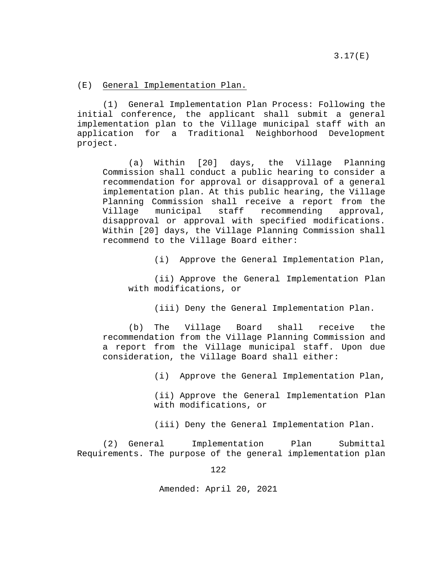(E) General Implementation Plan.

(1) General Implementation Plan Process: Following the initial conference, the applicant shall submit a general implementation plan to the Village municipal staff with an application for a Traditional Neighborhood Development project.

(a) Within [20] days, the Village Planning Commission shall conduct a public hearing to consider a recommendation for approval or disapproval of a general implementation plan. At this public hearing, the Village Planning Commission shall receive a report from the<br>Village municipal staff recommending approval, Village municipal staff recommending approval, disapproval or approval with specified modifications. Within [20] days, the Village Planning Commission shall recommend to the Village Board either:

(i) Approve the General Implementation Plan,

(ii) Approve the General Implementation Plan with modifications, or

(iii) Deny the General Implementation Plan.

(b) The Village Board shall receive the recommendation from the Village Planning Commission and a report from the Village municipal staff. Upon due consideration, the Village Board shall either:

(i) Approve the General Implementation Plan,

(ii) Approve the General Implementation Plan with modifications, or

(iii) Deny the General Implementation Plan.

(2) General Implementation Plan Submittal Requirements. The purpose of the general implementation plan

122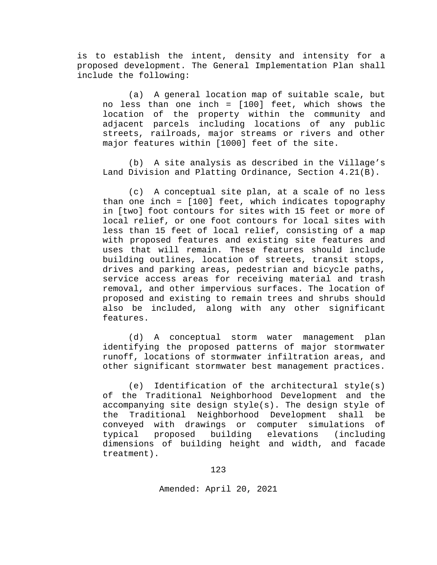is to establish the intent, density and intensity for a proposed development. The General Implementation Plan shall include the following:

(a) A general location map of suitable scale, but no less than one inch = [100] feet, which shows the location of the property within the community and adjacent parcels including locations of any public streets, railroads, major streams or rivers and other major features within [1000] feet of the site.

(b) A site analysis as described in the Village's Land Division and Platting Ordinance, Section 4.21(B).

(c) A conceptual site plan, at a scale of no less than one inch = [100] feet, which indicates topography in [two] foot contours for sites with 15 feet or more of local relief, or one foot contours for local sites with less than 15 feet of local relief, consisting of a map with proposed features and existing site features and uses that will remain. These features should include building outlines, location of streets, transit stops, drives and parking areas, pedestrian and bicycle paths, service access areas for receiving material and trash removal, and other impervious surfaces. The location of proposed and existing to remain trees and shrubs should also be included, along with any other significant features.

(d) A conceptual storm water management plan identifying the proposed patterns of major stormwater runoff, locations of stormwater infiltration areas, and other significant stormwater best management practices.

(e) Identification of the architectural style(s) of the Traditional Neighborhood Development and the accompanying site design style(s). The design style of the Traditional Neighborhood Development shall be conveyed with drawings or computer simulations of typical proposed building elevations (including dimensions of building height and width, and facade treatment).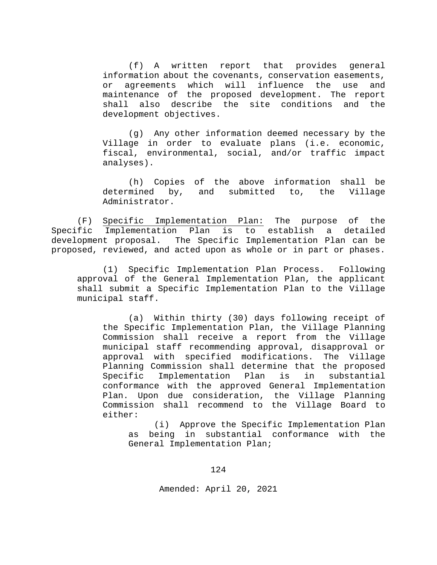(f) A written report that provides general information about the covenants, conservation easements, or agreements which will influence the use and maintenance of the proposed development. The report<br>shall also describe the site conditions and the also describe the site conditions and the development objectives.

(g) Any other information deemed necessary by the Village in order to evaluate plans (i.e. economic, fiscal, environmental, social, and/or traffic impact analyses).

(h) Copies of the above information shall be determined by, and submitted to, the Village Administrator.

(F) Specific Implementation Plan: The purpose of the Specific Implementation Plan is to establish a detailed development proposal. The Specific Implementation Plan can be proposed, reviewed, and acted upon as whole or in part or phases.

(1) Specific Implementation Plan Process. Following approval of the General Implementation Plan, the applicant shall submit a Specific Implementation Plan to the Village municipal staff.

(a) Within thirty (30) days following receipt of the Specific Implementation Plan, the Village Planning Commission shall receive a report from the Village municipal staff recommending approval, disapproval or approval with specified modifications. The Village Planning Commission shall determine that the proposed<br>Specific Implementation Plan is in substantial Implementation conformance with the approved General Implementation Plan. Upon due consideration, the Village Planning Commission shall recommend to the Village Board to either:

(i) Approve the Specific Implementation Plan as being in substantial conformance with the General Implementation Plan;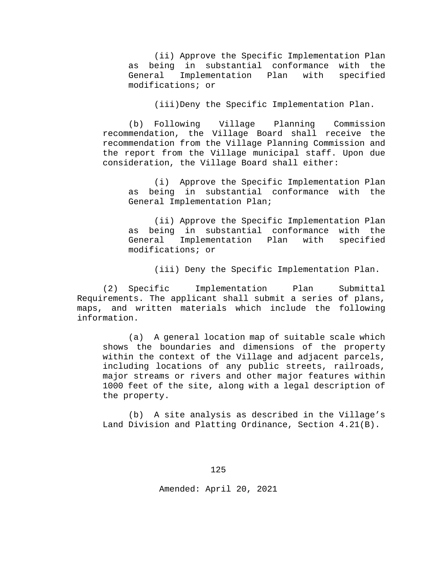(ii) Approve the Specific Implementation Plan as being in substantial conformance with the<br>General Implementation Plan with specified Implementation Plan modifications; or

(iii)Deny the Specific Implementation Plan.

(b) Following Village Planning Commission recommendation, the Village Board shall receive the recommendation from the Village Planning Commission and the report from the Village municipal staff. Upon due consideration, the Village Board shall either:

(i) Approve the Specific Implementation Plan as being in substantial conformance with the General Implementation Plan;

(ii) Approve the Specific Implementation Plan as being in substantial conformance with the<br>General Implementation Plan with specified Implementation Plan modifications; or

(iii) Deny the Specific Implementation Plan.

(2) Specific Implementation Plan Submittal Requirements. The applicant shall submit a series of plans, maps, and written materials which include the following information.

(a) A general location map of suitable scale which shows the boundaries and dimensions of the property within the context of the Village and adjacent parcels, including locations of any public streets, railroads, major streams or rivers and other major features within 1000 feet of the site, along with a legal description of the property.

(b) A site analysis as described in the Village's Land Division and Platting Ordinance, Section 4.21(B).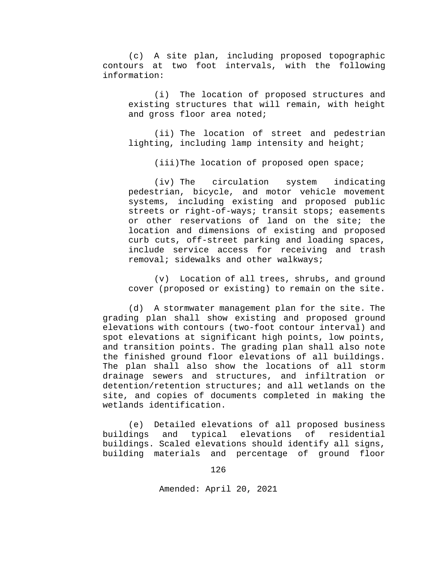(c) A site plan, including proposed topographic contours at two foot intervals, with the following information:

(i) The location of proposed structures and existing structures that will remain, with height and gross floor area noted;

(ii) The location of street and pedestrian lighting, including lamp intensity and height;

(iii)The location of proposed open space;

(iv) The circulation system indicating pedestrian, bicycle, and motor vehicle movement systems, including existing and proposed public streets or right-of-ways; transit stops; easements or other reservations of land on the site; the location and dimensions of existing and proposed curb cuts, off-street parking and loading spaces, include service access for receiving and trash removal; sidewalks and other walkways;

(v) Location of all trees, shrubs, and ground cover (proposed or existing) to remain on the site.

(d) A stormwater management plan for the site. The grading plan shall show existing and proposed ground elevations with contours (two-foot contour interval) and spot elevations at significant high points, low points, and transition points. The grading plan shall also note the finished ground floor elevations of all buildings. The plan shall also show the locations of all storm drainage sewers and structures, and infiltration or detention/retention structures; and all wetlands on the site, and copies of documents completed in making the wetlands identification.

(e) Detailed elevations of all proposed business buildings and typical elevations of residential buildings. Scaled elevations should identify all signs, building materials and percentage of ground floor

126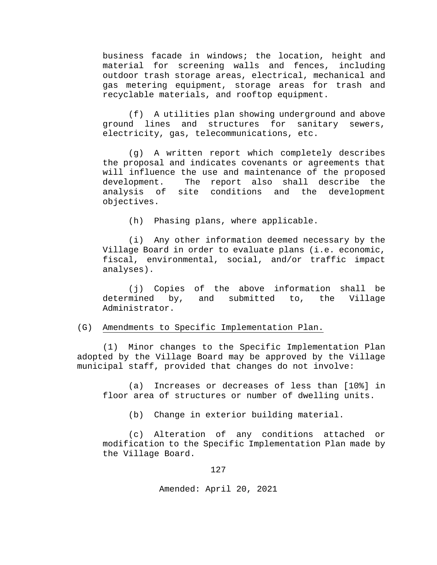business facade in windows; the location, height and material for screening walls and fences, including outdoor trash storage areas, electrical, mechanical and gas metering equipment, storage areas for trash and recyclable materials, and rooftop equipment.

(f) A utilities plan showing underground and above ground lines and structures for sanitary sewers, electricity, gas, telecommunications, etc.

(g) A written report which completely describes the proposal and indicates covenants or agreements that will influence the use and maintenance of the proposed<br>development. The report also shall describe the development. The report also shall describe the<br>analysis of site conditions and the development site conditions and the development objectives.

(h) Phasing plans, where applicable.

(i) Any other information deemed necessary by the Village Board in order to evaluate plans (i.e. economic, fiscal, environmental, social, and/or traffic impact analyses).

(j) Copies of the above information shall be determined by, and submitted to, the Village by, and submitted to, the Village Administrator.

## (G) Amendments to Specific Implementation Plan.

(1) Minor changes to the Specific Implementation Plan adopted by the Village Board may be approved by the Village municipal staff, provided that changes do not involve:

(a) Increases or decreases of less than [10%] in floor area of structures or number of dwelling units.

(b) Change in exterior building material.

(c) Alteration of any conditions attached or modification to the Specific Implementation Plan made by the Village Board.

127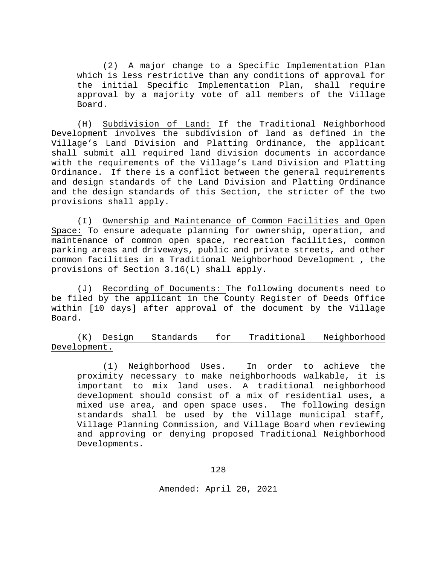(2) A major change to a Specific Implementation Plan which is less restrictive than any conditions of approval for the initial Specific Implementation Plan, shall require approval by a majority vote of all members of the Village Board.

(H) Subdivision of Land: If the Traditional Neighborhood Development involves the subdivision of land as defined in the Village's Land Division and Platting Ordinance, the applicant shall submit all required land division documents in accordance with the requirements of the Village's Land Division and Platting Ordinance. If there is a conflict between the general requirements and design standards of the Land Division and Platting Ordinance and the design standards of this Section, the stricter of the two provisions shall apply.

(I) Ownership and Maintenance of Common Facilities and Open Space: To ensure adequate planning for ownership, operation, and maintenance of common open space, recreation facilities, common parking areas and driveways, public and private streets, and other common facilities in a Traditional Neighborhood Development , the provisions of Section 3.16(L) shall apply.

(J) Recording of Documents: The following documents need to be filed by the applicant in the County Register of Deeds Office within [10 days] after approval of the document by the Village Board.

(K) Design Standards for Traditional Neighborhood Development.

(1) Neighborhood Uses. In order to achieve the proximity necessary to make neighborhoods walkable, it is important to mix land uses. A traditional neighborhood development should consist of a mix of residential uses, a mixed use area, and open space uses. The following design standards shall be used by the Village municipal staff, Village Planning Commission, and Village Board when reviewing and approving or denying proposed Traditional Neighborhood Developments.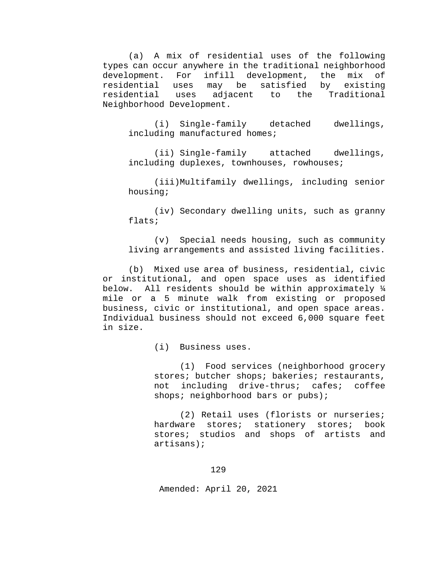(a) A mix of residential uses of the following types can occur anywhere in the traditional neighborhood<br>development. For infill development, the mix of infill development, the<br>may be satisfied by residential uses may be satisfied by existing adjacent to the Traditional Neighborhood Development.

(i) Single-family detached dwellings, including manufactured homes;

(ii) Single-family attached dwellings, including duplexes, townhouses, rowhouses;

(iii)Multifamily dwellings, including senior housing;

(iv) Secondary dwelling units, such as granny flats;

(v) Special needs housing, such as community living arrangements and assisted living facilities.

(b) Mixed use area of business, residential, civic or institutional, and open space uses as identified below. All residents should be within approximately ¼ mile or a 5 minute walk from existing or proposed business, civic or institutional, and open space areas. Individual business should not exceed 6,000 square feet in size.

(i) Business uses.

(1) Food services (neighborhood grocery stores; butcher shops; bakeries; restaurants,<br>not including drive-thrus; cafes; coffee not including drive-thrus; cafes; shops; neighborhood bars or pubs);

(2) Retail uses (florists or nurseries; hardware stores; stationery stores; book stores; studios and shops of artists and artisans);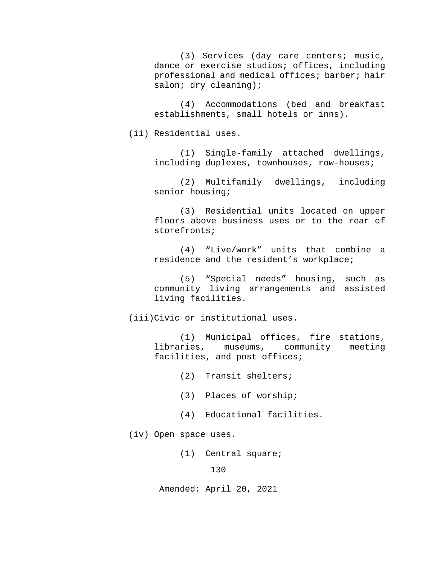(3) Services (day care centers; music, dance or exercise studios; offices, including professional and medical offices; barber; hair salon; dry cleaning);

(4) Accommodations (bed and breakfast establishments, small hotels or inns).

(ii) Residential uses.

(1) Single-family attached dwellings, including duplexes, townhouses, row-houses;

(2) Multifamily dwellings, including senior housing;

(3) Residential units located on upper floors above business uses or to the rear of storefronts;

(4) "Live/work" units that combine a residence and the resident's workplace;

(5) "Special needs" housing, such as community living arrangements and assisted living facilities.

(iii)Civic or institutional uses.

(1) Municipal offices, fire stations, libraries, museums, community facilities, and post offices;

(2) Transit shelters;

- (3) Places of worship;
- (4) Educational facilities.

(iv) Open space uses.

(1) Central square;

130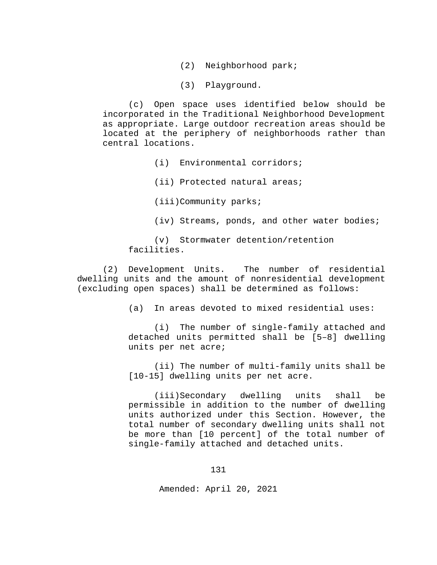- (2) Neighborhood park;
- (3) Playground.

(c) Open space uses identified below should be incorporated in the Traditional Neighborhood Development as appropriate. Large outdoor recreation areas should be located at the periphery of neighborhoods rather than central locations.

- (i) Environmental corridors;
- (ii) Protected natural areas;
- (iii)Community parks;
- (iv) Streams, ponds, and other water bodies;

(v) Stormwater detention/retention facilities.

(2) Development Units. The number of residential dwelling units and the amount of nonresidential development (excluding open spaces) shall be determined as follows:

(a) In areas devoted to mixed residential uses:

(i) The number of single-family attached and detached units permitted shall be [5–8] dwelling units per net acre;

(ii) The number of multi-family units shall be [10-15] dwelling units per net acre.

(iii)Secondary dwelling units shall be permissible in addition to the number of dwelling units authorized under this Section. However, the total number of secondary dwelling units shall not be more than [10 percent] of the total number of single-family attached and detached units.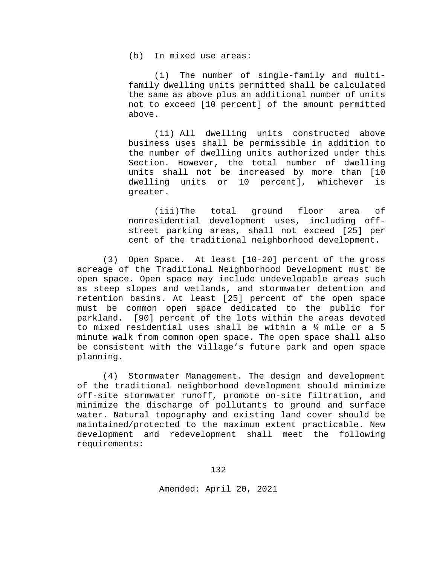(b) In mixed use areas:

(i) The number of single-family and multifamily dwelling units permitted shall be calculated the same as above plus an additional number of units not to exceed [10 percent] of the amount permitted above.

(ii) All dwelling units constructed above business uses shall be permissible in addition to the number of dwelling units authorized under this Section. However, the total number of dwelling units shall not be increased by more than [10 dwelling units or 10 percent], whichever is greater.

(iii)The total ground floor area of nonresidential development uses, including offstreet parking areas, shall not exceed [25] per cent of the traditional neighborhood development.

(3) Open Space. At least [10-20] percent of the gross acreage of the Traditional Neighborhood Development must be open space. Open space may include undevelopable areas such as steep slopes and wetlands, and stormwater detention and retention basins. At least [25] percent of the open space must be common open space dedicated to the public for parkland. [90] percent of the lots within the areas devoted to mixed residential uses shall be within a ¼ mile or a 5 minute walk from common open space. The open space shall also be consistent with the Village's future park and open space planning.

(4) Stormwater Management. The design and development of the traditional neighborhood development should minimize off-site stormwater runoff, promote on-site filtration, and minimize the discharge of pollutants to ground and surface water. Natural topography and existing land cover should be maintained/protected to the maximum extent practicable. New development and redevelopment shall meet the following requirements: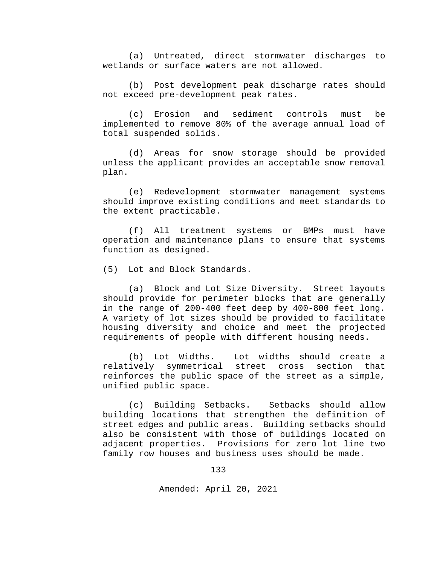(a) Untreated, direct stormwater discharges to wetlands or surface waters are not allowed.

(b) Post development peak discharge rates should not exceed pre-development peak rates.

(c) Erosion and sediment controls must be implemented to remove 80% of the average annual load of total suspended solids.

(d) Areas for snow storage should be provided unless the applicant provides an acceptable snow removal plan.

(e) Redevelopment stormwater management systems should improve existing conditions and meet standards to the extent practicable.

(f) All treatment systems or BMPs must have operation and maintenance plans to ensure that systems function as designed.

(5) Lot and Block Standards.

(a) Block and Lot Size Diversity. Street layouts should provide for perimeter blocks that are generally in the range of 200-400 feet deep by 400-800 feet long. A variety of lot sizes should be provided to facilitate housing diversity and choice and meet the projected requirements of people with different housing needs.

(b) Lot Widths. Lot widths should create a relatively symmetrical street cross reinforces the public space of the street as a simple, unified public space.

(c) Building Setbacks. Setbacks should allow building locations that strengthen the definition of street edges and public areas. Building setbacks should also be consistent with those of buildings located on adjacent properties. Provisions for zero lot line two family row houses and business uses should be made.

133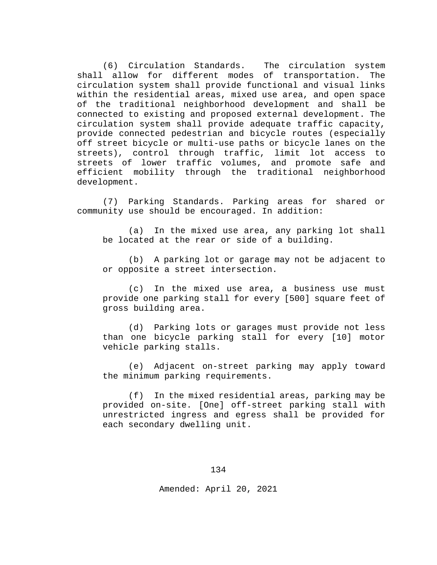(6) Circulation Standards. The circulation system shall allow for different modes of transportation. circulation system shall provide functional and visual links within the residential areas, mixed use area, and open space of the traditional neighborhood development and shall be connected to existing and proposed external development. The circulation system shall provide adequate traffic capacity, provide connected pedestrian and bicycle routes (especially off street bicycle or multi-use paths or bicycle lanes on the<br>streets), control through traffic, limit lot access to streets), control through traffic, limit lot access streets of lower traffic volumes, and promote safe and efficient mobility through the traditional neighborhood development.

(7) Parking Standards. Parking areas for shared or community use should be encouraged. In addition:

(a) In the mixed use area, any parking lot shall be located at the rear or side of a building.

(b) A parking lot or garage may not be adjacent to or opposite a street intersection.

(c) In the mixed use area, a business use must provide one parking stall for every [500] square feet of gross building area.

(d) Parking lots or garages must provide not less than one bicycle parking stall for every [10] motor vehicle parking stalls.

(e) Adjacent on-street parking may apply toward the minimum parking requirements.

(f) In the mixed residential areas, parking may be provided on-site. [One] off-street parking stall with unrestricted ingress and egress shall be provided for each secondary dwelling unit.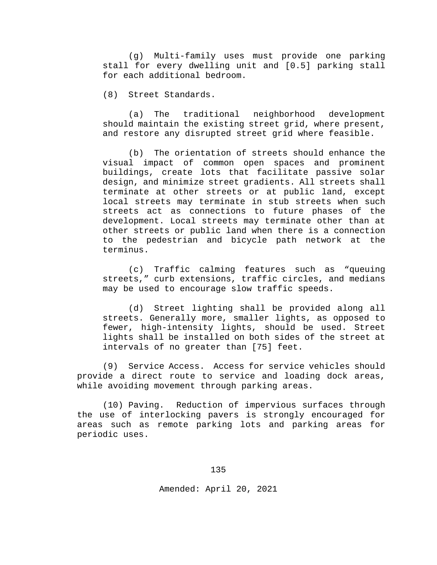(g) Multi-family uses must provide one parking stall for every dwelling unit and [0.5] parking stall for each additional bedroom.

(8) Street Standards.

(a) The traditional neighborhood development should maintain the existing street grid, where present, and restore any disrupted street grid where feasible.

(b) The orientation of streets should enhance the visual impact of common open spaces and prominent buildings, create lots that facilitate passive solar design, and minimize street gradients. All streets shall terminate at other streets or at public land, except local streets may terminate in stub streets when such streets act as connections to future phases of the development. Local streets may terminate other than at other streets or public land when there is a connection to the pedestrian and bicycle path network at the terminus.

(c) Traffic calming features such as "queuing streets," curb extensions, traffic circles, and medians may be used to encourage slow traffic speeds.

(d) Street lighting shall be provided along all streets. Generally more, smaller lights, as opposed to fewer, high-intensity lights, should be used. Street lights shall be installed on both sides of the street at intervals of no greater than [75] feet.

(9) Service Access. Access for service vehicles should provide a direct route to service and loading dock areas, while avoiding movement through parking areas.

(10) Paving. Reduction of impervious surfaces through the use of interlocking pavers is strongly encouraged for areas such as remote parking lots and parking areas for periodic uses.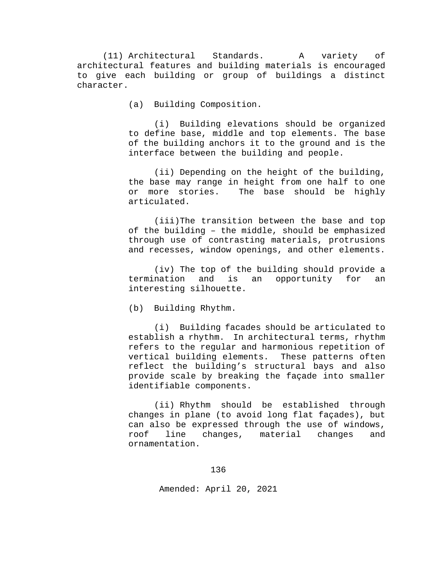(11) Architectural Standards. A variety of architectural features and building materials is encouraged to give each building or group of buildings a distinct character.

(a) Building Composition.

(i) Building elevations should be organized to define base, middle and top elements. The base of the building anchors it to the ground and is the interface between the building and people.

(ii) Depending on the height of the building, the base may range in height from one half to one or more stories. The base should be highly articulated.

(iii)The transition between the base and top of the building – the middle, should be emphasized through use of contrasting materials, protrusions and recesses, window openings, and other elements.

(iv) The top of the building should provide a termination and is an opportunity for an interesting silhouette.

(b) Building Rhythm.

(i) Building facades should be articulated to establish a rhythm. In architectural terms, rhythm refers to the regular and harmonious repetition of<br>vertical building elements. These patterns often vertical building elements. reflect the building's structural bays and also provide scale by breaking the façade into smaller identifiable components.

(ii) Rhythm should be established through changes in plane (to avoid long flat façades), but can also be expressed through the use of windows, roof line changes, material changes and ornamentation.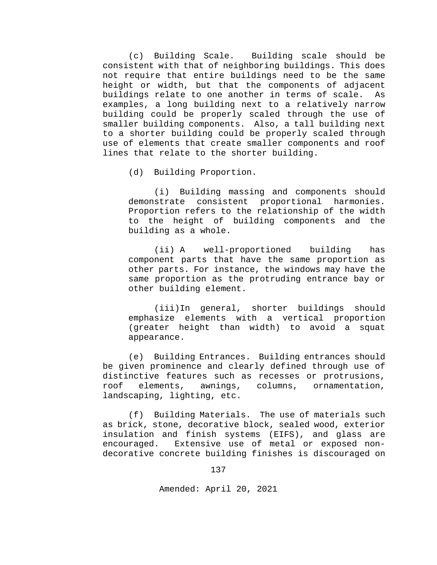(c) Building Scale. Building scale should be consistent with that of neighboring buildings. This does not require that entire buildings need to be the same height or width, but that the components of adjacent buildings relate to one another in terms of scale. As examples, a long building next to a relatively narrow building could be properly scaled through the use of smaller building components. Also, a tall building next to a shorter building could be properly scaled through use of elements that create smaller components and roof lines that relate to the shorter building.

(d) Building Proportion.

(i) Building massing and components should demonstrate consistent proportional harmonies. Proportion refers to the relationship of the width to the height of building components and the building as a whole.

(ii) A well-proportioned building has component parts that have the same proportion as other parts. For instance, the windows may have the same proportion as the protruding entrance bay or other building element.

(iii)In general, shorter buildings should emphasize elements with a vertical proportion (greater height than width) to avoid a squat appearance.

(e) Building Entrances. Building entrances should be given prominence and clearly defined through use of distinctive features such as recesses or protrusions,<br>roof elements, awnings, columns, ornamentation, roof elements, awnings, columns, ornamentation, landscaping, lighting, etc.

(f) Building Materials. The use of materials such as brick, stone, decorative block, sealed wood, exterior insulation and finish systems (EIFS), and glass are Extensive use of metal or exposed nondecorative concrete building finishes is discouraged on

137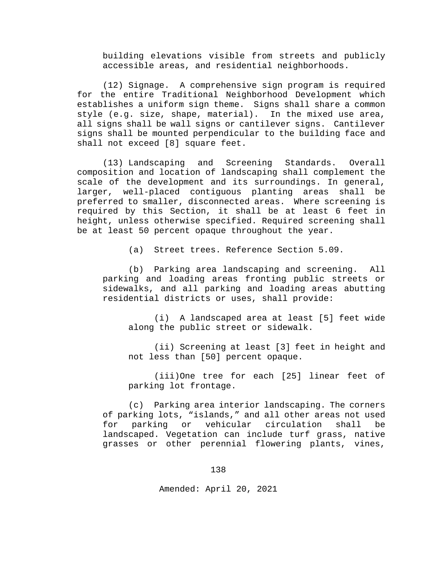building elevations visible from streets and publicly accessible areas, and residential neighborhoods.

(12) Signage. A comprehensive sign program is required for the entire Traditional Neighborhood Development which establishes a uniform sign theme. Signs shall share a common style (e.g. size, shape, material). In the mixed use area, all signs shall be wall signs or cantilever signs. Cantilever signs shall be mounted perpendicular to the building face and shall not exceed [8] square feet.

(13) Landscaping and Screening Standards. Overall composition and location of landscaping shall complement the scale of the development and its surroundings. In general, larger, well-placed contiguous planting areas shall be preferred to smaller, disconnected areas. Where screening is required by this Section, it shall be at least 6 feet in height, unless otherwise specified. Required screening shall be at least 50 percent opaque throughout the year.

(a) Street trees. Reference Section 5.09.

(b) Parking area landscaping and screening. All parking and loading areas fronting public streets or sidewalks, and all parking and loading areas abutting residential districts or uses, shall provide:

(i) A landscaped area at least [5] feet wide along the public street or sidewalk.

(ii) Screening at least [3] feet in height and not less than [50] percent opaque.

(iii)One tree for each [25] linear feet of parking lot frontage.

(c) Parking area interior landscaping. The corners of parking lots, "islands," and all other areas not used for parking or vehicular circulation shall be landscaped. Vegetation can include turf grass, native grasses or other perennial flowering plants, vines,

138